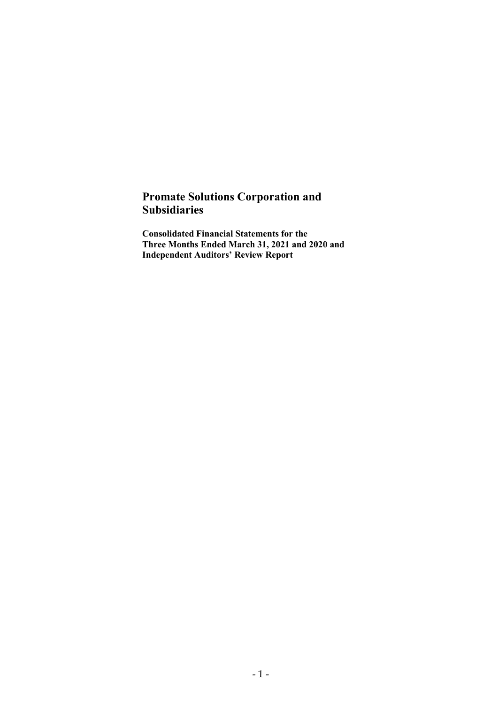## Promate Solutions Corporation and Subsidiaries

Consolidated Financial Statements for the Three Months Ended March 31, 2021 and 2020 and Independent Auditors' Review Report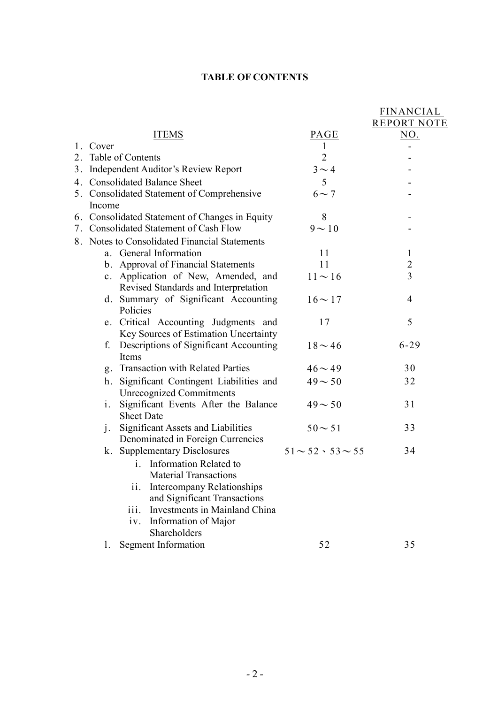## TABLE OF CONTENTS

|    |          |                                                |                               | FINANCIAL          |
|----|----------|------------------------------------------------|-------------------------------|--------------------|
|    |          |                                                |                               | <b>REPORT NOTE</b> |
|    |          | <b>ITEMS</b>                                   | <b>PAGE</b>                   | <u>NO.</u>         |
|    | 1. Cover |                                                | 1                             |                    |
| 2. |          | Table of Contents                              | $\overline{2}$                |                    |
|    |          | 3. Independent Auditor's Review Report         | $3 \sim 4$                    |                    |
|    |          | 4. Consolidated Balance Sheet                  | 5                             |                    |
|    |          | 5. Consolidated Statement of Comprehensive     | $6 \sim 7$                    |                    |
|    | Income   |                                                |                               |                    |
|    |          | 6. Consolidated Statement of Changes in Equity | 8                             |                    |
|    |          | 7. Consolidated Statement of Cash Flow         | $9 \sim 10$                   |                    |
|    |          | 8. Notes to Consolidated Financial Statements  |                               |                    |
|    |          | a. General Information                         | 11                            | $\mathbf{1}$       |
|    |          | b. Approval of Financial Statements            | 11                            | $\overline{2}$     |
|    |          | c. Application of New, Amended, and            | $11 \sim 16$                  | $\overline{3}$     |
|    |          | Revised Standards and Interpretation           |                               |                    |
|    |          | d. Summary of Significant Accounting           | $16 \sim 17$                  | 4                  |
|    |          | Policies                                       |                               |                    |
|    |          | e. Critical Accounting Judgments and           | 17                            | 5                  |
|    |          | Key Sources of Estimation Uncertainty          |                               |                    |
|    | f.       | Descriptions of Significant Accounting         | $18 \sim 46$                  | $6 - 29$           |
|    |          | Items                                          |                               |                    |
|    |          | g. Transaction with Related Parties            | $46 \sim 49$                  | 30                 |
|    | h.       | Significant Contingent Liabilities and         | $49 - 50$                     | 32                 |
|    |          | <b>Unrecognized Commitments</b>                |                               |                    |
|    | i.       | Significant Events After the Balance           | $49 - 50$                     | 31                 |
|    |          | <b>Sheet Date</b>                              |                               |                    |
|    | 1.       | <b>Significant Assets and Liabilities</b>      | $50 - 51$                     | 33                 |
|    |          | Denominated in Foreign Currencies              |                               |                    |
|    |          | k. Supplementary Disclosures                   | $51 \sim 52 \cdot 53 \sim 55$ | 34                 |
|    |          | i. Information Related to                      |                               |                    |
|    |          | <b>Material Transactions</b>                   |                               |                    |
|    |          | <b>Intercompany Relationships</b><br>11.       |                               |                    |
|    |          | and Significant Transactions                   |                               |                    |
|    |          | iii.<br>Investments in Mainland China          |                               |                    |
|    |          | Information of Major<br>iv.                    |                               |                    |
|    |          | Shareholders                                   |                               |                    |
|    | 1.       | <b>Segment Information</b>                     | 52                            | 35                 |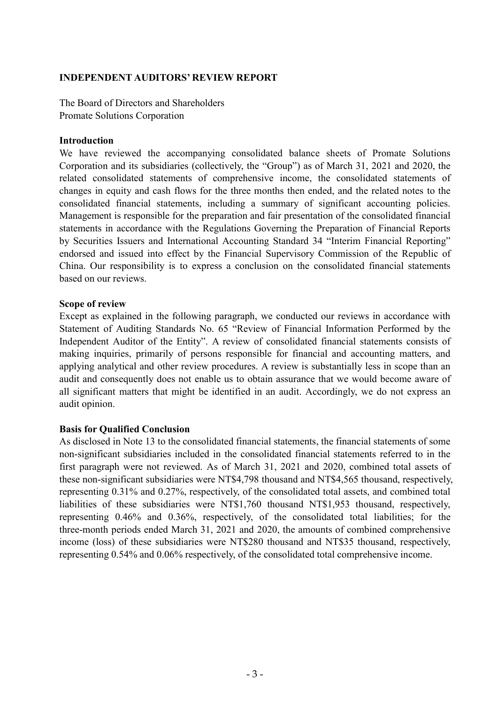### INDEPENDENT AUDITORS' REVIEW REPORT

The Board of Directors and Shareholders Promate Solutions Corporation

### Introduction

We have reviewed the accompanying consolidated balance sheets of Promate Solutions Corporation and its subsidiaries (collectively, the "Group") as of March 31, 2021 and 2020, the related consolidated statements of comprehensive income, the consolidated statements of changes in equity and cash flows for the three months then ended, and the related notes to the consolidated financial statements, including a summary of significant accounting policies. Management is responsible for the preparation and fair presentation of the consolidated financial statements in accordance with the Regulations Governing the Preparation of Financial Reports by Securities Issuers and International Accounting Standard 34 "Interim Financial Reporting" endorsed and issued into effect by the Financial Supervisory Commission of the Republic of China. Our responsibility is to express a conclusion on the consolidated financial statements based on our reviews.

### Scope of review

Except as explained in the following paragraph, we conducted our reviews in accordance with Statement of Auditing Standards No. 65 "Review of Financial Information Performed by the Independent Auditor of the Entity". A review of consolidated financial statements consists of making inquiries, primarily of persons responsible for financial and accounting matters, and applying analytical and other review procedures. A review is substantially less in scope than an audit and consequently does not enable us to obtain assurance that we would become aware of all significant matters that might be identified in an audit. Accordingly, we do not express an audit opinion.

### Basis for Qualified Conclusion

As disclosed in Note 13 to the consolidated financial statements, the financial statements of some non-significant subsidiaries included in the consolidated financial statements referred to in the first paragraph were not reviewed. As of March 31, 2021 and 2020, combined total assets of these non-significant subsidiaries were NT\$4,798 thousand and NT\$4,565 thousand, respectively, representing 0.31% and 0.27%, respectively, of the consolidated total assets, and combined total liabilities of these subsidiaries were NT\$1,760 thousand NT\$1,953 thousand, respectively, representing 0.46% and 0.36%, respectively, of the consolidated total liabilities; for the three-month periods ended March 31, 2021 and 2020, the amounts of combined comprehensive income (loss) of these subsidiaries were NT\$280 thousand and NT\$35 thousand, respectively, representing 0.54% and 0.06% respectively, of the consolidated total comprehensive income.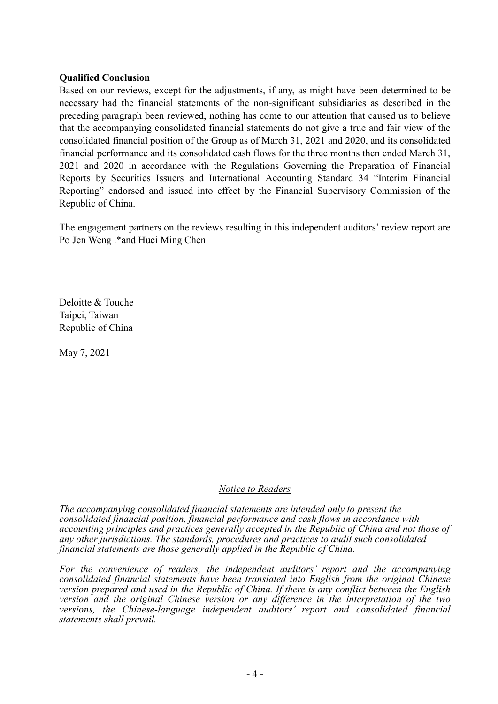### Qualified Conclusion

Based on our reviews, except for the adjustments, if any, as might have been determined to be necessary had the financial statements of the non-significant subsidiaries as described in the preceding paragraph been reviewed, nothing has come to our attention that caused us to believe that the accompanying consolidated financial statements do not give a true and fair view of the consolidated financial position of the Group as of March 31, 2021 and 2020, and its consolidated financial performance and its consolidated cash flows for the three months then ended March 31, 2021 and 2020 in accordance with the Regulations Governing the Preparation of Financial Reports by Securities Issuers and International Accounting Standard 34 "Interim Financial Reporting" endorsed and issued into effect by the Financial Supervisory Commission of the Republic of China.

The engagement partners on the reviews resulting in this independent auditors' review report are Po Jen Weng .\*and Huei Ming Chen

Deloitte & Touche Taipei, Taiwan Republic of China

May 7, 2021

### Notice to Readers

The accompanying consolidated financial statements are intended only to present the consolidated financial position, financial performance and cash flows in accordance with accounting principles and practices generally accepted in the Republic of China and not those of any other jurisdictions. The standards, procedures and practices to audit such consolidated financial statements are those generally applied in the Republic of China.

For the convenience of readers, the independent auditors' report and the accompanying consolidated financial statements have been translated into English from the original Chinese version prepared and used in the Republic of China. If there is any conflict between the English version and the original Chinese version or any difference in the interpretation of the two versions, the Chinese-language independent auditors' report and consolidated financial statements shall prevail.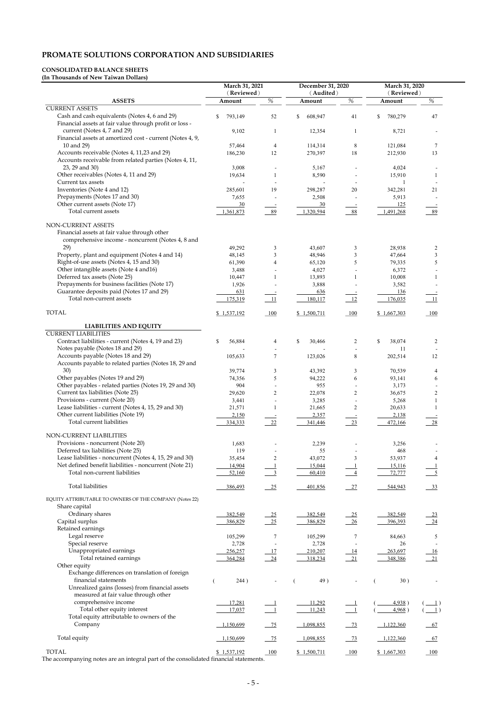# PROMATE SOLUTIONS CORPORATION AND SUBSIDIARIES

## CONSOLIDATED BALANCE SHEETS

(In Thousands of New Taiwan Dollars)

|                                                                                                                         | March 31, 2021       |                            | December 31, 2020   | March 31, 2020             |                      |                                                                                                                                                                                                                                                                                                                                                                                                                                                                                                                                                                                                            |
|-------------------------------------------------------------------------------------------------------------------------|----------------------|----------------------------|---------------------|----------------------------|----------------------|------------------------------------------------------------------------------------------------------------------------------------------------------------------------------------------------------------------------------------------------------------------------------------------------------------------------------------------------------------------------------------------------------------------------------------------------------------------------------------------------------------------------------------------------------------------------------------------------------------|
| <b>ASSETS</b>                                                                                                           | (Reviewed)<br>Amount | $\%$                       | (Audited)<br>Amount | $\%$                       | (Reviewed)<br>Amount | $\%$                                                                                                                                                                                                                                                                                                                                                                                                                                                                                                                                                                                                       |
| <b>CURRENT ASSETS</b>                                                                                                   |                      |                            |                     |                            |                      |                                                                                                                                                                                                                                                                                                                                                                                                                                                                                                                                                                                                            |
| Cash and cash equivalents (Notes 4, 6 and 29)<br>Financial assets at fair value through profit or loss -                | 793,149<br>S.        | 52                         | 608,947<br>\$       | 41                         | \$<br>780,279        | 47                                                                                                                                                                                                                                                                                                                                                                                                                                                                                                                                                                                                         |
| current (Notes 4, 7 and 29)<br>Financial assets at amortized cost - current (Notes 4, 9,                                | 9,102                |                            | 12,354              | -1                         | 8,721                | $\overline{\phantom{a}}$                                                                                                                                                                                                                                                                                                                                                                                                                                                                                                                                                                                   |
| 10 and 29)                                                                                                              | 57,464               | 4                          | 114,314             | $\,8\,$                    | 121,084              | 7                                                                                                                                                                                                                                                                                                                                                                                                                                                                                                                                                                                                          |
| Accounts receivable (Notes 4, 11,23 and 29)<br>Accounts receivable from related parties (Notes 4, 11,                   | 186,230              | 12                         | 270,397             | 18                         | 212,930              | 13                                                                                                                                                                                                                                                                                                                                                                                                                                                                                                                                                                                                         |
| 23, 29 and 30)                                                                                                          | 3,008                |                            | 5,167               |                            | 4,024                |                                                                                                                                                                                                                                                                                                                                                                                                                                                                                                                                                                                                            |
| Other receivables (Notes 4, 11 and 29)<br>Current tax assets                                                            | 19,634               |                            | 8,590               |                            | 15,910               | 1                                                                                                                                                                                                                                                                                                                                                                                                                                                                                                                                                                                                          |
| Inventories (Note 4 and 12)                                                                                             | 285,601              | 19                         | 298,287             | 20                         | 342,281              | 21                                                                                                                                                                                                                                                                                                                                                                                                                                                                                                                                                                                                         |
| Prepayments (Notes 17 and 30)                                                                                           | 7,655                |                            | 2,508               |                            | 5,913                |                                                                                                                                                                                                                                                                                                                                                                                                                                                                                                                                                                                                            |
| Other current assets (Note 17)                                                                                          | 30                   |                            | 30                  |                            | 125                  |                                                                                                                                                                                                                                                                                                                                                                                                                                                                                                                                                                                                            |
| Total current assets                                                                                                    | 1,361,873            | 89                         | 1,320,594           | 88                         | 1,491,268            | 89                                                                                                                                                                                                                                                                                                                                                                                                                                                                                                                                                                                                         |
| NON-CURRENT ASSETS<br>Financial assets at fair value through other<br>comprehensive income - noncurrent (Notes 4, 8 and |                      |                            |                     |                            |                      |                                                                                                                                                                                                                                                                                                                                                                                                                                                                                                                                                                                                            |
| 29)                                                                                                                     | 49,292               | 3                          | 43,607              | 3                          | 28,938               | $\overline{c}$                                                                                                                                                                                                                                                                                                                                                                                                                                                                                                                                                                                             |
| Property, plant and equipment (Notes 4 and 14)<br>Right-of-use assets (Notes 4, 15 and 30)                              | 48,145<br>61,390     | 3<br>4                     | 48,946<br>65,120    | $\mathfrak{Z}$<br>5        | 47,664<br>79,335     | 3<br>5                                                                                                                                                                                                                                                                                                                                                                                                                                                                                                                                                                                                     |
| Other intangible assets (Note 4 and 16)                                                                                 | 3,488                |                            | 4,027               |                            | 6,372                |                                                                                                                                                                                                                                                                                                                                                                                                                                                                                                                                                                                                            |
| Deferred tax assets (Note 25)                                                                                           | 10,447               |                            | 13,893              |                            | 10,008               | 1                                                                                                                                                                                                                                                                                                                                                                                                                                                                                                                                                                                                          |
| Prepayments for business facilities (Note 17)                                                                           | 1,926                |                            | 3,888               |                            | 3,582                |                                                                                                                                                                                                                                                                                                                                                                                                                                                                                                                                                                                                            |
| Guarantee deposits paid (Notes 17 and 29)                                                                               | 631                  |                            | 636                 |                            | 136                  |                                                                                                                                                                                                                                                                                                                                                                                                                                                                                                                                                                                                            |
| Total non-current assets                                                                                                | 175,319              | 11                         | 180,117             | 12                         | 176,035              | <b>11</b>                                                                                                                                                                                                                                                                                                                                                                                                                                                                                                                                                                                                  |
| <b>TOTAL</b>                                                                                                            | \$1,537,192          | 100                        | \$1,500,711         | $-100$                     | \$1,667,303          | 100                                                                                                                                                                                                                                                                                                                                                                                                                                                                                                                                                                                                        |
| <b>LIABILITIES AND EQUITY</b>                                                                                           |                      |                            |                     |                            |                      |                                                                                                                                                                                                                                                                                                                                                                                                                                                                                                                                                                                                            |
| <b>CURRENT LIABILITIES</b>                                                                                              |                      |                            |                     |                            |                      |                                                                                                                                                                                                                                                                                                                                                                                                                                                                                                                                                                                                            |
| Contract liabilities - current (Notes 4, 19 and 23)                                                                     | 56,884<br>\$         | 4                          | \$<br>30,466        | $\overline{2}$             | \$<br>38,074         | $\overline{c}$                                                                                                                                                                                                                                                                                                                                                                                                                                                                                                                                                                                             |
| Notes payable (Notes 18 and 29)                                                                                         |                      |                            |                     |                            | 11                   |                                                                                                                                                                                                                                                                                                                                                                                                                                                                                                                                                                                                            |
| Accounts payable (Notes 18 and 29)<br>Accounts payable to related parties (Notes 18, 29 and                             | 105,633              | 7                          | 123,026             | $\,8\,$                    | 202,514              | 12                                                                                                                                                                                                                                                                                                                                                                                                                                                                                                                                                                                                         |
| 30)                                                                                                                     | 39,774               | 3                          | 43,392              | $\mathfrak{Z}$             | 70,539               | 4                                                                                                                                                                                                                                                                                                                                                                                                                                                                                                                                                                                                          |
| Other payables (Notes 19 and 29)                                                                                        | 74,356               | 5                          | 94,222              | 6                          | 93,141               | 6                                                                                                                                                                                                                                                                                                                                                                                                                                                                                                                                                                                                          |
| Other payables - related parties (Notes 19, 29 and 30)<br>Current tax liabilities (Note 25)                             | 904<br>29,620        | $\overline{2}$             | 955                 | $\overline{2}$             | 3,173                |                                                                                                                                                                                                                                                                                                                                                                                                                                                                                                                                                                                                            |
| Provisions - current (Note 20)                                                                                          | 3,441                |                            | 22,078<br>3,285     |                            | 36,675<br>5,268      | 2                                                                                                                                                                                                                                                                                                                                                                                                                                                                                                                                                                                                          |
| Lease liabilities - current (Notes 4, 15, 29 and 30)                                                                    | 21,571               |                            | 21,665              | $\overline{2}$             | 20,633               |                                                                                                                                                                                                                                                                                                                                                                                                                                                                                                                                                                                                            |
| Other current liabilities (Note 19)                                                                                     | 2,150                |                            | 2,357               |                            | 2,138                |                                                                                                                                                                                                                                                                                                                                                                                                                                                                                                                                                                                                            |
| <b>Total current liabilities</b>                                                                                        | 334,333              | 22                         | 341,446             | 23                         | 472,166              | 28                                                                                                                                                                                                                                                                                                                                                                                                                                                                                                                                                                                                         |
|                                                                                                                         |                      |                            |                     |                            |                      |                                                                                                                                                                                                                                                                                                                                                                                                                                                                                                                                                                                                            |
| NON-CURRENT LIABILITIES<br>Provisions - noncurrent (Note 20)                                                            | 1,683                |                            | 2,239               |                            | 3,256                |                                                                                                                                                                                                                                                                                                                                                                                                                                                                                                                                                                                                            |
| Deferred tax liabilities (Note 25)                                                                                      | 119                  |                            | 55                  |                            | 468                  |                                                                                                                                                                                                                                                                                                                                                                                                                                                                                                                                                                                                            |
| Lease liabilities - noncurrent (Notes 4, 15, 29 and 30)                                                                 | 35,454               | $\overline{c}$             | 43,072              | 3                          | 53,937               |                                                                                                                                                                                                                                                                                                                                                                                                                                                                                                                                                                                                            |
| Net defined benefit liabilities - noncurrent (Note 21)                                                                  | 14,904               |                            | 15,044              |                            | 15,116               |                                                                                                                                                                                                                                                                                                                                                                                                                                                                                                                                                                                                            |
| Total non-current liabilities                                                                                           | 52,160               |                            | 60,410              |                            | 72,777               |                                                                                                                                                                                                                                                                                                                                                                                                                                                                                                                                                                                                            |
| <b>Total liabilities</b>                                                                                                | 386,493              | $-25$                      | 401,856             | $-27$                      | 544,943              | $\frac{33}{2}$                                                                                                                                                                                                                                                                                                                                                                                                                                                                                                                                                                                             |
| EQUITY ATTRIBUTABLE TO OWNERS OF THE COMPANY (Notes 22)<br>Share capital                                                |                      |                            |                     |                            |                      |                                                                                                                                                                                                                                                                                                                                                                                                                                                                                                                                                                                                            |
| Ordinary shares                                                                                                         | 382,549              | $\overline{\phantom{0}25}$ | 382,549             | $\overline{\phantom{0}25}$ | 382,549              | $\frac{23}{2}$                                                                                                                                                                                                                                                                                                                                                                                                                                                                                                                                                                                             |
| Capital surplus                                                                                                         | 386,829              | $-25$                      | 386,829             | 26                         | 396,393              | 24                                                                                                                                                                                                                                                                                                                                                                                                                                                                                                                                                                                                         |
| Retained earnings                                                                                                       |                      |                            |                     |                            |                      |                                                                                                                                                                                                                                                                                                                                                                                                                                                                                                                                                                                                            |
| Legal reserve                                                                                                           | 105,299              | 7                          | 105,299             | 7                          | 84,663               | 5                                                                                                                                                                                                                                                                                                                                                                                                                                                                                                                                                                                                          |
| Special reserve                                                                                                         | 2,728                |                            | 2,728               |                            | 26                   |                                                                                                                                                                                                                                                                                                                                                                                                                                                                                                                                                                                                            |
| Unappropriated earnings                                                                                                 | 256,257              | 17                         | 210,207             | 14                         | 263,697              | 16                                                                                                                                                                                                                                                                                                                                                                                                                                                                                                                                                                                                         |
| Total retained earnings                                                                                                 | 364,284              | 24                         | 318,234             | 21                         | 348,386              | 21                                                                                                                                                                                                                                                                                                                                                                                                                                                                                                                                                                                                         |
| Other equity<br>Exchange differences on translation of foreign                                                          |                      |                            |                     |                            |                      |                                                                                                                                                                                                                                                                                                                                                                                                                                                                                                                                                                                                            |
| financial statements                                                                                                    | 244)                 |                            | 49)                 |                            | 30)                  |                                                                                                                                                                                                                                                                                                                                                                                                                                                                                                                                                                                                            |
| Unrealized gains (losses) from financial assets<br>measured at fair value through other                                 |                      |                            |                     |                            |                      |                                                                                                                                                                                                                                                                                                                                                                                                                                                                                                                                                                                                            |
| comprehensive income                                                                                                    | 17,281               |                            | 11,292              |                            | 4,938)               | $\left( \underline{\hspace{1cm}}1\right)$                                                                                                                                                                                                                                                                                                                                                                                                                                                                                                                                                                  |
| Total other equity interest                                                                                             | 17,037               |                            | 11,243              |                            | 4,968)               | $\left( \underline{\hspace{1cm}}\underline{\hspace{1cm}}\underline{\hspace{1cm}}\underline{\hspace{1cm}}\underline{\hspace{1cm}}\underline{\hspace{1cm}}\underline{\hspace{1cm}}\underline{\hspace{1cm}}\underline{\hspace{1cm}}\underline{\hspace{1cm}}\underline{\hspace{1cm}}\underline{\hspace{1cm}}\underline{\hspace{1cm}}\underline{\hspace{1cm}}\underline{\hspace{1cm}}\underline{\hspace{1cm}}\underline{\hspace{1cm}}\underline{\hspace{1cm}}\underline{\hspace{1cm}}\underline{\hspace{1cm}}\underline{\hspace{1cm}}\underline{\hspace{1cm}}\underline{\hspace{1cm}}\underline{\hspace{1cm}}\$ |
| Total equity attributable to owners of the<br>Company                                                                   | 1,150,699            | $-75$                      | 1,098,855           | $-73$                      | 1,122,360            | 67                                                                                                                                                                                                                                                                                                                                                                                                                                                                                                                                                                                                         |
| Total equity                                                                                                            | 1,150,699            | $-75$                      | 1,098,855           | $-73$                      | 1,122,360            | $-67$                                                                                                                                                                                                                                                                                                                                                                                                                                                                                                                                                                                                      |
| <b>TOTAL</b>                                                                                                            | \$1,537,192          | 100                        | \$1,500,711         | $\frac{100}{2}$            | \$1,667,303          | 100                                                                                                                                                                                                                                                                                                                                                                                                                                                                                                                                                                                                        |
|                                                                                                                         |                      |                            |                     |                            |                      |                                                                                                                                                                                                                                                                                                                                                                                                                                                                                                                                                                                                            |

The accompanying notes are an integral part of the consolidated financial statements.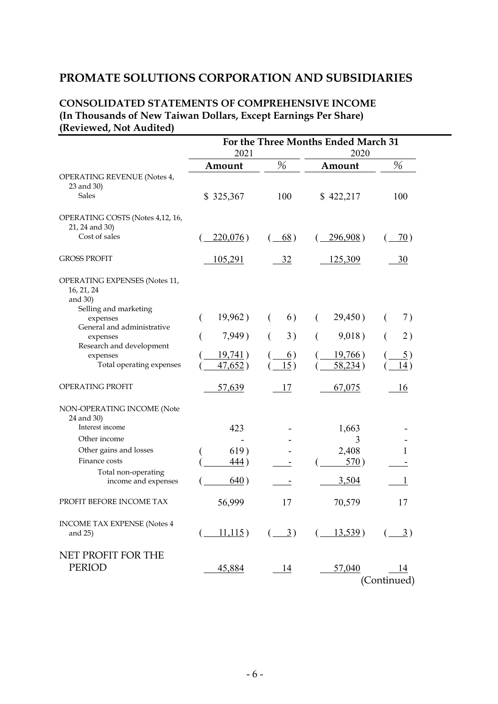## PROMATE SOLUTIONS CORPORATION AND SUBSIDIARIES

## CONSOLIDATED STATEMENTS OF COMPREHENSIVE INCOME (In Thousands of New Taiwan Dollars, Except Earnings Per Share) (Reviewed, Not Audited)

|                                                                    | For the Three Months Ended March 31<br>2021<br>2020 |                  |                                                                                                                                                                                                               |                   |
|--------------------------------------------------------------------|-----------------------------------------------------|------------------|---------------------------------------------------------------------------------------------------------------------------------------------------------------------------------------------------------------|-------------------|
|                                                                    | Amount                                              | %                | Amount                                                                                                                                                                                                        | $\%$              |
| OPERATING REVENUE (Notes 4,<br>23 and 30)                          |                                                     |                  |                                                                                                                                                                                                               |                   |
| <b>Sales</b>                                                       | \$325,367                                           | 100              | \$422,217                                                                                                                                                                                                     | 100               |
| OPERATING COSTS (Notes 4,12, 16,<br>21, 24 and 30)                 |                                                     |                  |                                                                                                                                                                                                               |                   |
| Cost of sales                                                      | $220,076$ )                                         | 68)              | <u>296,908</u> )                                                                                                                                                                                              | 70)               |
| <b>GROSS PROFIT</b>                                                | <u>105,291</u>                                      | <u>32</u>        | 125,309                                                                                                                                                                                                       | <u>30</u>         |
| OPERATING EXPENSES (Notes 11,<br>16, 21, 24<br>and 30)             |                                                     |                  |                                                                                                                                                                                                               |                   |
| Selling and marketing<br>expenses                                  | 19,962)                                             | 6)<br>$\left($   | 29,450)<br>€                                                                                                                                                                                                  | 7)<br>€           |
| General and administrative<br>expenses<br>Research and development | 7,949)                                              | 3)<br>€          | 9,018)                                                                                                                                                                                                        | 2)<br>€           |
| expenses                                                           | 19,741)                                             | $\underline{6})$ | 19,766)                                                                                                                                                                                                       | <u>5</u> )        |
| Total operating expenses                                           | 47,652)                                             | 15)              | 58,234)                                                                                                                                                                                                       | 14)               |
| OPERATING PROFIT                                                   | 57,639                                              | 17               | 67,075                                                                                                                                                                                                        | 16                |
| NON-OPERATING INCOME (Note<br>24 and 30)                           |                                                     |                  |                                                                                                                                                                                                               |                   |
| Interest income                                                    | 423                                                 |                  | 1,663                                                                                                                                                                                                         |                   |
| Other income                                                       |                                                     |                  | 3                                                                                                                                                                                                             |                   |
| Other gains and losses<br>Finance costs                            | 619)<br>$\frac{444}{ }$                             |                  | 2,408<br>570)                                                                                                                                                                                                 |                   |
| Total non-operating                                                |                                                     |                  |                                                                                                                                                                                                               |                   |
| income and expenses                                                | 640)                                                |                  | 3,504                                                                                                                                                                                                         |                   |
| PROFIT BEFORE INCOME TAX                                           | 56,999                                              | 17               | 70,579                                                                                                                                                                                                        | 17                |
| <b>INCOME TAX EXPENSE (Notes 4</b><br>and 25)                      |                                                     |                  | $\left(\begin{array}{cccc} 11,115 \end{array}\right)$ $\left(\begin{array}{cccc} 3 \end{array}\right)$ $\left(\begin{array}{cccc} 13,539 \end{array}\right)$ $\left(\begin{array}{cccc} 3 \end{array}\right)$ |                   |
| NET PROFIT FOR THE<br><b>PERIOD</b>                                | 45,884                                              | $-14$            | 57,040                                                                                                                                                                                                        | 14<br>(Continued) |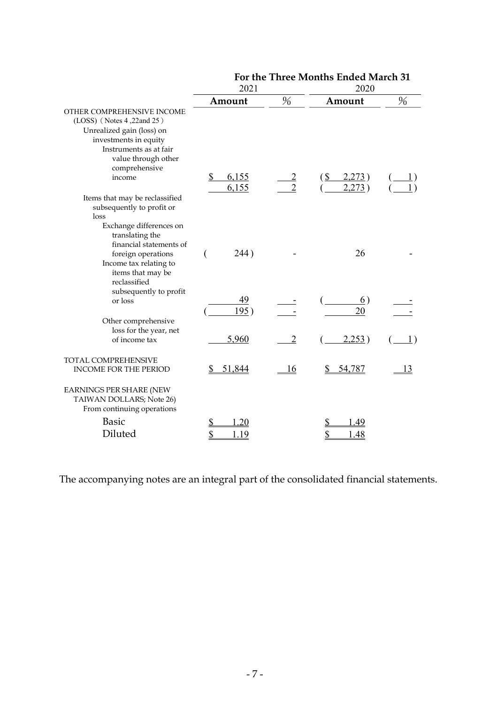|                                                                                                                                                                                           | 2021                 |                                  | 2020                                                    |                                   |  |
|-------------------------------------------------------------------------------------------------------------------------------------------------------------------------------------------|----------------------|----------------------------------|---------------------------------------------------------|-----------------------------------|--|
|                                                                                                                                                                                           | Amount               | %                                | Amount                                                  | %                                 |  |
| OTHER COMPREHENSIVE INCOME<br>(LOSS) (Notes 4,22and 25)<br>Unrealized gain (loss) on<br>investments in equity<br>Instruments as at fair<br>value through other<br>comprehensive<br>income | 6,155<br>\$<br>6,155 | $\overline{2}$<br>$\overline{2}$ | $(\underline{\mathcal{S}})$<br><u>2,273</u> )<br>2,273) |                                   |  |
| Items that may be reclassified<br>subsequently to profit or<br>loss<br>Exchange differences on<br>translating the                                                                         |                      |                                  |                                                         |                                   |  |
| financial statements of<br>foreign operations<br>Income tax relating to<br>items that may be<br>reclassified<br>subsequently to profit                                                    | 244)<br>€            |                                  | 26                                                      |                                   |  |
| or loss                                                                                                                                                                                   | 49<br>195)           |                                  | $\underline{6}$<br>20                                   |                                   |  |
| Other comprehensive<br>loss for the year, net<br>of income tax                                                                                                                            | 5,960                | $\overline{2}$                   | 2,253)                                                  | $\begin{pmatrix} 1 \end{pmatrix}$ |  |
| TOTAL COMPREHENSIVE<br><b>INCOME FOR THE PERIOD</b>                                                                                                                                       | 51,844<br>S          | <u> 16</u>                       | 54,787                                                  | 13                                |  |
| <b>EARNINGS PER SHARE (NEW</b><br>TAIWAN DOLLARS; Note 26)<br>From continuing operations                                                                                                  |                      |                                  |                                                         |                                   |  |
| <b>Basic</b>                                                                                                                                                                              | .20<br>\$            |                                  | .49                                                     |                                   |  |
| Diluted                                                                                                                                                                                   | 1.19                 |                                  | .48                                                     |                                   |  |

For the Three Months Ended March 31

The accompanying notes are an integral part of the consolidated financial statements.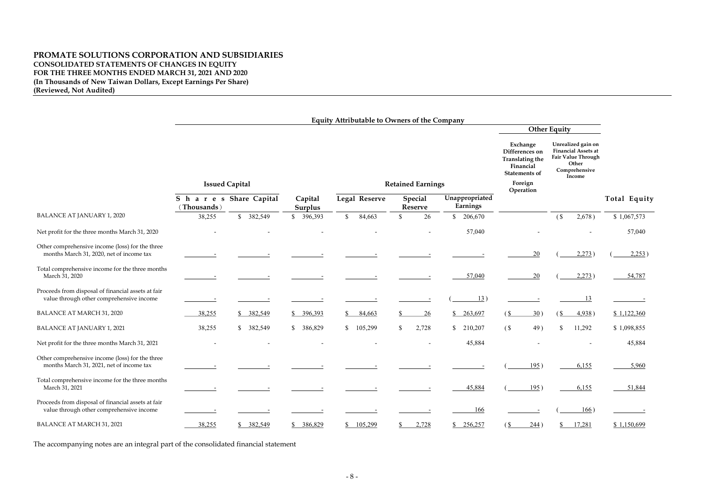## PROMATE SOLUTIONS CORPORATION AND SUBSIDIARIES CONSOLIDATED STATEMENTS OF CHANGES IN EQUITY FOR THE THREE MONTHS ENDED MARCH 31, 2021 AND 2020 (In Thousands of New Taiwan Dollars, Except Earnings Per Share) (Reviewed, Not Audited)

|                                                                                                | <b>Equity Attributable to Owners of the Company</b> |            |                           |                                                                                 |                          |                |                                                                                           |                                                                                                                   |              |
|------------------------------------------------------------------------------------------------|-----------------------------------------------------|------------|---------------------------|---------------------------------------------------------------------------------|--------------------------|----------------|-------------------------------------------------------------------------------------------|-------------------------------------------------------------------------------------------------------------------|--------------|
|                                                                                                |                                                     |            |                           |                                                                                 |                          |                |                                                                                           | <b>Other Equity</b>                                                                                               |              |
|                                                                                                |                                                     |            |                           |                                                                                 |                          |                | Exchange<br>Differences on<br><b>Translating the</b><br>Financial<br><b>Statements of</b> | Unrealized gain on<br><b>Financial Assets at</b><br><b>Fair Value Through</b><br>Other<br>Comprehensive<br>Income |              |
|                                                                                                | <b>Issued Capital</b>                               |            |                           |                                                                                 | <b>Retained Earnings</b> |                | Foreign<br>Operation                                                                      |                                                                                                                   |              |
|                                                                                                | S h a r e s Share Capital<br>(Thousands)            |            | Capital<br><b>Surplus</b> | Legal Reserve<br><b>Special</b><br>Unappropriated<br>Earnings<br><b>Reserve</b> |                          |                |                                                                                           |                                                                                                                   | Total Equity |
| <b>BALANCE AT JANUARY 1, 2020</b>                                                              | 38,255                                              | \$ 382,549 | \$ 396,393                | $\mathbb{S}$<br>84,663                                                          | 26<br>\$                 | \$ 206,670     |                                                                                           | (S)<br>2,678)                                                                                                     | \$1,067,573  |
| Net profit for the three months March 31, 2020                                                 |                                                     |            |                           |                                                                                 |                          | 57,040         |                                                                                           |                                                                                                                   | 57,040       |
| Other comprehensive income (loss) for the three<br>months March 31, 2020, net of income tax    |                                                     |            |                           |                                                                                 |                          |                | 20                                                                                        | 2,273)                                                                                                            | 2,253)       |
| Total comprehensive income for the three months<br>March 31, 2020                              |                                                     |            |                           |                                                                                 |                          | 57,040         | <b>20</b>                                                                                 | 2,273)                                                                                                            | 54,787       |
| Proceeds from disposal of financial assets at fair<br>value through other comprehensive income |                                                     |            |                           |                                                                                 |                          | 13)            |                                                                                           | 13                                                                                                                |              |
| <b>BALANCE AT MARCH 31, 2020</b>                                                               | 38,255                                              | \$382,549  | \$396,393                 | 84,663<br>S                                                                     | 26                       | 263,697<br>\$_ | 30)<br>(S)                                                                                | $\frac{1}{2}$<br>4,938)                                                                                           | \$1,122,360  |
| <b>BALANCE AT JANUARY 1, 2021</b>                                                              | 38,255                                              | \$382,549  | 386,829<br>\$             | 105,299<br>$\mathbb{S}$                                                         | 2,728<br>$\mathbb{S}$    | \$210,207      | 49)<br>(S <sup>2</sup> )                                                                  | $\boldsymbol{\mathsf{S}}$<br>11,292                                                                               | \$1,098,855  |
| Net profit for the three months March 31, 2021                                                 |                                                     |            |                           |                                                                                 |                          | 45,884         |                                                                                           |                                                                                                                   | 45,884       |
| Other comprehensive income (loss) for the three<br>months March 31, 2021, net of income tax    |                                                     |            |                           |                                                                                 |                          |                | 195)                                                                                      | 6,155                                                                                                             | 5,960        |
| Total comprehensive income for the three months<br>March 31, 2021                              |                                                     |            |                           |                                                                                 |                          | 45,884         | 195)                                                                                      | 6,155                                                                                                             | 51,844       |
| Proceeds from disposal of financial assets at fair<br>value through other comprehensive income |                                                     |            |                           |                                                                                 |                          | <u>166</u>     |                                                                                           | 166)                                                                                                              |              |
| <b>BALANCE AT MARCH 31, 2021</b>                                                               | 38,255                                              | \$382,549  | \$386,829                 | \$105,299                                                                       | 2,728<br>S.              | \$256,257      | 244)<br>(S)                                                                               | 17,281<br>$\mathbb{S}^-$                                                                                          | \$1,150,699  |

The accompanying notes are an integral part of the consolidated financial statement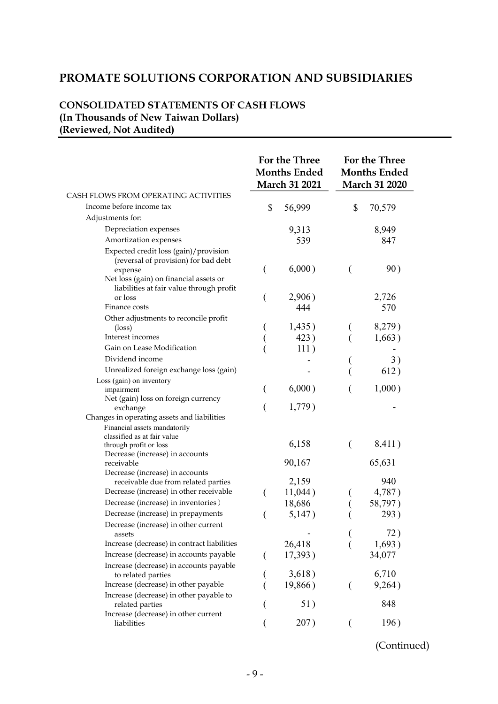## PROMATE SOLUTIONS CORPORATION AND SUBSIDIARIES

## CONSOLIDATED STATEMENTS OF CASH FLOWS (In Thousands of New Taiwan Dollars) (Reviewed, Not Audited)

|                                                                                          |    | For the Three<br><b>Months Ended</b><br><b>March 31 2021</b> |    | For the Three<br><b>Months Ended</b><br><b>March 31 2020</b> |  |
|------------------------------------------------------------------------------------------|----|--------------------------------------------------------------|----|--------------------------------------------------------------|--|
| CASH FLOWS FROM OPERATING ACTIVITIES                                                     |    |                                                              |    |                                                              |  |
| Income before income tax                                                                 | \$ | 56,999                                                       | \$ | 70,579                                                       |  |
| Adjustments for:                                                                         |    |                                                              |    |                                                              |  |
| Depreciation expenses                                                                    |    | 9,313                                                        |    | 8,949                                                        |  |
| Amortization expenses                                                                    |    | 539                                                          |    | 847                                                          |  |
| Expected credit loss (gain)/provision<br>(reversal of provision) for bad debt<br>expense |    | 6,000)                                                       | €  | 90)                                                          |  |
| Net loss (gain) on financial assets or<br>liabilities at fair value through profit       |    |                                                              |    |                                                              |  |
| or loss                                                                                  |    | 2,906)                                                       |    | 2,726                                                        |  |
| Finance costs                                                                            |    | 444                                                          |    | 570                                                          |  |
| Other adjustments to reconcile profit                                                    |    |                                                              |    |                                                              |  |
| $(\text{loss})$                                                                          |    | 1,435)                                                       |    | 8,279)                                                       |  |
| Interest incomes                                                                         |    | 423)                                                         |    | 1,663)                                                       |  |
| Gain on Lease Modification                                                               |    | 111)                                                         |    |                                                              |  |
| Dividend income                                                                          |    |                                                              |    | 3)                                                           |  |
| Unrealized foreign exchange loss (gain)                                                  |    |                                                              |    | 612)                                                         |  |
| Loss (gain) on inventory<br>impairment                                                   |    | 6,000)                                                       |    | 1,000)                                                       |  |
| Net (gain) loss on foreign currency<br>exchange                                          |    | 1,779)                                                       |    |                                                              |  |
| Changes in operating assets and liabilities<br>Financial assets mandatorily              |    |                                                              |    |                                                              |  |
| classified as at fair value<br>through profit or loss<br>Decrease (increase) in accounts |    | 6,158                                                        | €  | 8,411)                                                       |  |
| receivable<br>Decrease (increase) in accounts                                            |    | 90,167                                                       |    | 65,631                                                       |  |
| receivable due from related parties                                                      |    | 2,159                                                        |    | 940                                                          |  |
| Decrease (increase) in other receivable                                                  |    | 11,044)                                                      |    | 4,787)                                                       |  |
| Decrease (increase) in inventories)                                                      |    | 18,686                                                       |    | 58,797)                                                      |  |
| Decrease (increase) in prepayments                                                       | (  | 5,147)                                                       |    | 293)                                                         |  |
| Decrease (increase) in other current<br>assets                                           |    |                                                              |    | 72)                                                          |  |
| Increase (decrease) in contract liabilities                                              |    | 26,418                                                       |    | 1,693)                                                       |  |
| Increase (decrease) in accounts payable                                                  |    | 17,393)                                                      |    | 34,077                                                       |  |
| Increase (decrease) in accounts payable<br>to related parties                            |    | 3,618)                                                       |    | 6,710                                                        |  |
| Increase (decrease) in other payable                                                     |    | 19,866)                                                      |    | 9,264)                                                       |  |
| Increase (decrease) in other payable to<br>related parties                               |    | 51)                                                          |    | 848                                                          |  |
| Increase (decrease) in other current<br>liabilities                                      |    | 207)                                                         |    | 196)                                                         |  |

(Continued)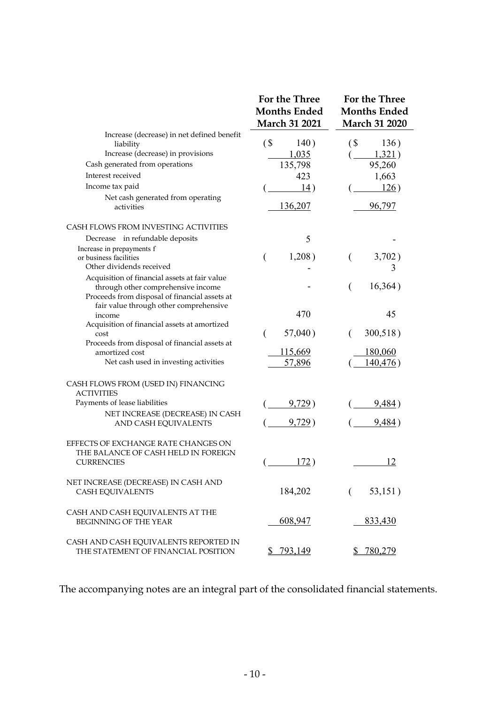|                                                                                                                                      | <b>For the Three</b><br><b>Months Ended</b><br><b>March 31 2021</b> | <b>For the Three</b><br><b>Months Ended</b><br><b>March 31 2020</b> |
|--------------------------------------------------------------------------------------------------------------------------------------|---------------------------------------------------------------------|---------------------------------------------------------------------|
| Increase (decrease) in net defined benefit<br>liability<br>Increase (decrease) in provisions                                         | $\sqrt{S}$<br>140)<br>1,035                                         | $\left( \text{\$}$<br>136)<br>1,321)                                |
| Cash generated from operations                                                                                                       | 135,798                                                             | 95,260                                                              |
| Interest received                                                                                                                    | 423                                                                 | 1,663                                                               |
| Income tax paid                                                                                                                      | 14)                                                                 | 126)                                                                |
| Net cash generated from operating<br>activities                                                                                      | <u>136,207</u>                                                      | 96,797                                                              |
| CASH FLOWS FROM INVESTING ACTIVITIES                                                                                                 |                                                                     |                                                                     |
| Decrease in refundable deposits                                                                                                      | 5                                                                   |                                                                     |
| Increase in prepayments f<br>or business facilities<br>Other dividends received                                                      | 1,208)<br>$\overline{(}$                                            | 3,702)<br>€<br>3                                                    |
| Acquisition of financial assets at fair value<br>through other comprehensive income<br>Proceeds from disposal of financial assets at |                                                                     | 16,364)                                                             |
| fair value through other comprehensive<br>income<br>Acquisition of financial assets at amortized                                     | 470                                                                 | 45                                                                  |
| cost                                                                                                                                 | 57,040)<br>€                                                        | 300,518)<br>€                                                       |
| Proceeds from disposal of financial assets at<br>amortized cost<br>Net cash used in investing activities                             | <u>115,669</u><br>57,896                                            | <u>180,060</u><br>140,476)                                          |
| CASH FLOWS FROM (USED IN) FINANCING<br><b>ACTIVITIES</b>                                                                             |                                                                     |                                                                     |
| Payments of lease liabilities                                                                                                        | <u>9,729</u> )                                                      | <u>9,484</u> )                                                      |
| NET INCREASE (DECREASE) IN CASH<br>AND CASH EQUIVALENTS                                                                              | 9,729)                                                              | <u>9,484</u> )                                                      |
| EFFECTS OF EXCHANGE RATE CHANGES ON<br>THE BALANCE OF CASH HELD IN FOREIGN<br><b>CURRENCIES</b>                                      | 172)                                                                | 12                                                                  |
| NET INCREASE (DECREASE) IN CASH AND<br><b>CASH EQUIVALENTS</b>                                                                       | 184,202                                                             | 53,151)                                                             |
| CASH AND CASH EQUIVALENTS AT THE<br><b>BEGINNING OF THE YEAR</b>                                                                     | 608,947                                                             | 833,430                                                             |
| CASH AND CASH EQUIVALENTS REPORTED IN<br>THE STATEMENT OF FINANCIAL POSITION                                                         | \$793,149                                                           | \$ 780,279                                                          |

The accompanying notes are an integral part of the consolidated financial statements.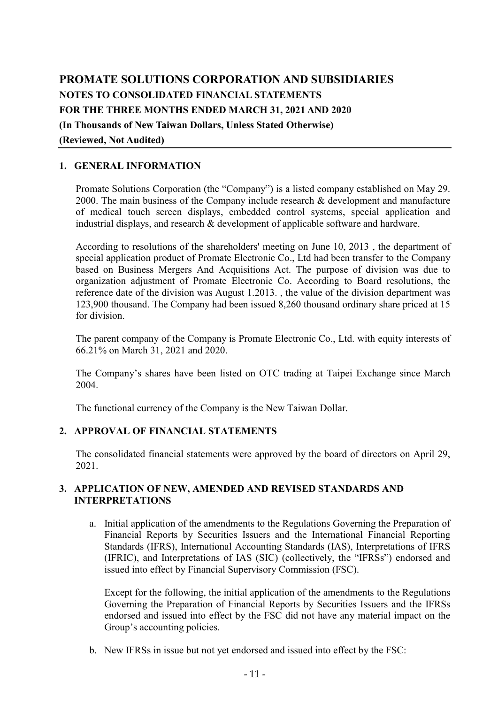# PROMATE SOLUTIONS CORPORATION AND SUBSIDIARIES NOTES TO CONSOLIDATED FINANCIAL STATEMENTS FOR THE THREE MONTHS ENDED MARCH 31, 2021 AND 2020 (In Thousands of New Taiwan Dollars, Unless Stated Otherwise) (Reviewed, Not Audited)

## 1. GENERAL INFORMATION

Promate Solutions Corporation (the "Company") is a listed company established on May 29. 2000. The main business of the Company include research & development and manufacture of medical touch screen displays, embedded control systems, special application and industrial displays, and research & development of applicable software and hardware.

According to resolutions of the shareholders' meeting on June 10, 2013 , the department of special application product of Promate Electronic Co., Ltd had been transfer to the Company based on Business Mergers And Acquisitions Act. The purpose of division was due to organization adjustment of Promate Electronic Co. According to Board resolutions, the reference date of the division was August 1.2013. , the value of the division department was 123,900 thousand. The Company had been issued 8,260 thousand ordinary share priced at 15 for division.

The parent company of the Company is Promate Electronic Co., Ltd. with equity interests of 66.21% on March 31, 2021 and 2020.

The Company's shares have been listed on OTC trading at Taipei Exchange since March 2004.

The functional currency of the Company is the New Taiwan Dollar.

## 2. APPROVAL OF FINANCIAL STATEMENTS

The consolidated financial statements were approved by the board of directors on April 29, 2021.

## 3. APPLICATION OF NEW, AMENDED AND REVISED STANDARDS AND INTERPRETATIONS

a. Initial application of the amendments to the Regulations Governing the Preparation of Financial Reports by Securities Issuers and the International Financial Reporting Standards (IFRS), International Accounting Standards (IAS), Interpretations of IFRS (IFRIC), and Interpretations of IAS (SIC) (collectively, the "IFRSs") endorsed and issued into effect by Financial Supervisory Commission (FSC).

Except for the following, the initial application of the amendments to the Regulations Governing the Preparation of Financial Reports by Securities Issuers and the IFRSs endorsed and issued into effect by the FSC did not have any material impact on the Group's accounting policies.

b. New IFRSs in issue but not yet endorsed and issued into effect by the FSC: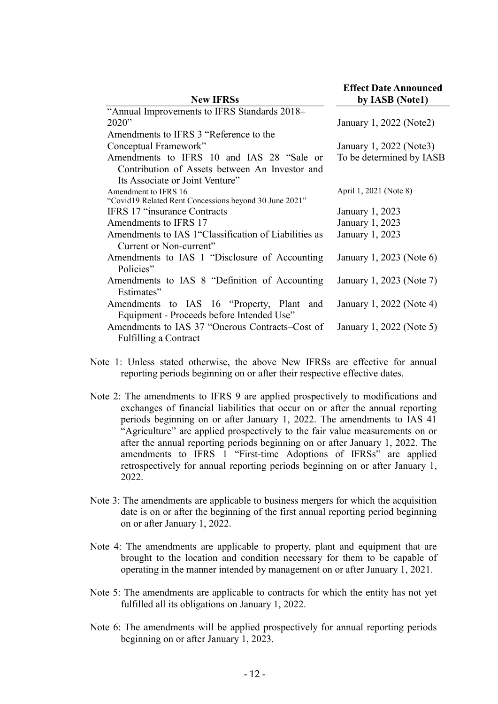| <b>New IFRSs</b>                                       | <b>Effect Date Announced</b><br>by IASB (Notel) |
|--------------------------------------------------------|-------------------------------------------------|
| "Annual Improvements to IFRS Standards 2018-           |                                                 |
| 2020"                                                  | January 1, 2022 (Note2)                         |
| Amendments to IFRS 3 "Reference to the                 |                                                 |
| Conceptual Framework"                                  | January 1, 2022 (Note3)                         |
| Amendments to IFRS 10 and IAS 28 "Sale or              | To be determined by IASB                        |
| Contribution of Assets between An Investor and         |                                                 |
| Its Associate or Joint Venture"                        |                                                 |
| Amendment to IFRS 16                                   | April 1, 2021 (Note 8)                          |
| "Covid19 Related Rent Concessions beyond 30 June 2021" |                                                 |
| <b>IFRS 17 "insurance Contracts"</b>                   | January 1, 2023                                 |
| Amendments to IFRS 17                                  | January 1, 2023                                 |
| Amendments to IAS 1 "Classification of Liabilities as  | January 1, 2023                                 |
| Current or Non-current"                                |                                                 |
| Amendments to IAS 1 "Disclosure of Accounting          | January 1, 2023 (Note 6)                        |
| Policies"                                              |                                                 |
| Amendments to IAS 8 "Definition of Accounting          | January 1, 2023 (Note 7)                        |
| Estimates"                                             |                                                 |
| Amendments to IAS 16 "Property, Plant and              | January 1, 2022 (Note 4)                        |
| Equipment - Proceeds before Intended Use"              |                                                 |
| Amendments to IAS 37 "Onerous Contracts–Cost of        | January 1, 2022 (Note 5)                        |
| <b>Fulfilling a Contract</b>                           |                                                 |

- Note 1: Unless stated otherwise, the above New IFRSs are effective for annual reporting periods beginning on or after their respective effective dates.
- Note 2: The amendments to IFRS 9 are applied prospectively to modifications and exchanges of financial liabilities that occur on or after the annual reporting periods beginning on or after January 1, 2022. The amendments to IAS 41 "Agriculture" are applied prospectively to the fair value measurements on or after the annual reporting periods beginning on or after January 1, 2022. The amendments to IFRS 1 "First-time Adoptions of IFRSs" are applied retrospectively for annual reporting periods beginning on or after January 1, 2022.
- Note 3: The amendments are applicable to business mergers for which the acquisition date is on or after the beginning of the first annual reporting period beginning on or after January 1, 2022.
- Note 4: The amendments are applicable to property, plant and equipment that are brought to the location and condition necessary for them to be capable of operating in the manner intended by management on or after January 1, 2021.
- Note 5: The amendments are applicable to contracts for which the entity has not yet fulfilled all its obligations on January 1, 2022.
- Note 6: The amendments will be applied prospectively for annual reporting periods beginning on or after January 1, 2023.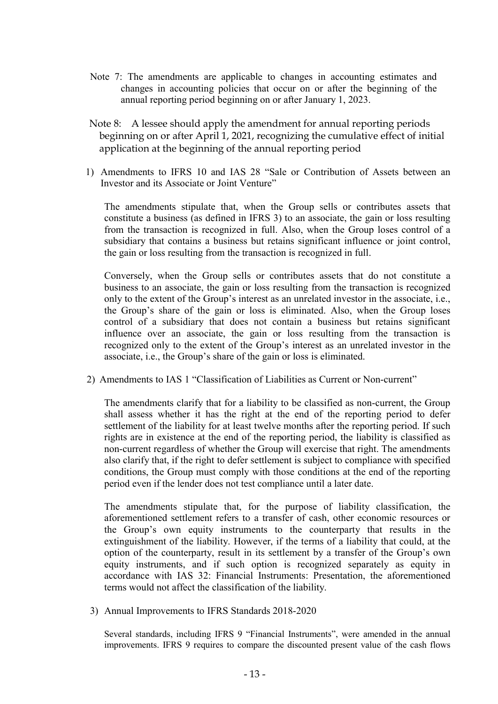- Note 7: The amendments are applicable to changes in accounting estimates and changes in accounting policies that occur on or after the beginning of the annual reporting period beginning on or after January 1, 2023.
- Note 8: A lessee should apply the amendment for annual reporting periods beginning on or after April 1, 2021, recognizing the cumulative effect of initial application at the beginning of the annual reporting period
- 1) Amendments to IFRS 10 and IAS 28 "Sale or Contribution of Assets between an Investor and its Associate or Joint Venture"

The amendments stipulate that, when the Group sells or contributes assets that constitute a business (as defined in IFRS 3) to an associate, the gain or loss resulting from the transaction is recognized in full. Also, when the Group loses control of a subsidiary that contains a business but retains significant influence or joint control, the gain or loss resulting from the transaction is recognized in full.

Conversely, when the Group sells or contributes assets that do not constitute a business to an associate, the gain or loss resulting from the transaction is recognized only to the extent of the Group's interest as an unrelated investor in the associate, i.e., the Group's share of the gain or loss is eliminated. Also, when the Group loses control of a subsidiary that does not contain a business but retains significant influence over an associate, the gain or loss resulting from the transaction is recognized only to the extent of the Group's interest as an unrelated investor in the associate, i.e., the Group's share of the gain or loss is eliminated.

2) Amendments to IAS 1 "Classification of Liabilities as Current or Non-current"

The amendments clarify that for a liability to be classified as non-current, the Group shall assess whether it has the right at the end of the reporting period to defer settlement of the liability for at least twelve months after the reporting period. If such rights are in existence at the end of the reporting period, the liability is classified as non-current regardless of whether the Group will exercise that right. The amendments also clarify that, if the right to defer settlement is subject to compliance with specified conditions, the Group must comply with those conditions at the end of the reporting period even if the lender does not test compliance until a later date.

The amendments stipulate that, for the purpose of liability classification, the aforementioned settlement refers to a transfer of cash, other economic resources or the Group's own equity instruments to the counterparty that results in the extinguishment of the liability. However, if the terms of a liability that could, at the option of the counterparty, result in its settlement by a transfer of the Group's own equity instruments, and if such option is recognized separately as equity in accordance with IAS 32: Financial Instruments: Presentation, the aforementioned terms would not affect the classification of the liability.

3) Annual Improvements to IFRS Standards 2018-2020

Several standards, including IFRS 9 "Financial Instruments", were amended in the annual improvements. IFRS 9 requires to compare the discounted present value of the cash flows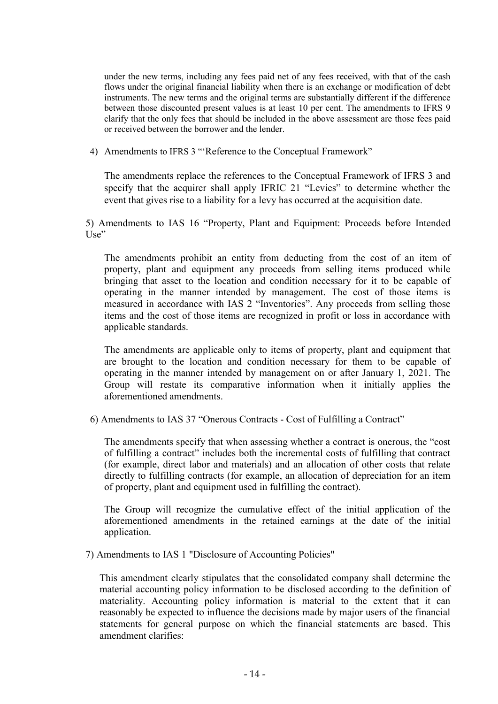under the new terms, including any fees paid net of any fees received, with that of the cash flows under the original financial liability when there is an exchange or modification of debt instruments. The new terms and the original terms are substantially different if the difference between those discounted present values is at least 10 per cent. The amendments to IFRS 9 clarify that the only fees that should be included in the above assessment are those fees paid or received between the borrower and the lender.

4) Amendments to IFRS 3 "'Reference to the Conceptual Framework"

The amendments replace the references to the Conceptual Framework of IFRS 3 and specify that the acquirer shall apply IFRIC 21 "Levies" to determine whether the event that gives rise to a liability for a levy has occurred at the acquisition date.

5) Amendments to IAS 16 "Property, Plant and Equipment: Proceeds before Intended Use"

The amendments prohibit an entity from deducting from the cost of an item of property, plant and equipment any proceeds from selling items produced while bringing that asset to the location and condition necessary for it to be capable of operating in the manner intended by management. The cost of those items is measured in accordance with IAS 2 "Inventories". Any proceeds from selling those items and the cost of those items are recognized in profit or loss in accordance with applicable standards.

The amendments are applicable only to items of property, plant and equipment that are brought to the location and condition necessary for them to be capable of operating in the manner intended by management on or after January 1, 2021. The Group will restate its comparative information when it initially applies the aforementioned amendments.

6) Amendments to IAS 37 "Onerous Contracts - Cost of Fulfilling a Contract"

The amendments specify that when assessing whether a contract is onerous, the "cost of fulfilling a contract" includes both the incremental costs of fulfilling that contract (for example, direct labor and materials) and an allocation of other costs that relate directly to fulfilling contracts (for example, an allocation of depreciation for an item of property, plant and equipment used in fulfilling the contract).

The Group will recognize the cumulative effect of the initial application of the aforementioned amendments in the retained earnings at the date of the initial application.

7) Amendments to IAS 1 "Disclosure of Accounting Policies"

This amendment clearly stipulates that the consolidated company shall determine the material accounting policy information to be disclosed according to the definition of materiality. Accounting policy information is material to the extent that it can reasonably be expected to influence the decisions made by major users of the financial statements for general purpose on which the financial statements are based. This amendment clarifies: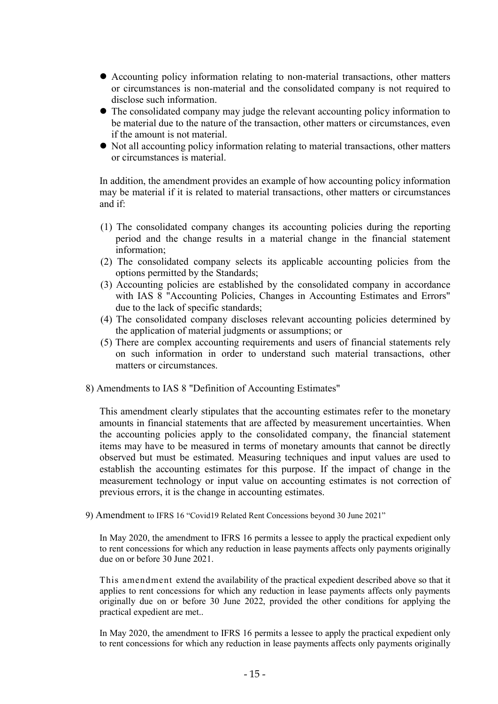- Accounting policy information relating to non-material transactions, other matters or circumstances is non-material and the consolidated company is not required to disclose such information.
- The consolidated company may judge the relevant accounting policy information to be material due to the nature of the transaction, other matters or circumstances, even if the amount is not material.
- Not all accounting policy information relating to material transactions, other matters or circumstances is material.

In addition, the amendment provides an example of how accounting policy information may be material if it is related to material transactions, other matters or circumstances and if:

- (1) The consolidated company changes its accounting policies during the reporting period and the change results in a material change in the financial statement information;
- (2) The consolidated company selects its applicable accounting policies from the options permitted by the Standards;
- (3) Accounting policies are established by the consolidated company in accordance with IAS 8 "Accounting Policies, Changes in Accounting Estimates and Errors" due to the lack of specific standards;
- (4) The consolidated company discloses relevant accounting policies determined by the application of material judgments or assumptions; or
- (5) There are complex accounting requirements and users of financial statements rely on such information in order to understand such material transactions, other matters or circumstances.
- 8) Amendments to IAS 8 "Definition of Accounting Estimates"

This amendment clearly stipulates that the accounting estimates refer to the monetary amounts in financial statements that are affected by measurement uncertainties. When the accounting policies apply to the consolidated company, the financial statement items may have to be measured in terms of monetary amounts that cannot be directly observed but must be estimated. Measuring techniques and input values are used to establish the accounting estimates for this purpose. If the impact of change in the measurement technology or input value on accounting estimates is not correction of previous errors, it is the change in accounting estimates.

9) Amendment to IFRS 16 "Covid19 Related Rent Concessions beyond 30 June 2021"

In May 2020, the amendment to IFRS 16 permits a lessee to apply the practical expedient only to rent concessions for which any reduction in lease payments affects only payments originally due on or before 30 June 2021.

This amendment extend the availability of the practical expedient described above so that it applies to rent concessions for which any reduction in lease payments affects only payments originally due on or before 30 June 2022, provided the other conditions for applying the practical expedient are met..

In May 2020, the amendment to IFRS 16 permits a lessee to apply the practical expedient only to rent concessions for which any reduction in lease payments affects only payments originally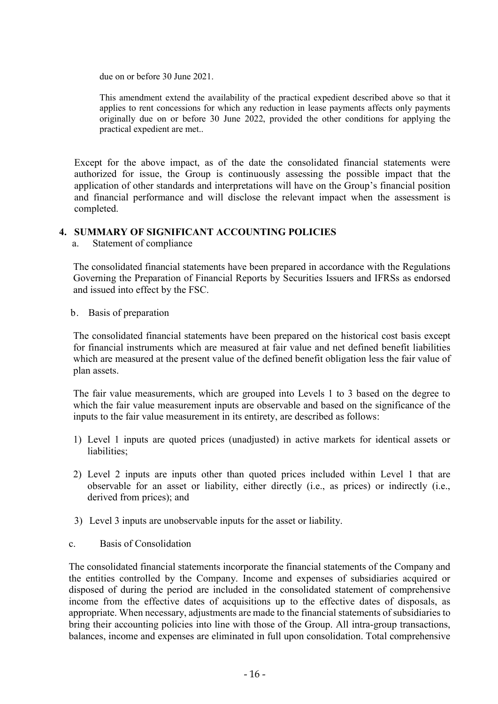due on or before 30 June 2021.

This amendment extend the availability of the practical expedient described above so that it applies to rent concessions for which any reduction in lease payments affects only payments originally due on or before 30 June 2022, provided the other conditions for applying the practical expedient are met..

Except for the above impact, as of the date the consolidated financial statements were authorized for issue, the Group is continuously assessing the possible impact that the application of other standards and interpretations will have on the Group's financial position and financial performance and will disclose the relevant impact when the assessment is completed.

### 4. SUMMARY OF SIGNIFICANT ACCOUNTING POLICIES

a. Statement of compliance

The consolidated financial statements have been prepared in accordance with the Regulations Governing the Preparation of Financial Reports by Securities Issuers and IFRSs as endorsed and issued into effect by the FSC.

b. Basis of preparation

The consolidated financial statements have been prepared on the historical cost basis except for financial instruments which are measured at fair value and net defined benefit liabilities which are measured at the present value of the defined benefit obligation less the fair value of plan assets.

The fair value measurements, which are grouped into Levels 1 to 3 based on the degree to which the fair value measurement inputs are observable and based on the significance of the inputs to the fair value measurement in its entirety, are described as follows:

- 1) Level 1 inputs are quoted prices (unadjusted) in active markets for identical assets or liabilities;
- 2) Level 2 inputs are inputs other than quoted prices included within Level 1 that are observable for an asset or liability, either directly (i.e., as prices) or indirectly (i.e., derived from prices); and
- 3) Level 3 inputs are unobservable inputs for the asset or liability.
- c. Basis of Consolidation

The consolidated financial statements incorporate the financial statements of the Company and the entities controlled by the Company. Income and expenses of subsidiaries acquired or disposed of during the period are included in the consolidated statement of comprehensive income from the effective dates of acquisitions up to the effective dates of disposals, as appropriate. When necessary, adjustments are made to the financial statements of subsidiaries to bring their accounting policies into line with those of the Group. All intra-group transactions, balances, income and expenses are eliminated in full upon consolidation. Total comprehensive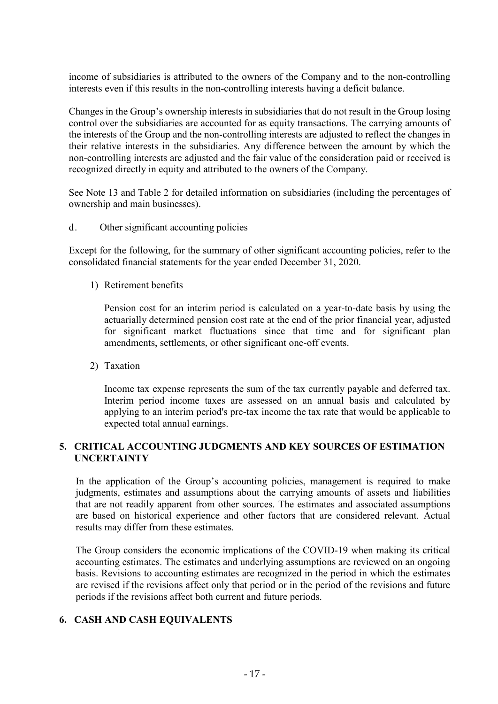income of subsidiaries is attributed to the owners of the Company and to the non-controlling interests even if this results in the non-controlling interests having a deficit balance.

Changes in the Group's ownership interests in subsidiaries that do not result in the Group losing control over the subsidiaries are accounted for as equity transactions. The carrying amounts of the interests of the Group and the non-controlling interests are adjusted to reflect the changes in their relative interests in the subsidiaries. Any difference between the amount by which the non-controlling interests are adjusted and the fair value of the consideration paid or received is recognized directly in equity and attributed to the owners of the Company.

See Note 13 and Table 2 for detailed information on subsidiaries (including the percentages of ownership and main businesses).

d. Other significant accounting policies

Except for the following, for the summary of other significant accounting policies, refer to the consolidated financial statements for the year ended December 31, 2020.

1) Retirement benefits

Pension cost for an interim period is calculated on a year-to-date basis by using the actuarially determined pension cost rate at the end of the prior financial year, adjusted for significant market fluctuations since that time and for significant plan amendments, settlements, or other significant one-off events.

2) Taxation

Income tax expense represents the sum of the tax currently payable and deferred tax. Interim period income taxes are assessed on an annual basis and calculated by applying to an interim period's pre-tax income the tax rate that would be applicable to expected total annual earnings.

## 5. CRITICAL ACCOUNTING JUDGMENTS AND KEY SOURCES OF ESTIMATION UNCERTAINTY

In the application of the Group's accounting policies, management is required to make judgments, estimates and assumptions about the carrying amounts of assets and liabilities that are not readily apparent from other sources. The estimates and associated assumptions are based on historical experience and other factors that are considered relevant. Actual results may differ from these estimates.

The Group considers the economic implications of the COVID-19 when making its critical accounting estimates. The estimates and underlying assumptions are reviewed on an ongoing basis. Revisions to accounting estimates are recognized in the period in which the estimates are revised if the revisions affect only that period or in the period of the revisions and future periods if the revisions affect both current and future periods.

## 6. CASH AND CASH EQUIVALENTS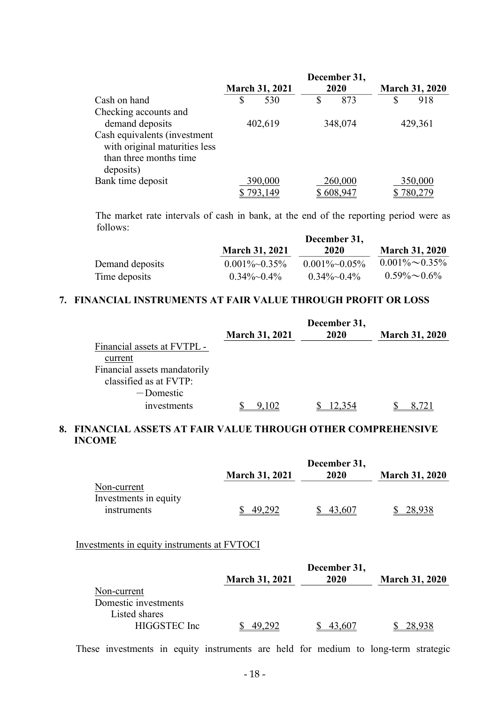|                                                                                         |         |                       |         | December 31, |                       |
|-----------------------------------------------------------------------------------------|---------|-----------------------|---------|--------------|-----------------------|
|                                                                                         |         | <b>March 31, 2021</b> |         | 2020         | <b>March 31, 2020</b> |
| Cash on hand                                                                            | \$      | 530                   | \$      | 873          | \$<br>918             |
| Checking accounts and                                                                   |         |                       |         |              |                       |
| demand deposits                                                                         | 402,619 |                       | 348,074 |              | 429,361               |
| Cash equivalents (investment<br>with original maturities less<br>than three months time |         |                       |         |              |                       |
| deposits)                                                                               |         |                       |         |              |                       |
| Bank time deposit                                                                       |         | 390,000               |         | 260,000      | 350,000               |
|                                                                                         |         | 793,149               |         | 608,947      | 780,279               |

The market rate intervals of cash in bank, at the end of the reporting period were as follows:

|                 | December 31,            |                      |                       |  |  |
|-----------------|-------------------------|----------------------|-----------------------|--|--|
|                 | <b>March 31, 2021</b>   | 2020                 | <b>March 31, 2020</b> |  |  |
| Demand deposits | $0.001\%~0.35\%$        | $0.001\%~0.05\%$     | $0.001\% \sim 0.35\%$ |  |  |
| Time deposits   | $0.34\%$ $\sim$ $0.4\%$ | $0.34\%$ $\sim$ 0.4% | $0.59\% \sim 0.6\%$   |  |  |

## 7. FINANCIAL INSTRUMENTS AT FAIR VALUE THROUGH PROFIT OR LOSS

|                              | <b>March 31, 2021</b> | December 31,<br>2020 | <b>March 31, 2020</b> |
|------------------------------|-----------------------|----------------------|-----------------------|
| Financial assets at FVTPL -  |                       |                      |                       |
| current                      |                       |                      |                       |
| Financial assets mandatorily |                       |                      |                       |
| classified as at FVTP:       |                       |                      |                       |
| -Domestic                    |                       |                      |                       |
| <i>s</i> investments         |                       |                      |                       |

### 8. FINANCIAL ASSETS AT FAIR VALUE THROUGH OTHER COMPREHENSIVE INCOME

|                       |                       | December 31, |                       |
|-----------------------|-----------------------|--------------|-----------------------|
|                       | <b>March 31, 2021</b> | 2020         | <b>March 31, 2020</b> |
| Non-current           |                       |              |                       |
| Investments in equity |                       |              |                       |
| instruments           | 49.292                | 43,607       | 28,938                |

### Investments in equity instruments at FVTOCI

|                      |                       | December 31, |                       |
|----------------------|-----------------------|--------------|-----------------------|
|                      | <b>March 31, 2021</b> | 2020         | <b>March 31, 2020</b> |
| Non-current          |                       |              |                       |
| Domestic investments |                       |              |                       |
| Listed shares        |                       |              |                       |
| HIGGSTEC Inc.        | 292                   | 43,607       |                       |

These investments in equity instruments are held for medium to long-term strategic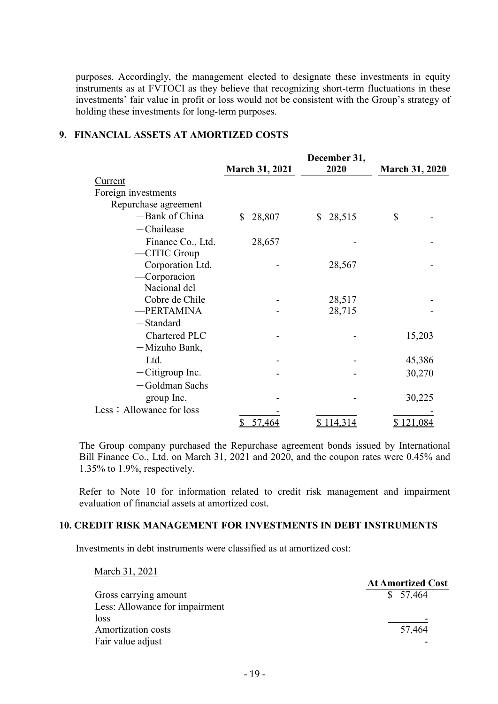purposes. Accordingly, the management elected to designate these investments in equity instruments as at FVTOCI as they believe that recognizing short-term fluctuations in these investments' fair value in profit or loss would not be consistent with the Group's strategy of holding these investments for long-term purposes.

## 9. FINANCIAL ASSETS AT AMORTIZED COSTS

|                          | <b>March 31, 2021</b> | December 31,<br>2020 | March 31, 2020 |
|--------------------------|-----------------------|----------------------|----------------|
| Current                  |                       |                      |                |
| Foreign investments      |                       |                      |                |
| Repurchase agreement     |                       |                      |                |
| -Bank of China           | \$<br>28,807          | 28,515<br>\$         | \$             |
| $-$ Chailease            |                       |                      |                |
| Finance Co., Ltd.        | 28,657                |                      |                |
| $-CITIC$ Group           |                       |                      |                |
| Corporation Ltd.         |                       | 28,567               |                |
| -Corporacion             |                       |                      |                |
| Nacional del             |                       |                      |                |
| Cobre de Chile           |                       | 28,517               |                |
| -PERTAMINA               |                       | 28,715               |                |
| -Standard                |                       |                      |                |
| Chartered PLC            |                       |                      | 15,203         |
| -Mizuho Bank,            |                       |                      |                |
| Ltd.                     |                       |                      | 45,386         |
| $-Citigroup$ Inc.        |                       |                      | 30,270         |
| -Goldman Sachs           |                       |                      |                |
| group Inc.               |                       |                      | 30,225         |
| Less: Allowance for loss |                       |                      |                |
|                          | 57,464<br>\$          | \$114,314            | \$121,084      |

The Group company purchased the Repurchase agreement bonds issued by International Bill Finance Co., Ltd. on March 31, 2021 and 2020, and the coupon rates were 0.45% and 1.35% to 1.9%, respectively.

Refer to Note 10 for information related to credit risk management and impairment evaluation of financial assets at amortized cost.

#### 10. CREDIT RISK MANAGEMENT FOR INVESTMENTS IN DEBT INSTRUMENTS

Investments in debt instruments were classified as at amortized cost:

| March 31, 2021                 |                          |
|--------------------------------|--------------------------|
|                                | <b>At Amortized Cost</b> |
| Gross carrying amount          | \$57,464                 |
| Less: Allowance for impairment |                          |
| loss                           |                          |
| <b>Amortization costs</b>      | 57,464                   |
| Fair value adjust              |                          |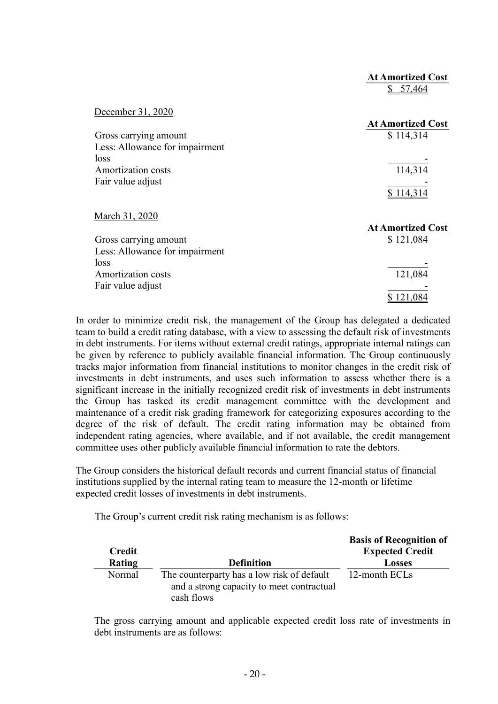|                                                                              | <b>At Amortized Cost</b><br>\$57,464  |
|------------------------------------------------------------------------------|---------------------------------------|
| December 31, 2020<br>Gross carrying amount<br>Less: Allowance for impairment | <b>At Amortized Cost</b><br>\$114,314 |
| loss<br>Amortization costs<br>Fair value adjust                              | 114,314<br>\$114,314                  |
| March 31, 2020                                                               | <b>At Amortized Cost</b>              |
| Gross carrying amount<br>Less: Allowance for impairment<br>loss              | \$121,084                             |
| Amortization costs<br>Fair value adjust                                      | 121,084<br>\$121,084                  |

In order to minimize credit risk, the management of the Group has delegated a dedicated team to build a credit rating database, with a view to assessing the default risk of investments in debt instruments. For items without external credit ratings, appropriate internal ratings can be given by reference to publicly available financial information. The Group continuously tracks major information from financial institutions to monitor changes in the credit risk of investments in debt instruments, and uses such information to assess whether there is a significant increase in the initially recognized credit risk of investments in debt instruments the Group has tasked its credit management committee with the development and maintenance of a credit risk grading framework for categorizing exposures according to the degree of the risk of default. The credit rating information may be obtained from independent rating agencies, where available, and if not available, the credit management committee uses other publicly available financial information to rate the debtors.

The Group considers the historical default records and current financial status of financial institutions supplied by the internal rating team to measure the 12-month or lifetime expected credit losses of investments in debt instruments.

The Group's current credit risk rating mechanism is as follows:

| Credit |                                            | <b>Basis of Recognition of</b><br><b>Expected Credit</b> |
|--------|--------------------------------------------|----------------------------------------------------------|
| Rating | <b>Definition</b>                          | Losses                                                   |
| Normal | The counterparty has a low risk of default | 12-month ECLs                                            |
|        | and a strong capacity to meet contractual  |                                                          |
|        | cash flows                                 |                                                          |

The gross carrying amount and applicable expected credit loss rate of investments in debt instruments are as follows: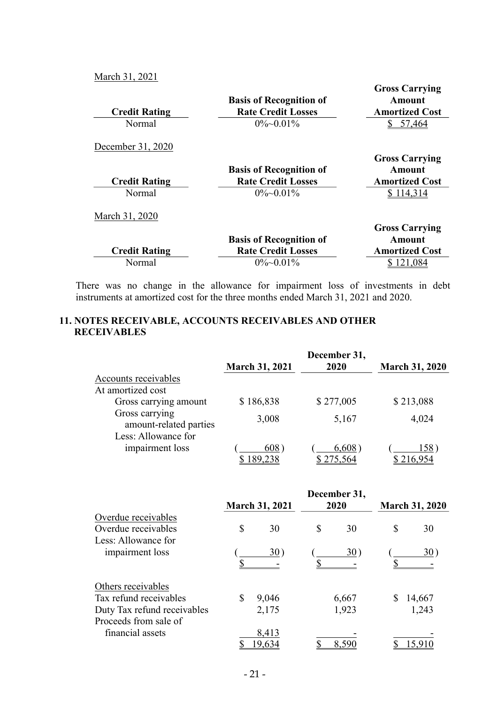March 31, 2021

| <b>Credit Rating</b> | <b>Basis of Recognition of</b><br><b>Rate Credit Losses</b> | <b>Gross Carrying</b><br>Amount<br><b>Amortized Cost</b> |
|----------------------|-------------------------------------------------------------|----------------------------------------------------------|
| Normal               | $0\%$ ~0.01%                                                | 57,464                                                   |
| December 31, 2020    |                                                             |                                                          |
|                      |                                                             | <b>Gross Carrying</b>                                    |
|                      | <b>Basis of Recognition of</b>                              | Amount                                                   |
| <b>Credit Rating</b> | <b>Rate Credit Losses</b>                                   | <b>Amortized Cost</b>                                    |
| Normal               | $0\%$ ~0.01%                                                | \$114,314                                                |
| March 31, 2020       |                                                             |                                                          |
|                      |                                                             | <b>Gross Carrying</b>                                    |
|                      | <b>Basis of Recognition of</b>                              | <b>Amount</b>                                            |
| <b>Credit Rating</b> | <b>Rate Credit Losses</b>                                   | <b>Amortized Cost</b>                                    |
| Normal               | $0\%$ ~0.01%                                                | 121,084                                                  |

There was no change in the allowance for impairment loss of investments in debt instruments at amortized cost for the three months ended March 31, 2021 and 2020.

## 11. NOTES RECEIVABLE, ACCOUNTS RECEIVABLES AND OTHER **RECEIVABLES**

|                                          |                       | December 31, |                       |
|------------------------------------------|-----------------------|--------------|-----------------------|
|                                          | <b>March 31, 2021</b> | 2020         | <b>March 31, 2020</b> |
| Accounts receivables                     |                       |              |                       |
| At amortized cost                        |                       |              |                       |
| Gross carrying amount                    | \$186,838             | \$277,005    | \$213,088             |
| Gross carrying<br>amount-related parties | 3,008                 | 5,167        | 4,024                 |
| Less: Allowance for                      |                       |              |                       |
| impairment loss                          | 608)                  | 6,608)       | 158)                  |
|                                          | 189,238               | \$275,564    | \$ 216,954            |

|                                                      |               | <b>March 31, 2021</b> | December 31,<br>2020 | <b>March 31, 2020</b> |
|------------------------------------------------------|---------------|-----------------------|----------------------|-----------------------|
| Overdue receivables                                  |               |                       |                      |                       |
| Overdue receivables                                  | <sup>\$</sup> | 30                    | \$<br>30             | \$<br>30              |
| Less: Allowance for                                  |               |                       |                      |                       |
| impairment loss                                      |               | $30^{\circ}$          | 30)                  | 30)                   |
| Others receivables                                   |               |                       |                      |                       |
| Tax refund receivables                               | S             | 9,046                 | 6,667                | 14,667                |
| Duty Tax refund receivables<br>Proceeds from sale of |               | 2,175                 | 1,923                | 1,243                 |
| financial assets                                     |               | 8,413<br>9,634        | 8.590                |                       |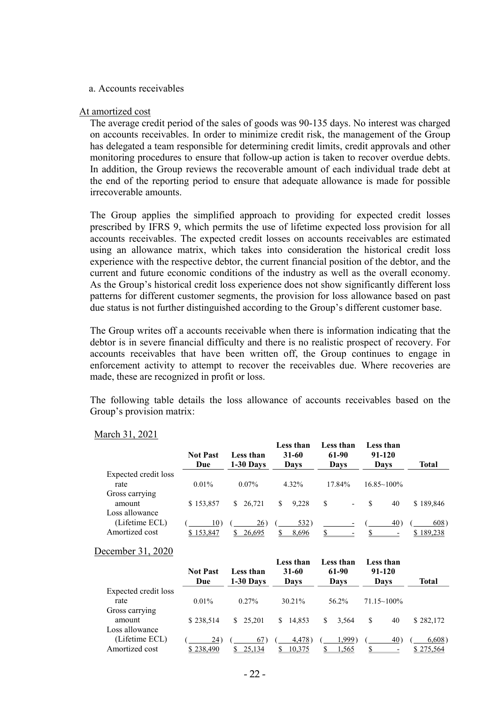#### a. Accounts receivables

#### At amortized cost

The average credit period of the sales of goods was 90-135 days. No interest was charged on accounts receivables. In order to minimize credit risk, the management of the Group has delegated a team responsible for determining credit limits, credit approvals and other monitoring procedures to ensure that follow-up action is taken to recover overdue debts. In addition, the Group reviews the recoverable amount of each individual trade debt at the end of the reporting period to ensure that adequate allowance is made for possible irrecoverable amounts.

The Group applies the simplified approach to providing for expected credit losses prescribed by IFRS 9, which permits the use of lifetime expected loss provision for all accounts receivables. The expected credit losses on accounts receivables are estimated using an allowance matrix, which takes into consideration the historical credit loss experience with the respective debtor, the current financial position of the debtor, and the current and future economic conditions of the industry as well as the overall economy. As the Group's historical credit loss experience does not show significantly different loss patterns for different customer segments, the provision for loss allowance based on past due status is not further distinguished according to the Group's different customer base.

The Group writes off a accounts receivable when there is information indicating that the debtor is in severe financial difficulty and there is no realistic prospect of recovery. For accounts receivables that have been written off, the Group continues to engage in enforcement activity to attempt to recover the receivables due. Where recoveries are made, these are recognized in profit or loss.

The following table details the loss allowance of accounts receivables based on the Group's provision matrix:

|                                            | <b>Not Past</b><br>Due | Less than<br>1-30 Days | Less than<br>31-60<br>Days | Less than<br>61-90<br>Davs    | Less than<br>$91 - 120$<br>Davs | Total             |
|--------------------------------------------|------------------------|------------------------|----------------------------|-------------------------------|---------------------------------|-------------------|
| Expected credit loss<br>rate               | $0.01\%$               | $0.07\%$               | 4.32%                      | 17.84%                        | $16.85 \sim 100\%$              |                   |
| Gross carrying<br>amount<br>Loss allowance | \$153,857              | S.<br>26,721           | \$<br>9.228                | S<br>$\overline{\phantom{a}}$ | S.<br>40                        | \$189,846         |
| (Lifetime ECL)<br>Amortized cost           | 10)<br>\$153,847       | 26)<br>26.695<br>S     | 532)<br>8,696              | \$                            | 40)<br>ፍ                        | 608)<br>\$189,238 |

#### March 31, 2021

#### December 31, 2020

|                      | <b>Not Past</b><br>Due | Less than<br>$1-30$ Days | Less than<br>$31 - 60$<br>Days | Less than<br>61-90<br>Days | Less than<br>91-120<br>Days | Total     |
|----------------------|------------------------|--------------------------|--------------------------------|----------------------------|-----------------------------|-----------|
| Expected credit loss |                        |                          |                                |                            |                             |           |
| rate                 | $0.01\%$               | $0.27\%$                 | 30.21%                         | 56.2%                      | $71.15 \times 100\%$        |           |
| Gross carrying       |                        |                          |                                |                            |                             |           |
| amount               | \$238,514              | \$25,201                 | \$14.853                       | S<br>3.564                 | \$<br>40                    | \$282,172 |
| Loss allowance       |                        |                          |                                |                            |                             |           |
| (Lifetime ECL)       | (24)                   | 67)                      | 4,478                          | .999                       | 40 <sub>1</sub>             | 6,608)    |
| Amortized cost       | \$238,490              | 25.134                   | 10,375                         | 1,565                      |                             | \$275,564 |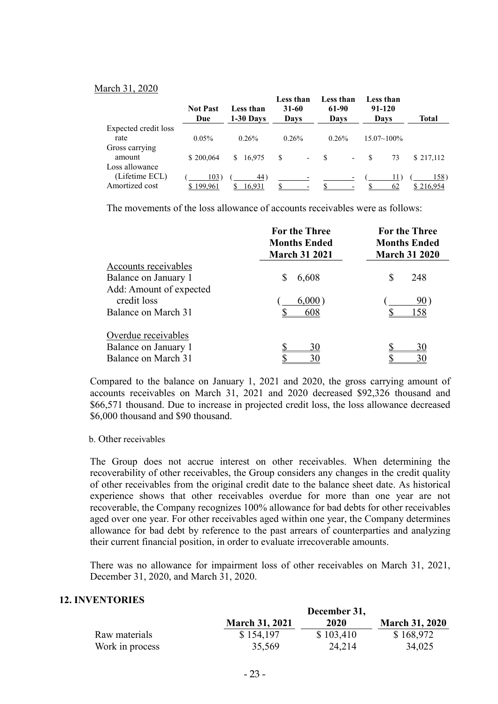#### March 31, 2020

|                      | <b>Not Past</b><br>Due | Less than<br>1-30 Days | Less than<br>31-60<br>Days     | Less than<br>61-90<br>Days     | Less than<br>91-120<br>Days | Total     |
|----------------------|------------------------|------------------------|--------------------------------|--------------------------------|-----------------------------|-----------|
| Expected credit loss |                        |                        |                                |                                |                             |           |
| rate                 | $0.05\%$               | 0.26%                  | 0.26%                          | 0.26%                          | $15.07 \sim 100\%$          |           |
| Gross carrying       |                        |                        |                                |                                |                             |           |
| amount               | \$200.064              | 16,975<br>S.           | \$<br>$\overline{\phantom{a}}$ | -8<br>$\overline{\phantom{a}}$ | 73<br>\$.                   | \$217,112 |
| Loss allowance       |                        |                        |                                |                                |                             |           |
| (Lifetime ECL)       | 103)                   | 44)                    |                                |                                | 11.                         | 158)      |
| Amortized cost       | \$199,961              | 16,931                 |                                |                                | 62                          | \$216,954 |

The movements of the loss allowance of accounts receivables were as follows:

|                                        | <b>For the Three</b><br><b>Months Ended</b><br><b>March 31 2021</b> | <b>For the Three</b><br><b>Months Ended</b><br><b>March 31 2020</b> |  |  |
|----------------------------------------|---------------------------------------------------------------------|---------------------------------------------------------------------|--|--|
| Accounts receivables                   |                                                                     |                                                                     |  |  |
| Balance on January 1                   | 6,608<br>S                                                          | \$<br>248                                                           |  |  |
| Add: Amount of expected<br>credit loss | 6,000)                                                              | 90                                                                  |  |  |
| Balance on March 31                    | 608                                                                 | 158                                                                 |  |  |
| Overdue receivables                    |                                                                     |                                                                     |  |  |
| Balance on January 1                   | 30                                                                  | 30                                                                  |  |  |
| Balance on March 31                    | 30                                                                  | 30                                                                  |  |  |

Compared to the balance on January 1, 2021 and 2020, the gross carrying amount of accounts receivables on March 31, 2021 and 2020 decreased \$92,326 thousand and \$66,571 thousand. Due to increase in projected credit loss, the loss allowance decreased \$6,000 thousand and \$90 thousand.

#### b. Other receivables

The Group does not accrue interest on other receivables. When determining the recoverability of other receivables, the Group considers any changes in the credit quality of other receivables from the original credit date to the balance sheet date. As historical experience shows that other receivables overdue for more than one year are not recoverable, the Company recognizes 100% allowance for bad debts for other receivables aged over one year. For other receivables aged within one year, the Company determines allowance for bad debt by reference to the past arrears of counterparties and analyzing their current financial position, in order to evaluate irrecoverable amounts.

There was no allowance for impairment loss of other receivables on March 31, 2021, December 31, 2020, and March 31, 2020.

### 12. INVENTORIES

|                 | December 31,          |           |                       |  |
|-----------------|-----------------------|-----------|-----------------------|--|
|                 | <b>March 31, 2021</b> | 2020      | <b>March 31, 2020</b> |  |
| Raw materials   | \$154,197             | \$103,410 | \$168,972             |  |
| Work in process | 35,569                | 24,214    | 34,025                |  |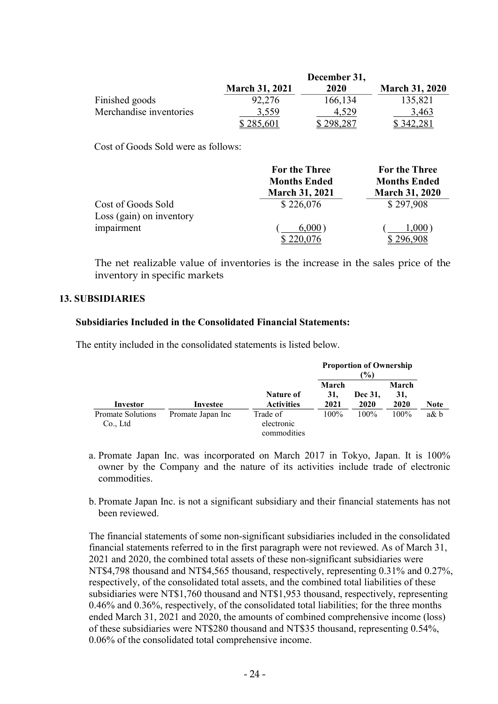|                         |                       | December 31, |                       |
|-------------------------|-----------------------|--------------|-----------------------|
|                         | <b>March 31, 2021</b> | 2020         | <b>March 31, 2020</b> |
| Finished goods          | 92,276                | 166,134      | 135,821               |
| Merchandise inventories | 3,559                 | 4.529        | 3,463                 |
|                         | \$285,601             | \$298,287    | \$342,281             |

Cost of Goods Sold were as follows:

|                          | <b>For the Three</b>  | <b>For the Three</b>  |
|--------------------------|-----------------------|-----------------------|
|                          | <b>Months Ended</b>   | <b>Months Ended</b>   |
|                          | <b>March 31, 2021</b> | <b>March 31, 2020</b> |
| Cost of Goods Sold       | \$226,076             | \$297,908             |
| Loss (gain) on inventory |                       |                       |
| impairment               | 6,000)                | 1,000)                |
|                          | \$220,076             |                       |

The net realizable value of inventories is the increase in the sales price of the inventory in specific markets

### 13. SUBSIDIARIES

### Subsidiaries Included in the Consolidated Financial Statements:

The entity included in the consolidated statements is listed below.

|                               |                   |                                       | <b>Proportion of Ownership</b><br>$\binom{0}{0}$ |                 |                      |             |
|-------------------------------|-------------------|---------------------------------------|--------------------------------------------------|-----------------|----------------------|-------------|
| Investor                      | Investee          | Nature of<br><b>Activities</b>        | March<br>31.<br>2021                             | Dec 31,<br>2020 | March<br>31.<br>2020 | <b>Note</b> |
| Promate Solutions<br>Co., Ltd | Promate Japan Inc | Trade of<br>electronic<br>commodities | $100\%$                                          | $100\%$         | $100\%$              | $a\& b$     |

- a. Promate Japan Inc. was incorporated on March 2017 in Tokyo, Japan. It is 100% owner by the Company and the nature of its activities include trade of electronic commodities.
- b. Promate Japan Inc. is not a significant subsidiary and their financial statements has not been reviewed.

The financial statements of some non-significant subsidiaries included in the consolidated financial statements referred to in the first paragraph were not reviewed. As of March 31, 2021 and 2020, the combined total assets of these non-significant subsidiaries were NT\$4,798 thousand and NT\$4,565 thousand, respectively, representing 0.31% and 0.27%, respectively, of the consolidated total assets, and the combined total liabilities of these subsidiaries were NT\$1,760 thousand and NT\$1,953 thousand, respectively, representing 0.46% and 0.36%, respectively, of the consolidated total liabilities; for the three months ended March 31, 2021 and 2020, the amounts of combined comprehensive income (loss) of these subsidiaries were NT\$280 thousand and NT\$35 thousand, representing 0.54%, 0.06% of the consolidated total comprehensive income.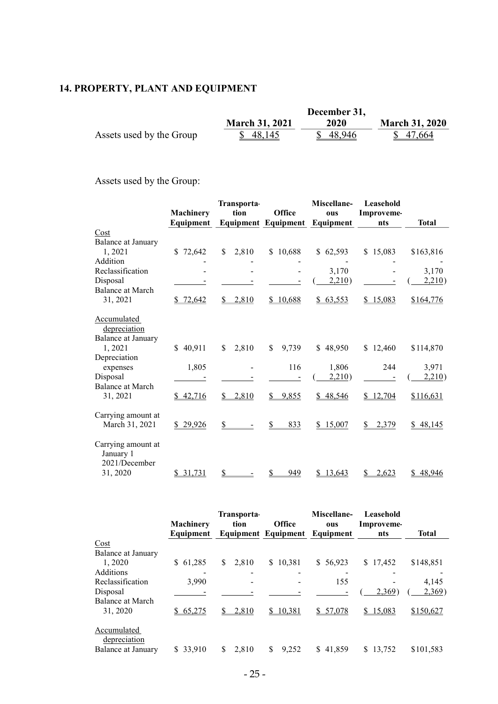## 14. PROPERTY, PLANT AND EQUIPMENT

|                          | December 31,          |          |                       |
|--------------------------|-----------------------|----------|-----------------------|
|                          | <b>March 31, 2021</b> | 2020     | <b>March 31, 2020</b> |
| Assets used by the Group | \$48,145              | \$48,946 | \$47,664              |

Assets used by the Group:

|                                                              |                  | <b>Transporta-</b> |                            | Miscellane-  | Leasehold         |              |
|--------------------------------------------------------------|------------------|--------------------|----------------------------|--------------|-------------------|--------------|
|                                                              | <b>Machinery</b> | tion               | Office                     | ous          | <b>Improveme-</b> |              |
|                                                              | Equipment        |                    | <b>Equipment Equipment</b> | Equipment    | nts               | <b>Total</b> |
| Cost                                                         |                  |                    |                            |              |                   |              |
| Balance at January                                           |                  |                    |                            |              |                   |              |
| 1,2021                                                       | \$72,642         | \$<br>2,810        | \$10,688                   | \$62,593     | \$15,083          | \$163,816    |
| Addition                                                     |                  |                    |                            |              |                   |              |
| Reclassification                                             |                  |                    |                            | 3,170        |                   | 3,170        |
| Disposal                                                     |                  |                    |                            | 2,210)       |                   | 2,210)       |
| Balance at March                                             |                  |                    |                            |              |                   |              |
| 31, 2021                                                     | \$72,642         | 2,810<br>\$.       | \$10,688                   | 63,553<br>\$ | 15,083<br>S.      | \$164,776    |
| <b>Accumulated</b><br>depreciation<br>Balance at January     |                  |                    |                            |              |                   |              |
| 1,2021                                                       | \$40,911         | 2,810<br>\$        | 9,739<br>\$                | \$48,950     | \$12,460          | \$114,870    |
| Depreciation                                                 |                  |                    |                            |              |                   |              |
| expenses                                                     | 1,805            |                    | 116                        | 1,806        | 244               | 3,971        |
| Disposal                                                     |                  |                    |                            | 2,210)       |                   | 2,210)       |
| Balance at March                                             |                  |                    |                            |              |                   |              |
| 31, 2021                                                     | \$42,716         | 2,810<br>\$        | 9,855<br>S.                | 48,546<br>S. | \$12,704          | \$116,631    |
| Carrying amount at<br>March 31, 2021                         | \$29,926         | \$                 | 833                        | 15,007<br>\$ | 2,379<br>\$       | 48,145<br>\$ |
| Carrying amount at<br>January 1<br>2021/December<br>31, 2020 | \$31,731         | S                  | 949                        | \$13,643     | 2,623             | 48,946<br>S. |
|                                                              |                  |                    |                            |              |                   |              |

|              | Transporta-      |          | Miscellane-   | Leasehold                                   |              |
|--------------|------------------|----------|---------------|---------------------------------------------|--------------|
| Equipment    |                  |          |               | nts                                         | <b>Total</b> |
|              |                  |          |               |                                             |              |
| 61,285<br>S. | 2.810<br>S       | \$10,381 | \$56,923      | \$17,452                                    | \$148,851    |
|              |                  |          |               |                                             |              |
| 3,990        |                  |          | 155           |                                             | 4,145        |
|              |                  |          |               | 2,369                                       | 2,369)       |
| \$65,275     | 2,810            | \$10,381 | \$57,078      | \$15,083                                    | \$150,627    |
| \$ 33,910    | 2.810            | 9.252    | \$41,859      | 13,752<br>S.                                | \$101,583    |
|              | <b>Machinery</b> | tion     | <b>Office</b> | ous<br><b>Equipment Equipment Equipment</b> | Improveme-   |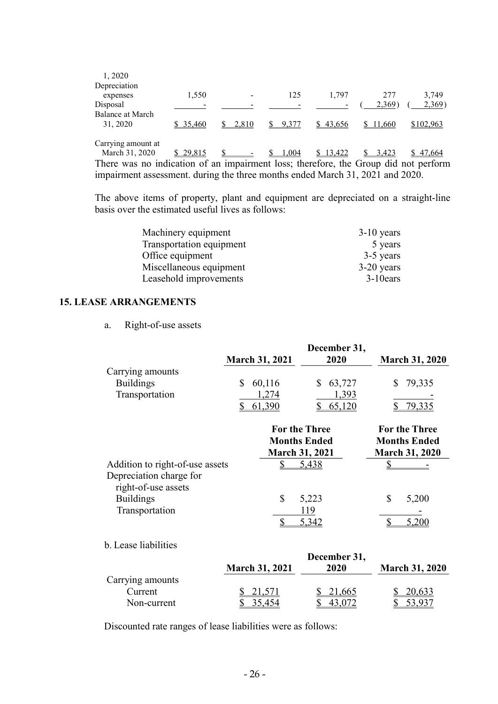| 1,2020<br>Depreciation               |          |       |       |          |              |           |
|--------------------------------------|----------|-------|-------|----------|--------------|-----------|
| expenses                             | 1,550    |       | 125   | 1,797    | 277          | 3,749     |
| Disposal                             |          |       |       |          | 2,369)       | 2,369     |
| Balance at March<br>31, 2020         | \$35,460 | 2.810 | 9,377 | \$43,656 | 11.660<br>S. | \$102,963 |
| Carrying amount at<br>March 31, 2020 | 29,815   | S     | 1.004 | 13,422   | 3.423        | 47.664    |

There was no indication of an impairment loss; therefore, the Group did not perform impairment assessment. during the three months ended March 31, 2021 and 2020.

The above items of property, plant and equipment are depreciated on a straight-line basis over the estimated useful lives as follows:

| Machinery equipment      | $3-10$ years |
|--------------------------|--------------|
| Transportation equipment | 5 years      |
| Office equipment         | 3-5 years    |
| Miscellaneous equipment  | $3-20$ years |
| Leasehold improvements   | $3-10$ ears  |

### 15. LEASE ARRANGEMENTS

a. Right-of-use assets

|                                                        | <b>March 31, 2021</b>                                        | December 31,<br>2020           | <b>March 31, 2020</b>                                        |
|--------------------------------------------------------|--------------------------------------------------------------|--------------------------------|--------------------------------------------------------------|
| Carrying amounts<br><b>Buildings</b><br>Transportation | 60,116<br>\$<br>1,274<br>61,390                              | 63,727<br>S<br>1,393<br>65,120 | 79,335<br>79,335                                             |
|                                                        | <b>For the Three</b><br><b>Months Ended</b><br>March 31 2021 |                                | <b>For the Three</b><br><b>Months Ended</b><br>March 31 2020 |

|                                 | Niarch 31, 2021 | March 31, 2020 |
|---------------------------------|-----------------|----------------|
| Addition to right-of-use assets | 5,438           | -              |
| Depreciation charge for         |                 |                |
| right-of-use assets             |                 |                |
| <b>Buildings</b>                | 5,223           | 5,200          |
| Transportation                  | 119             |                |
|                                 |                 |                |

|                  |                       | December 31, |                       |
|------------------|-----------------------|--------------|-----------------------|
|                  | <b>March 31, 2021</b> | 2020         | <b>March 31, 2020</b> |
| Carrying amounts |                       |              |                       |
| Current          | \$21,571              | \$21,665     | $-20,633$             |
| Non-current      | 35,454                |              |                       |

Discounted rate ranges of lease liabilities were as follows: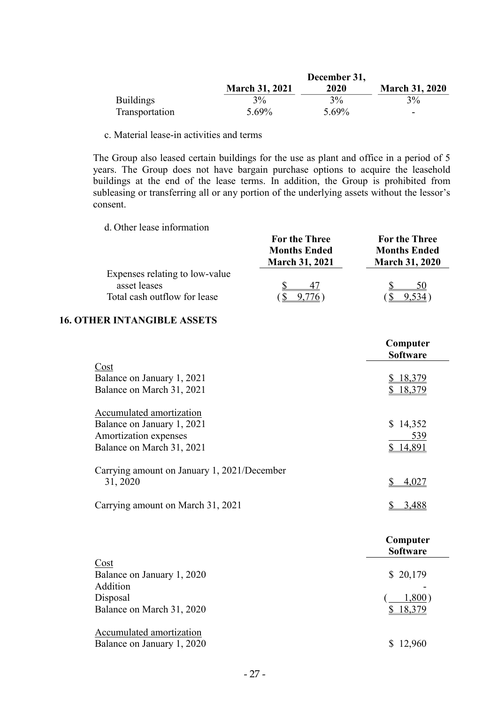|                  |                       | December 31, |                       |
|------------------|-----------------------|--------------|-----------------------|
|                  | <b>March 31, 2021</b> | <b>2020</b>  | <b>March 31, 2020</b> |
| <b>Buildings</b> | $3\%$                 | $3\%$        | 3%                    |
| Transportation   | 5.69%                 | 5.69%        | -                     |

c. Material lease-in activities and terms

The Group also leased certain buildings for the use as plant and office in a period of 5 years. The Group does not have bargain purchase options to acquire the leasehold buildings at the end of the lease terms. In addition, the Group is prohibited from subleasing or transferring all or any portion of the underlying assets without the lessor's consent.

d. Other lease information

|                                | 1 vi tilv 1 ili ve<br><b>Months Ended</b><br><b>March 31, 2021</b> | 1 vi the 1 m ee<br><b>Months Ended</b><br><b>March 31, 2020</b> |
|--------------------------------|--------------------------------------------------------------------|-----------------------------------------------------------------|
| Expenses relating to low-value |                                                                    |                                                                 |
| asset leases                   |                                                                    | 50                                                              |
| Total cash outflow for lease   |                                                                    | $534$ $^{\circ}$                                                |

For the Three

For the Three

## 16. OTHER INTANGIBLE ASSETS

|                                             | Computer<br><b>Software</b> |
|---------------------------------------------|-----------------------------|
| Cost                                        |                             |
| Balance on January 1, 2021                  | 18,379                      |
| Balance on March 31, 2021                   | \$18,379                    |
| Accumulated amortization                    |                             |
| Balance on January 1, 2021                  | 14,352<br>\$                |
| Amortization expenses                       | 539                         |
| Balance on March 31, 2021                   | \$14,891                    |
| Carrying amount on January 1, 2021/December |                             |
| 31, 2020                                    | \$<br>4,027                 |
| Carrying amount on March 31, 2021           | \$<br>3,488                 |
|                                             | Computer<br><b>Software</b> |
| Cost                                        |                             |
| Balance on January 1, 2020                  | \$20,179                    |
| Addition                                    |                             |
| Disposal                                    | 1,800)                      |
| Balance on March 31, 2020                   | 18,379                      |
| <b>Accumulated amortization</b>             |                             |
| Balance on January 1, 2020                  | \$12,960                    |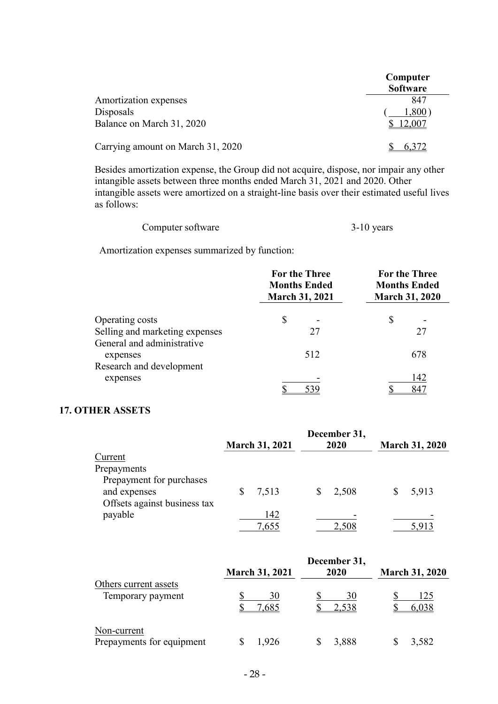|                                        | Computer<br><b>Software</b> |
|----------------------------------------|-----------------------------|
| Amortization expenses                  | 847                         |
| Disposals<br>Balance on March 31, 2020 | $.800^{\circ}$              |
| Carrying amount on March 31, 2020      |                             |

Besides amortization expense, the Group did not acquire, dispose, nor impair any other intangible assets between three months ended March 31, 2021 and 2020. Other intangible assets were amortized on a straight-line basis over their estimated useful lives as follows:

| Computer software | $3-10$ years |
|-------------------|--------------|
|-------------------|--------------|

Amortization expenses summarized by function:

|                                                                                 | <b>For the Three</b><br><b>Months Ended</b><br><b>March 31, 2021</b> | <b>For the Three</b><br><b>Months Ended</b><br><b>March 31, 2020</b> |  |
|---------------------------------------------------------------------------------|----------------------------------------------------------------------|----------------------------------------------------------------------|--|
| Operating costs<br>Selling and marketing expenses<br>General and administrative | \$<br>27                                                             | \$<br>27                                                             |  |
| expenses<br>Research and development                                            | 512                                                                  | 678                                                                  |  |
| expenses                                                                        | 539                                                                  | 142<br>847                                                           |  |

## 17. OTHER ASSETS

|                                                                          | <b>March 31, 2021</b> | December 31,<br>2020 | <b>March 31, 2020</b> |
|--------------------------------------------------------------------------|-----------------------|----------------------|-----------------------|
| Current                                                                  |                       |                      |                       |
| Prepayments                                                              |                       |                      |                       |
| Prepayment for purchases<br>and expenses<br>Offsets against business tax | 7,513                 | 2,508                | 5,913                 |
| payable                                                                  | 142                   |                      |                       |
|                                                                          | 7,655                 | 2,508                | 5,913                 |

|                                            | <b>March 31, 2021</b> | December 31,<br>2020 | <b>March 31, 2020</b> |
|--------------------------------------------|-----------------------|----------------------|-----------------------|
| Others current assets<br>Temporary payment | 30<br>7,685           | 30<br>2,538          | 125<br>6,038          |
| Non-current<br>Prepayments for equipment   | 1,926                 | 3,888                | 3,582                 |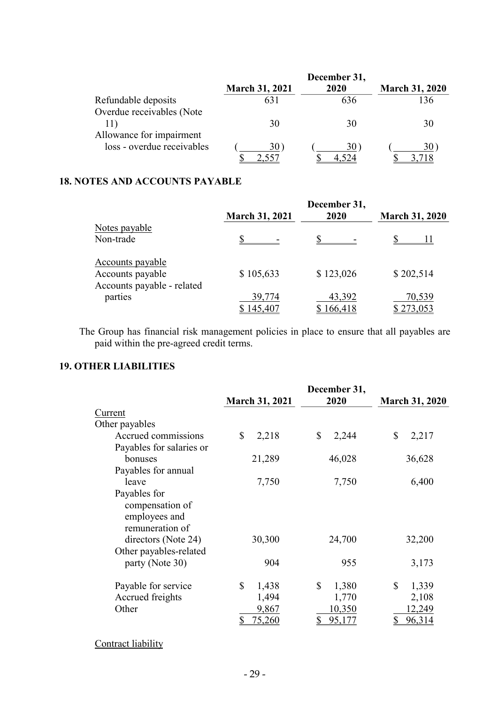|                            |                       | December 31, |                       |
|----------------------------|-----------------------|--------------|-----------------------|
|                            | <b>March 31, 2021</b> | 2020         | <b>March 31, 2020</b> |
| Refundable deposits        |                       | 636          | 136                   |
| Overdue receivables (Note  |                       |              |                       |
| 11)                        | 30                    | 30           | 30                    |
| Allowance for impairment   |                       |              |                       |
| loss - overdue receivables | 30                    | 30           | 30                    |
|                            |                       |              |                       |

## 18. NOTES AND ACCOUNTS PAYABLE

|                            | <b>March 31, 2021</b> | December 31,<br>2020 | <b>March 31, 2020</b> |
|----------------------------|-----------------------|----------------------|-----------------------|
| Notes payable              |                       |                      |                       |
| Non-trade                  |                       |                      |                       |
| Accounts payable           |                       |                      |                       |
| Accounts payable           | \$105,633             | \$123,026            | \$202,514             |
| Accounts payable - related |                       |                      |                       |
| parties                    | 39,774                | 43,392               | 70,539                |
|                            | 145,407               | \$166,418            | \$273,053             |

The Group has financial risk management policies in place to ensure that all payables are paid within the pre-agreed credit terms.

## 19. OTHER LIABILITIES

|                                                                     |                       | December 31, |                       |
|---------------------------------------------------------------------|-----------------------|--------------|-----------------------|
|                                                                     | <b>March 31, 2021</b> | 2020         | <b>March 31, 2020</b> |
| Current                                                             |                       |              |                       |
| Other payables                                                      |                       |              |                       |
| Accrued commissions                                                 | $\mathbb{S}$<br>2,218 | \$<br>2,244  | $\mathbb{S}$<br>2,217 |
| Payables for salaries or                                            |                       |              |                       |
| bonuses                                                             | 21,289                | 46,028       | 36,628                |
| Payables for annual                                                 |                       |              |                       |
| leave                                                               | 7,750                 | 7,750        | 6,400                 |
| Payables for<br>compensation of<br>employees and<br>remuneration of |                       |              |                       |
| directors (Note 24)                                                 | 30,300                | 24,700       | 32,200                |
| Other payables-related<br>party (Note 30)                           | 904                   | 955          | 3,173                 |
| Payable for service                                                 | \$<br>1,438           | \$<br>1,380  | \$<br>1,339           |
| Accrued freights                                                    | 1,494                 | 1,770        | 2,108                 |
| Other                                                               | 9,867                 | 10,350       | 12,249                |
|                                                                     | 75,260                | 95,177       | 96,314                |

Contract liability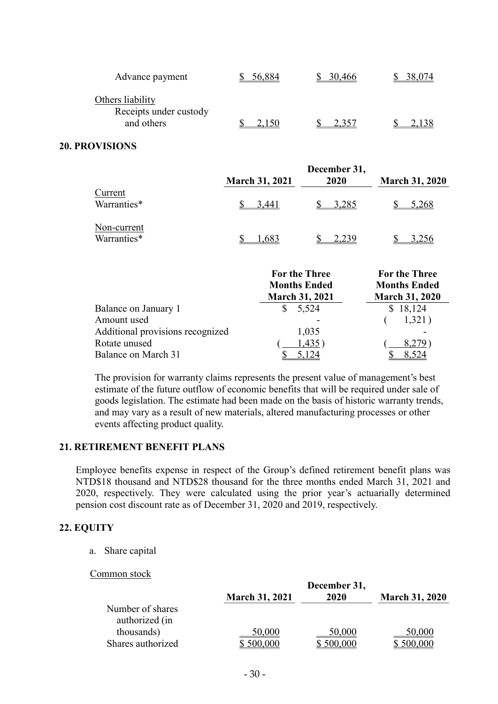| Advance payment                                          | 56.884 | 30,466 |  |
|----------------------------------------------------------|--------|--------|--|
| Others liability<br>Receipts under custody<br>and others | 15C    |        |  |

#### 20. PROVISIONS

|                            | <b>March 31, 2021</b> | December 31,<br>2020 | <b>March 31, 2020</b> |
|----------------------------|-----------------------|----------------------|-----------------------|
| Current<br>Warranties*     | 3.441                 | 3,285                | 5,268                 |
| Non-current<br>Warranties* | 1,683                 | 2.239                | 3,256                 |

|                                  | <b>For the Three</b><br><b>Months Ended</b><br><b>March 31, 2021</b> | <b>For the Three</b><br><b>Months Ended</b><br><b>March 31, 2020</b> |
|----------------------------------|----------------------------------------------------------------------|----------------------------------------------------------------------|
| Balance on January 1             | 5,524                                                                | \$18,124                                                             |
| Amount used                      |                                                                      | 1,321)                                                               |
| Additional provisions recognized | 1,035                                                                |                                                                      |
| Rotate unused                    | 1,435                                                                | 8.279                                                                |
| Balance on March 31              |                                                                      |                                                                      |

The provision for warranty claims represents the present value of management's best estimate of the future outflow of economic benefits that will be required under sale of goods legislation. The estimate had been made on the basis of historic warranty trends, and may vary as a result of new materials, altered manufacturing processes or other events affecting product quality.

## 21. RETIREMENT BENEFIT PLANS

Employee benefits expense in respect of the Group's defined retirement benefit plans was NTD\$18 thousand and NTD\$28 thousand for the three months ended March 31, 2021 and 2020, respectively. They were calculated using the prior year's actuarially determined pension cost discount rate as of December 31, 2020 and 2019, respectively.

### 22. EQUITY

a. Share capital

### Common stock

|                                    |                       | December 31,      |                       |
|------------------------------------|-----------------------|-------------------|-----------------------|
|                                    | <b>March 31, 2021</b> | 2020              | <b>March 31, 2020</b> |
| Number of shares<br>authorized (in |                       |                   |                       |
| thousands)<br>Shares authorized    | 50,000<br>\$500,000   | 50,000<br>500,000 | 50,000<br>.000        |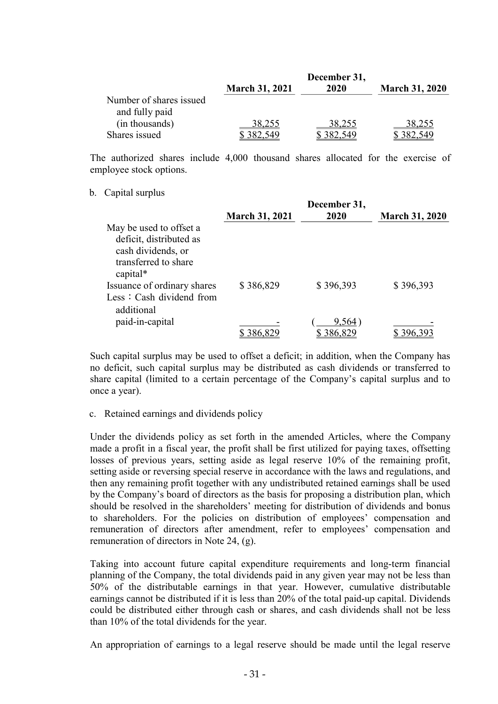|                         | December 31,          |        |                       |
|-------------------------|-----------------------|--------|-----------------------|
|                         | <b>March 31, 2021</b> | 2020   | <b>March 31, 2020</b> |
| Number of shares issued |                       |        |                       |
| and fully paid          |                       |        |                       |
| (in thousands)          | 38,255                | 38,255 | 38,255                |
| Shares issued           |                       |        |                       |

The authorized shares include 4,000 thousand shares allocated for the exercise of employee stock options.

#### b. Capital surplus

|                                                                                                              | <b>March 31, 2021</b> | December 31,<br>2020 | <b>March 31, 2020</b> |
|--------------------------------------------------------------------------------------------------------------|-----------------------|----------------------|-----------------------|
| May be used to offset a<br>deficit, distributed as<br>cash dividends, or<br>transferred to share<br>capital* |                       |                      |                       |
| Issuance of ordinary shares<br>Less: Cash dividend from<br>additional                                        | \$386,829             | \$396,393            | \$396,393             |
| paid-in-capital                                                                                              | 386,829               | 9,564)<br>\$386,829  | 396.3                 |

Such capital surplus may be used to offset a deficit; in addition, when the Company has no deficit, such capital surplus may be distributed as cash dividends or transferred to share capital (limited to a certain percentage of the Company's capital surplus and to once a year).

### c. Retained earnings and dividends policy

Under the dividends policy as set forth in the amended Articles, where the Company made a profit in a fiscal year, the profit shall be first utilized for paying taxes, offsetting losses of previous years, setting aside as legal reserve 10% of the remaining profit, setting aside or reversing special reserve in accordance with the laws and regulations, and then any remaining profit together with any undistributed retained earnings shall be used by the Company's board of directors as the basis for proposing a distribution plan, which should be resolved in the shareholders' meeting for distribution of dividends and bonus to shareholders. For the policies on distribution of employees' compensation and remuneration of directors after amendment, refer to employees' compensation and remuneration of directors in Note 24, (g).

Taking into account future capital expenditure requirements and long-term financial planning of the Company, the total dividends paid in any given year may not be less than 50% of the distributable earnings in that year. However, cumulative distributable earnings cannot be distributed if it is less than 20% of the total paid-up capital. Dividends could be distributed either through cash or shares, and cash dividends shall not be less than 10% of the total dividends for the year.

An appropriation of earnings to a legal reserve should be made until the legal reserve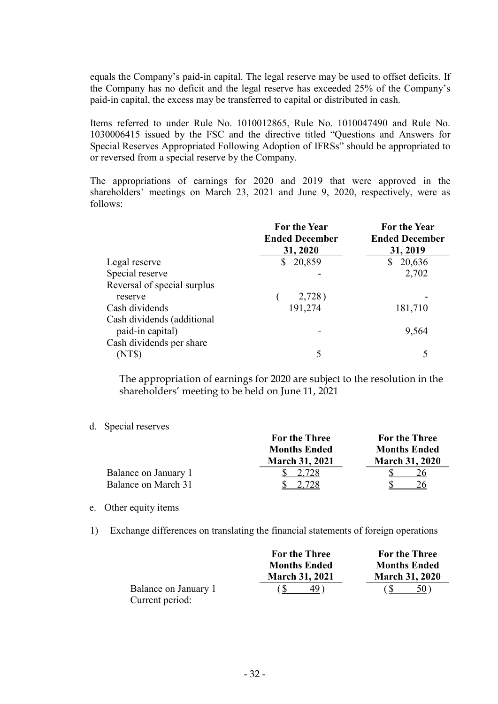equals the Company's paid-in capital. The legal reserve may be used to offset deficits. If the Company has no deficit and the legal reserve has exceeded 25% of the Company's paid-in capital, the excess may be transferred to capital or distributed in cash.

Items referred to under Rule No. 1010012865, Rule No. 1010047490 and Rule No. 1030006415 issued by the FSC and the directive titled "Questions and Answers for Special Reserves Appropriated Following Adoption of IFRSs" should be appropriated to or reversed from a special reserve by the Company.

The appropriations of earnings for 2020 and 2019 that were approved in the shareholders' meetings on March 23, 2021 and June 9, 2020, respectively, were as follows:

|                             | For the Year<br><b>Ended December</b> | <b>For the Year</b><br><b>Ended December</b> |
|-----------------------------|---------------------------------------|----------------------------------------------|
|                             | 31, 2020                              | 31, 2019                                     |
| Legal reserve               | 20,859                                | 20,636<br>\$                                 |
| Special reserve             |                                       | 2,702                                        |
| Reversal of special surplus |                                       |                                              |
| reserve                     | 2,728)                                |                                              |
| Cash dividends              | 191,274                               | 181,710                                      |
| Cash dividends (additional  |                                       |                                              |
| paid-in capital)            |                                       | 9,564                                        |
| Cash dividends per share    |                                       |                                              |
| (NT\$)                      | 5                                     |                                              |

The appropriation of earnings for 2020 are subject to the resolution in the shareholders' meeting to be held on June 11, 2021

d. Special reserves

|                      | <b>For the Three</b>  | <b>For the Three</b>  |
|----------------------|-----------------------|-----------------------|
|                      | <b>Months Ended</b>   | <b>Months Ended</b>   |
|                      | <b>March 31, 2021</b> | <b>March 31, 2020</b> |
| Balance on January 1 | 2.728                 |                       |
| Balance on March 31  |                       |                       |

#### e. Other equity items

1) Exchange differences on translating the financial statements of foreign operations

|                      | <b>For the Three</b>  | <b>For the Three</b>  |
|----------------------|-----------------------|-----------------------|
|                      | <b>Months Ended</b>   | <b>Months Ended</b>   |
|                      | <b>March 31, 2021</b> | <b>March 31, 2020</b> |
| Balance on January 1 | 49)                   | 50)                   |
| Current period:      |                       |                       |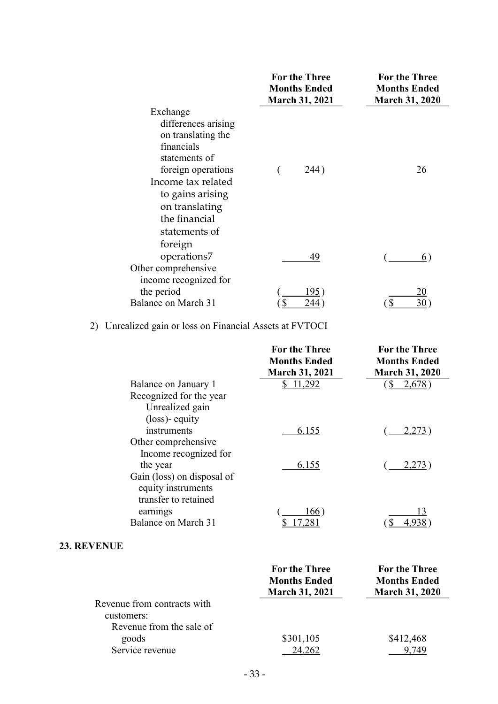|                                                                                                                                                                                                          | <b>For the Three</b><br><b>Months Ended</b><br><b>March 31, 2021</b> | <b>For the Three</b><br><b>Months Ended</b><br><b>March 31, 2020</b> |
|----------------------------------------------------------------------------------------------------------------------------------------------------------------------------------------------------------|----------------------------------------------------------------------|----------------------------------------------------------------------|
| Exchange<br>differences arising<br>on translating the<br>financials<br>statements of<br>foreign operations<br>Income tax related<br>to gains arising<br>on translating<br>the financial<br>statements of | 244)                                                                 | 26                                                                   |
| foreign<br>operations7<br>Other comprehensive                                                                                                                                                            | 49                                                                   | 6)                                                                   |
| income recognized for<br>the period<br>Balance on March 31                                                                                                                                               | 195<br>244                                                           | 20<br>$\mathbb{S}$<br>30                                             |

## 2) Unrealized gain or loss on Financial Assets at FVTOCI

|                                                                          | <b>For the Three</b><br><b>Months Ended</b><br><b>March 31, 2021</b> | <b>For the Three</b><br><b>Months Ended</b><br><b>March 31, 2020</b> |
|--------------------------------------------------------------------------|----------------------------------------------------------------------|----------------------------------------------------------------------|
| Balance on January 1                                                     | \$11,292                                                             | 2,678)<br>$\mathbb{S}$                                               |
| Recognized for the year                                                  |                                                                      |                                                                      |
| Unrealized gain                                                          |                                                                      |                                                                      |
| (loss)- equity                                                           |                                                                      |                                                                      |
| instruments                                                              | 6,155                                                                | 2,273                                                                |
| Other comprehensive                                                      |                                                                      |                                                                      |
| Income recognized for                                                    |                                                                      |                                                                      |
| the year                                                                 | 6,155                                                                | 2,273)                                                               |
| Gain (loss) on disposal of<br>equity instruments<br>transfer to retained |                                                                      |                                                                      |
| earnings                                                                 | 166)                                                                 | 13                                                                   |
| Balance on March 31                                                      | 7.281                                                                | 4,938                                                                |
| <b>23. REVENUE</b>                                                       |                                                                      |                                                                      |

|                             | <b>For the Three</b><br><b>Months Ended</b><br><b>March 31, 2021</b> | <b>For the Three</b><br><b>Months Ended</b><br><b>March 31, 2020</b> |
|-----------------------------|----------------------------------------------------------------------|----------------------------------------------------------------------|
| Revenue from contracts with |                                                                      |                                                                      |
| customers:                  |                                                                      |                                                                      |
| Revenue from the sale of    |                                                                      |                                                                      |
| goods                       | \$301,105                                                            | \$412,468                                                            |
| Service revenue             |                                                                      |                                                                      |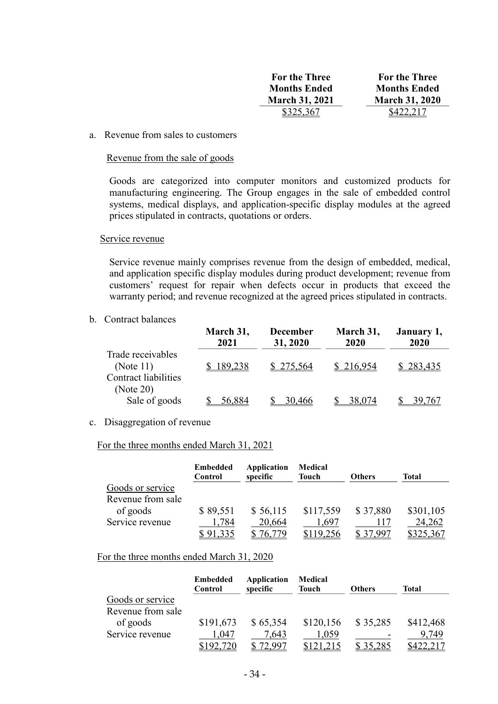| <b>For the Three</b>  | <b>For the Three</b>  |
|-----------------------|-----------------------|
| <b>Months Ended</b>   | <b>Months Ended</b>   |
| <b>March 31, 2021</b> | <b>March 31, 2020</b> |
| \$325,367             | \$422,217             |

#### a. Revenue from sales to customers

#### Revenue from the sale of goods

Goods are categorized into computer monitors and customized products for manufacturing engineering. The Group engages in the sale of embedded control systems, medical displays, and application-specific display modules at the agreed prices stipulated in contracts, quotations or orders.

#### Service revenue

Service revenue mainly comprises revenue from the design of embedded, medical, and application specific display modules during product development; revenue from customers' request for repair when defects occur in products that exceed the warranty period; and revenue recognized at the agreed prices stipulated in contracts.

b. Contract balances

|                                                                  | March 31,<br>2021 | <b>December</b><br>31, 2020 | March 31,<br>2020 | January 1,<br>2020 |
|------------------------------------------------------------------|-------------------|-----------------------------|-------------------|--------------------|
| Trade receivables<br>(Note $11$ )<br><b>Contract liabilities</b> | 189,238           | \$275,564                   | \$216,954         | 283,435            |
| (Note 20)<br>Sale of goods                                       | 56,884            | 30,466                      | 38,074            | 39.767             |

#### c. Disaggregation of revenue

#### For the three months ended March 31, 2021

|                   | <b>Embedded</b><br>Control | Application<br>specific | Medical<br><b>Touch</b> | <b>Others</b> | Total     |
|-------------------|----------------------------|-------------------------|-------------------------|---------------|-----------|
| Goods or service  |                            |                         |                         |               |           |
| Revenue from sale |                            |                         |                         |               |           |
| of goods          | \$89,551                   | \$56,115                | \$117,559               | \$37,880      | \$301,105 |
| Service revenue   | 1,784                      | 20,664                  | .697                    | 117           | 24,262    |
|                   | \$91,335                   |                         | \$119,256               |               | \$325,367 |

#### For the three months ended March 31, 2020

|                   | <b>Embedded</b><br>Control | Application<br>specific | Medical<br><b>Touch</b> | <b>Others</b> | Total     |
|-------------------|----------------------------|-------------------------|-------------------------|---------------|-----------|
| Goods or service  |                            |                         |                         |               |           |
| Revenue from sale |                            |                         |                         |               |           |
| of goods          | \$191,673                  | \$65,354                | \$120,156               | \$35,285      | \$412,468 |
| Service revenue   | 1,047                      | 7,643                   | 1,059                   |               | 9,749     |
|                   | \$192,720                  |                         |                         | \$35,285      |           |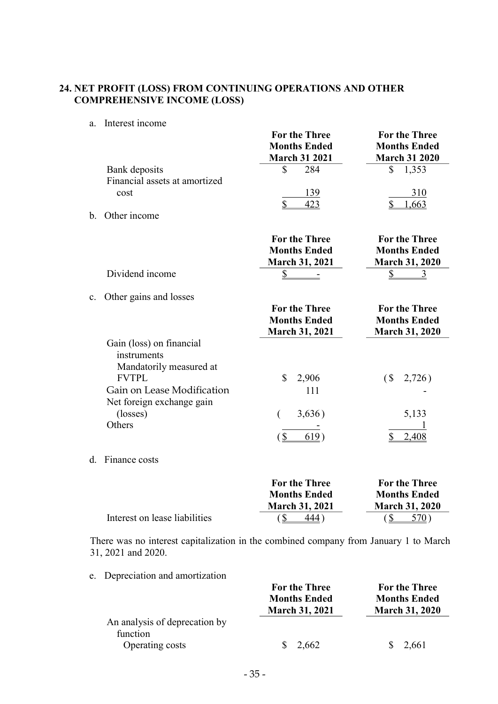## 24. NET PROFIT (LOSS) FROM CONTINUING OPERATIONS AND OTHER COMPREHENSIVE INCOME (LOSS)

a. Interest income

|                                                | <b>For the Three</b><br><b>Months Ended</b><br><b>March 31 2021</b> | For the Three<br><b>Months Ended</b><br><b>March 31 2020</b> |  |
|------------------------------------------------|---------------------------------------------------------------------|--------------------------------------------------------------|--|
| Bank deposits<br>Financial assets at amortized | 284                                                                 | 1,353                                                        |  |
| cost                                           | 139                                                                 | 310                                                          |  |
| Other income<br>$\mathbf b$                    |                                                                     |                                                              |  |

| Dividend income                                                                                                                                                     | <b>For the Three</b><br><b>Months Ended</b><br><b>March 31, 2021</b> | <b>For the Three</b><br><b>Months Ended</b><br><b>March 31, 2020</b> |
|---------------------------------------------------------------------------------------------------------------------------------------------------------------------|----------------------------------------------------------------------|----------------------------------------------------------------------|
| Other gains and losses<br>$\mathbf{c}$ .                                                                                                                            | For the Three<br><b>Months Ended</b>                                 | <b>For the Three</b><br><b>Months Ended</b>                          |
|                                                                                                                                                                     | <b>March 31, 2021</b>                                                | <b>March 31, 2020</b>                                                |
| Gain (loss) on financial<br>instruments<br>Mandatorily measured at<br><b>FVTPL</b><br>Gain on Lease Modification<br>Net foreign exchange gain<br>(losses)<br>Others | \$<br>2,906<br>111<br>3,636)                                         | (S <sub>1</sub> )<br>2,726)<br>5,133<br>2,408                        |

d. Finance costs

|                               | <b>For the Three</b>  | <b>For the Three</b>  |
|-------------------------------|-----------------------|-----------------------|
|                               | <b>Months Ended</b>   | <b>Months Ended</b>   |
|                               | <b>March 31, 2021</b> | <b>March 31, 2020</b> |
| Interest on lease liabilities | 444 )                 | 570)                  |

There was no interest capitalization in the combined company from January 1 to March 31, 2021 and 2020.

e. Depreciation and amortization

|                                                              | <b>For the Three</b><br><b>Months Ended</b><br><b>March 31, 2021</b> | <b>For the Three</b><br><b>Months Ended</b><br><b>March 31, 2020</b> |  |
|--------------------------------------------------------------|----------------------------------------------------------------------|----------------------------------------------------------------------|--|
| An analysis of deprecation by<br>function<br>Operating costs | 2,662                                                                | 2,661<br>S.                                                          |  |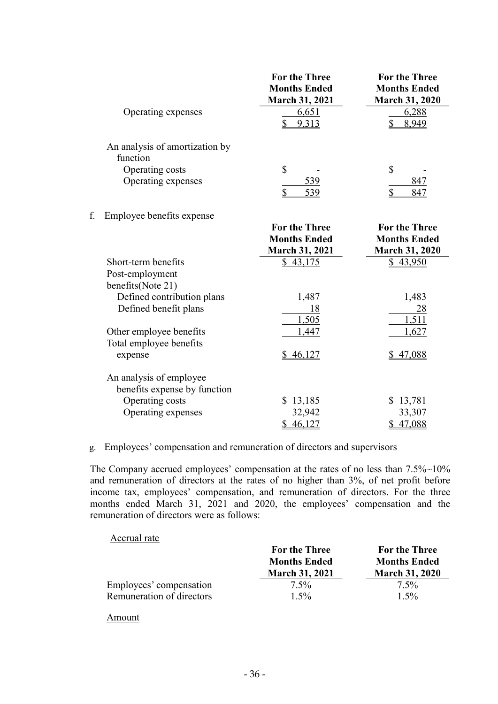|    |                                            | <b>For the Three</b><br><b>Months Ended</b><br>March 31, 2021 | <b>For the Three</b><br><b>Months Ended</b><br><b>March 31, 2020</b> |
|----|--------------------------------------------|---------------------------------------------------------------|----------------------------------------------------------------------|
|    | Operating expenses                         | 6,651<br>$\overline{2}$<br>9,313                              | 6,288<br>\$<br>8,949                                                 |
|    | An analysis of amortization by<br>function |                                                               |                                                                      |
|    | Operating costs                            | \$                                                            | \$                                                                   |
|    | Operating expenses                         | 539<br>$\overline{2}$<br>539                                  | 847<br>\$<br>847                                                     |
| f. | Employee benefits expense                  |                                                               |                                                                      |
|    |                                            | <b>For the Three</b>                                          | <b>For the Three</b>                                                 |
|    |                                            | <b>Months Ended</b>                                           | <b>Months Ended</b>                                                  |
|    |                                            | <b>March 31, 2021</b>                                         | <b>March 31, 2020</b>                                                |
|    | Short-term benefits                        | \$43,175                                                      | \$43,950                                                             |
|    | Post-employment                            |                                                               |                                                                      |
|    | benefits(Note 21)                          |                                                               |                                                                      |
|    | Defined contribution plans                 | 1,487                                                         | 1,483                                                                |
|    | Defined benefit plans                      | 18                                                            | <u>28</u>                                                            |
|    |                                            | 1,505                                                         | 1,511                                                                |
|    | Other employee benefits                    | 1,447                                                         | 1,627                                                                |
|    | Total employee benefits                    |                                                               |                                                                      |
|    | expense                                    | \$<br>46,127                                                  | \$47,088                                                             |
|    | An analysis of employee                    |                                                               |                                                                      |
|    | benefits expense by function               |                                                               |                                                                      |
|    | Operating costs                            | \$13,185                                                      | \$13,781                                                             |
|    | Operating expenses                         | 32,942                                                        | 33,307                                                               |
|    |                                            | \$<br>46,127                                                  | \$ 47,088                                                            |

#### g. Employees' compensation and remuneration of directors and supervisors

The Company accrued employees' compensation at the rates of no less than 7.5%~10% and remuneration of directors at the rates of no higher than 3%, of net profit before income tax, employees' compensation, and remuneration of directors. For the three months ended March 31, 2021 and 2020, the employees' compensation and the remuneration of directors were as follows:

## Accrual rate

| <b>For the Three</b>  | <b>For the Three</b>  |
|-----------------------|-----------------------|
| <b>Months Ended</b>   | <b>Months Ended</b>   |
| <b>March 31, 2021</b> | <b>March 31, 2020</b> |
| $7.5\%$               | $7.5\%$               |
| $1.5\%$               | $1.5\%$               |
|                       |                       |

#### Amount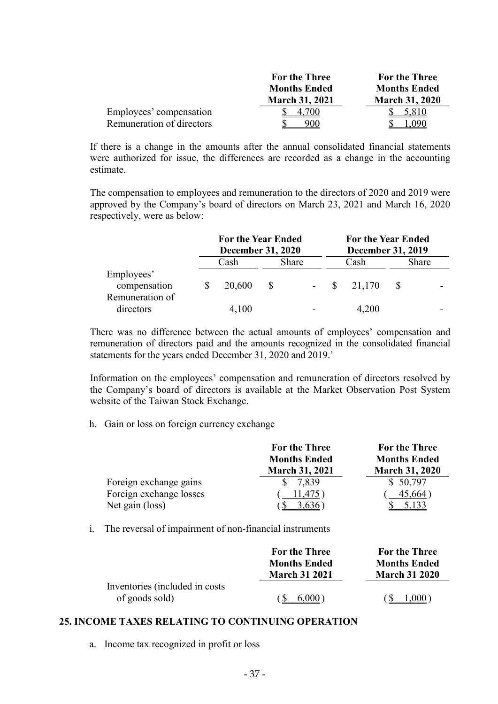|                           | <b>For the Three</b>  | <b>For the Three</b>  |
|---------------------------|-----------------------|-----------------------|
|                           | <b>Months Ended</b>   | <b>Months Ended</b>   |
|                           | <b>March 31, 2021</b> | <b>March 31, 2020</b> |
| Employees' compensation   | 700                   | 5,810                 |
| Remuneration of directors | 900                   |                       |

If there is a change in the amounts after the annual consolidated financial statements were authorized for issue, the differences are recorded as a change in the accounting estimate.

The compensation to employees and remuneration to the directors of 2020 and 2019 were approved by the Company's board of directors on March 23, 2021 and March 16, 2020 respectively, were as below:

|                              | <b>For the Year Ended</b><br><b>December 31, 2020</b> |  |       | <b>For the Year Ended</b><br><b>December 31, 2019</b> |               |  |              |
|------------------------------|-------------------------------------------------------|--|-------|-------------------------------------------------------|---------------|--|--------------|
|                              | Cash                                                  |  | Share |                                                       | Cash          |  | <b>Share</b> |
| Employees'<br>compensation   | 20,600                                                |  |       |                                                       | $-$ \$ 21,170 |  |              |
| Remuneration of<br>directors | 4,100                                                 |  |       |                                                       | 4,200         |  |              |

There was no difference between the actual amounts of employees' compensation and remuneration of directors paid and the amounts recognized in the consolidated financial statements for the years ended December 31, 2020 and 2019.'

Information on the employees' compensation and remuneration of directors resolved by the Company's board of directors is available at the Market Observation Post System website of the Taiwan Stock Exchange.

h. Gain or loss on foreign currency exchange

|                         | <b>For the Three</b><br><b>Months Ended</b><br><b>March 31, 2021</b> | <b>For the Three</b><br><b>Months Ended</b><br><b>March 31, 2020</b> |
|-------------------------|----------------------------------------------------------------------|----------------------------------------------------------------------|
| Foreign exchange gains  | 7,839                                                                | \$50,797                                                             |
| Foreign exchange losses | .475                                                                 | 45,664                                                               |
| Net gain (loss)         |                                                                      |                                                                      |

i. The reversal of impairment of non-financial instruments

|                                                   | <b>For the Three</b> | <b>For the Three</b> |
|---------------------------------------------------|----------------------|----------------------|
|                                                   | <b>Months Ended</b>  | <b>Months Ended</b>  |
|                                                   | <b>March 31 2021</b> | <b>March 31 2020</b> |
| Inventories (included in costs)<br>of goods sold) | 6,000)               | 1,000)               |
|                                                   |                      |                      |

### 25. INCOME TAXES RELATING TO CONTINUING OPERATION

a. Income tax recognized in profit or loss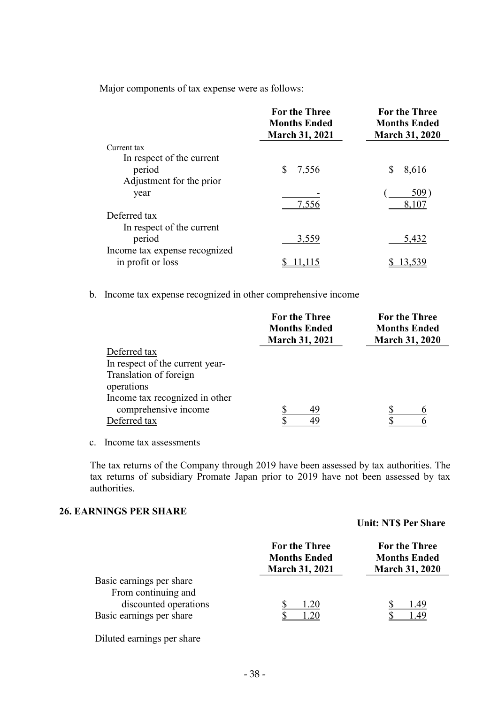Major components of tax expense were as follows:

|                               | <b>For the Three</b><br><b>Months Ended</b><br><b>March 31, 2021</b> | <b>For the Three</b><br><b>Months Ended</b><br><b>March 31, 2020</b> |  |
|-------------------------------|----------------------------------------------------------------------|----------------------------------------------------------------------|--|
| Current tax                   |                                                                      |                                                                      |  |
| In respect of the current     |                                                                      |                                                                      |  |
| period                        | 7,556                                                                | 8,616<br>S                                                           |  |
| Adjustment for the prior      |                                                                      |                                                                      |  |
| year                          |                                                                      | 509                                                                  |  |
|                               | 7,556                                                                | 8,107                                                                |  |
| Deferred tax                  |                                                                      |                                                                      |  |
| In respect of the current     |                                                                      |                                                                      |  |
| period                        | 3,559                                                                | 5,432                                                                |  |
| Income tax expense recognized |                                                                      |                                                                      |  |
| in profit or loss             |                                                                      |                                                                      |  |

b. Income tax expense recognized in other comprehensive income

|                                 | <b>For the Three</b><br><b>Months Ended</b><br><b>March 31, 2021</b> | <b>For the Three</b><br><b>Months Ended</b><br><b>March 31, 2020</b> |  |  |
|---------------------------------|----------------------------------------------------------------------|----------------------------------------------------------------------|--|--|
| Deferred tax                    |                                                                      |                                                                      |  |  |
| In respect of the current year- |                                                                      |                                                                      |  |  |
| Translation of foreign          |                                                                      |                                                                      |  |  |
| operations                      |                                                                      |                                                                      |  |  |
| Income tax recognized in other  |                                                                      |                                                                      |  |  |
| comprehensive income            | 49                                                                   |                                                                      |  |  |
| Deferred tax                    |                                                                      |                                                                      |  |  |

c. Income tax assessments

The tax returns of the Company through 2019 have been assessed by tax authorities. The tax returns of subsidiary Promate Japan prior to 2019 have not been assessed by tax authorities.

### 26. EARNINGS PER SHARE

#### Unit: NT\$ Per Share

| <b>For the Three</b><br><b>Months Ended</b><br><b>March 31, 2021</b> | For the Three<br><b>Months Ended</b><br><b>March 31, 2020</b> |
|----------------------------------------------------------------------|---------------------------------------------------------------|
|                                                                      |                                                               |
| 1.20                                                                 | 1.49<br>l .49                                                 |
|                                                                      |                                                               |

Diluted earnings per share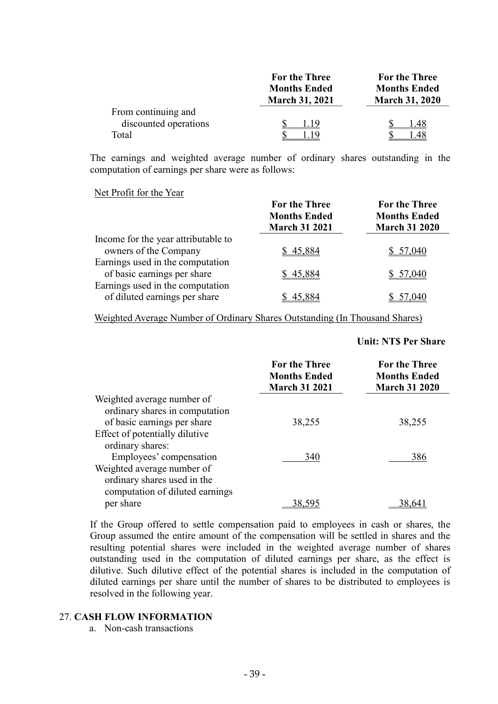|                       | <b>For the Three</b>  | <b>For the Three</b>  |  |
|-----------------------|-----------------------|-----------------------|--|
|                       | <b>Months Ended</b>   | <b>Months Ended</b>   |  |
|                       | <b>March 31, 2021</b> | <b>March 31, 2020</b> |  |
| From continuing and   |                       |                       |  |
| discounted operations | 1.19                  | l.48                  |  |
| Total                 |                       | .48                   |  |

The earnings and weighted average number of ordinary shares outstanding in the computation of earnings per share were as follows:

#### Net Profit for the Year

|                                                                   | <b>For the Three</b><br><b>Months Ended</b><br><b>March 31 2021</b> | <b>For the Three</b><br><b>Months Ended</b><br><b>March 31 2020</b> |
|-------------------------------------------------------------------|---------------------------------------------------------------------|---------------------------------------------------------------------|
| Income for the year attributable to                               |                                                                     |                                                                     |
| owners of the Company                                             | \$45,884                                                            | \$57,040                                                            |
| Earnings used in the computation<br>of basic earnings per share   | \$45,884                                                            | \$57,040                                                            |
| Earnings used in the computation<br>of diluted earnings per share | 45.884                                                              | 57,040                                                              |

Weighted Average Number of Ordinary Shares Outstanding (In Thousand Shares)

#### Unit: NT\$ Per Share

|                                                              | <b>For the Three</b><br><b>Months Ended</b><br><b>March 31 2021</b> | <b>For the Three</b><br><b>Months Ended</b><br><b>March 31 2020</b> |
|--------------------------------------------------------------|---------------------------------------------------------------------|---------------------------------------------------------------------|
| Weighted average number of<br>ordinary shares in computation |                                                                     |                                                                     |
| of basic earnings per share                                  | 38,255                                                              | 38,255                                                              |
| Effect of potentially dilutive                               |                                                                     |                                                                     |
| ordinary shares:                                             |                                                                     |                                                                     |
| Employees' compensation                                      | 340                                                                 | 386                                                                 |
| Weighted average number of                                   |                                                                     |                                                                     |
| ordinary shares used in the                                  |                                                                     |                                                                     |
| computation of diluted earnings                              |                                                                     |                                                                     |
| per share                                                    | 38.5                                                                | 38.64                                                               |

If the Group offered to settle compensation paid to employees in cash or shares, the Group assumed the entire amount of the compensation will be settled in shares and the resulting potential shares were included in the weighted average number of shares outstanding used in the computation of diluted earnings per share, as the effect is dilutive. Such dilutive effect of the potential shares is included in the computation of diluted earnings per share until the number of shares to be distributed to employees is resolved in the following year.

#### 27. CASH FLOW INFORMATION

a. Non-cash transactions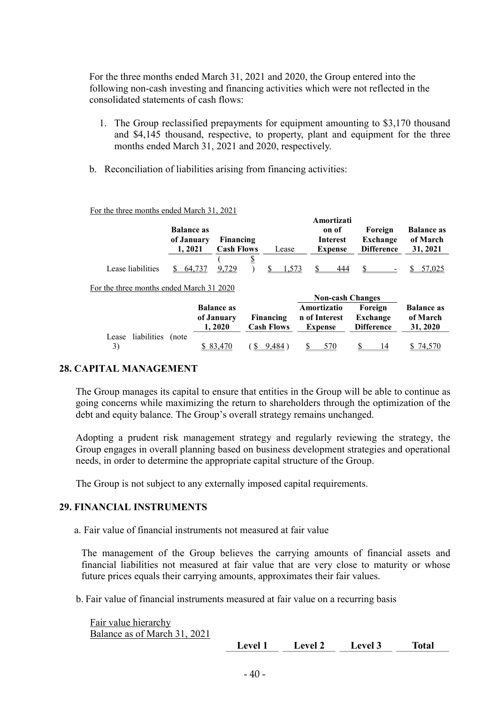For the three months ended March 31, 2021 and 2020, the Group entered into the following non-cash investing and financing activities which were not reflected in the consolidated statements of cash flows:

- 1. The Group reclassified prepayments for equipment amounting to \$3,170 thousand and \$4,145 thousand, respective, to property, plant and equipment for the three months ended March 31, 2021 and 2020, respectively.
- b. Reconciliation of liabilities arising from financing activities:

| <b>Balance as</b><br>of January<br>1, 2021 |       |                                                                                        |                                |                                         |       | Foreign<br><b>Exchange</b><br><b>Difference</b>                                                            | <b>Balance as</b><br>of March<br>31, 2021    |
|--------------------------------------------|-------|----------------------------------------------------------------------------------------|--------------------------------|-----------------------------------------|-------|------------------------------------------------------------------------------------------------------------|----------------------------------------------|
| 64,737                                     | 9,729 | $\overline{\overline{2}}$                                                              |                                |                                         | 444   |                                                                                                            | 57,025                                       |
|                                            |       |                                                                                        |                                |                                         |       |                                                                                                            |                                              |
|                                            |       |                                                                                        |                                |                                         |       |                                                                                                            |                                              |
|                                            |       |                                                                                        |                                |                                         |       | Foreign<br>Exchange                                                                                        | <b>Balance as</b><br>of March<br>31, 2020    |
|                                            | (note | For the three months ended March 31 2020<br><b>Balance as</b><br>of January<br>1, 2020 | Financing<br><b>Cash Flows</b> | Lease<br>Financing<br><b>Cash Flows</b> | 1,573 | Amortizati<br>on of<br><b>Interest</b><br><b>Expense</b><br>Amortizatio<br>n of Interest<br><b>Expense</b> | <b>Non-cash Changes</b><br><b>Difference</b> |

3) \$ 83,470 ( \$ 9,484) \$ 570 \$ 14 \$ 74,570

For the three months ended March 31, 2021

## 28. CAPITAL MANAGEMENT

The Group manages its capital to ensure that entities in the Group will be able to continue as going concerns while maximizing the return to shareholders through the optimization of the debt and equity balance. The Group's overall strategy remains unchanged.

Adopting a prudent risk management strategy and regularly reviewing the strategy, the Group engages in overall planning based on business development strategies and operational needs, in order to determine the appropriate capital structure of the Group.

The Group is not subject to any externally imposed capital requirements.

### 29. FINANCIAL INSTRUMENTS

a. Fair value of financial instruments not measured at fair value

The management of the Group believes the carrying amounts of financial assets and financial liabilities not measured at fair value that are very close to maturity or whose future prices equals their carrying amounts, approximates their fair values.

b. Fair value of financial instruments measured at fair value on a recurring basis

| Fair value hierarchy         |         |         |         |              |
|------------------------------|---------|---------|---------|--------------|
| Balance as of March 31, 2021 |         |         |         |              |
|                              | Level 1 | Level 2 | Level 3 | <b>Total</b> |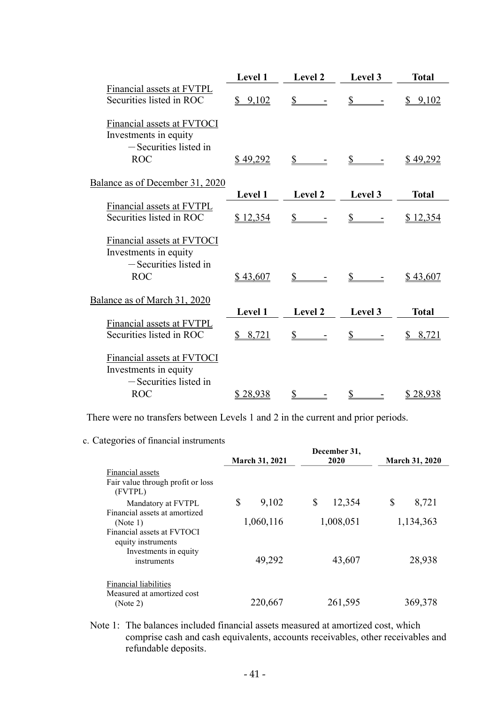|                                                                                            | Level 1     | Level 2        | Level 3                | <b>Total</b>     |
|--------------------------------------------------------------------------------------------|-------------|----------------|------------------------|------------------|
| Financial assets at FVTPL<br>Securities listed in ROC                                      | \$9,102     | \$             | $\mathbf{\mathcal{S}}$ | \$9,102          |
| Financial assets at FVTOCI<br>Investments in equity<br>-Securities listed in<br><b>ROC</b> | \$49,292    | $\mathbb{S}$   |                        | <u>\$ 49,292</u> |
| Balance as of December 31, 2020                                                            |             |                |                        |                  |
|                                                                                            | Level 1     | Level 2        | Level 3                | <b>Total</b>     |
| Financial assets at FVTPL<br>Securities listed in ROC                                      | \$12,354    | $\mathbb{S}$   | \$                     | \$12,354         |
| Financial assets at FVTOCI<br>Investments in equity<br>$-$ Securities listed in            |             |                |                        |                  |
| <b>ROC</b>                                                                                 | \$43,607    | $\mathbb{S}^-$ |                        | \$43,607         |
| Balance as of March 31, 2020                                                               | Level 1     | Level 2        |                        |                  |
| Financial assets at FVTPL                                                                  |             |                | Level 3                | <b>Total</b>     |
| Securities listed in ROC                                                                   | 8,721<br>S. | $\mathbb{S}^-$ | $\mathbb{S}$           | 8,721            |
| Financial assets at FVTOCI<br>Investments in equity<br>$-$ Securities listed in            |             |                |                        |                  |
| <b>ROC</b>                                                                                 | \$28,938    | $\mathbb{S}$   | $\mathcal{L}$          | \$28,938         |

There were no transfers between Levels 1 and 2 in the current and prior periods.

c. Categories of financial instruments

|                                                                                          | March 31, 2021 | December 31,<br>2020 | <b>March 31, 2020</b> |
|------------------------------------------------------------------------------------------|----------------|----------------------|-----------------------|
| Financial assets<br>Fair value through profit or loss                                    |                |                      |                       |
| (FVTPL)<br>Mandatory at FVTPL                                                            | \$<br>9,102    | \$<br>12,354         | \$<br>8,721           |
| Financial assets at amortized<br>(Note 1)                                                | 1,060,116      | 1,008,051            | 1,134,363             |
| Financial assets at FVTOCI<br>equity instruments<br>Investments in equity<br>instruments | 49,292         | 43,607               | 28,938                |
| Financial liabilities<br>Measured at amortized cost<br>(Note 2)                          | 220,667        | 261,595              | 369,378               |

Note 1: The balances included financial assets measured at amortized cost, which comprise cash and cash equivalents, accounts receivables, other receivables and refundable deposits.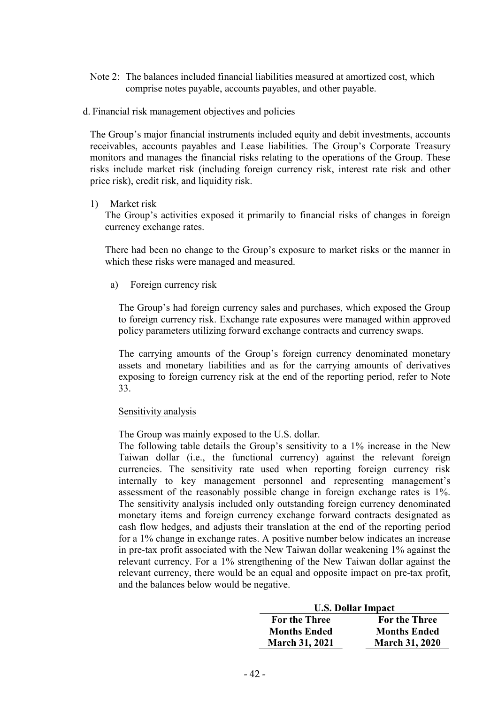- Note 2: The balances included financial liabilities measured at amortized cost, which comprise notes payable, accounts payables, and other payable.
- d. Financial risk management objectives and policies

The Group's major financial instruments included equity and debit investments, accounts receivables, accounts payables and Lease liabilities. The Group's Corporate Treasury monitors and manages the financial risks relating to the operations of the Group. These risks include market risk (including foreign currency risk, interest rate risk and other price risk), credit risk, and liquidity risk.

#### 1) Market risk

The Group's activities exposed it primarily to financial risks of changes in foreign currency exchange rates.

There had been no change to the Group's exposure to market risks or the manner in which these risks were managed and measured.

a) Foreign currency risk

The Group's had foreign currency sales and purchases, which exposed the Group to foreign currency risk. Exchange rate exposures were managed within approved policy parameters utilizing forward exchange contracts and currency swaps.

The carrying amounts of the Group's foreign currency denominated monetary assets and monetary liabilities and as for the carrying amounts of derivatives exposing to foreign currency risk at the end of the reporting period, refer to Note 33.

### Sensitivity analysis

The Group was mainly exposed to the U.S. dollar.

The following table details the Group's sensitivity to a 1% increase in the New Taiwan dollar (i.e., the functional currency) against the relevant foreign currencies. The sensitivity rate used when reporting foreign currency risk internally to key management personnel and representing management's assessment of the reasonably possible change in foreign exchange rates is 1%. The sensitivity analysis included only outstanding foreign currency denominated monetary items and foreign currency exchange forward contracts designated as cash flow hedges, and adjusts their translation at the end of the reporting period for a 1% change in exchange rates. A positive number below indicates an increase in pre-tax profit associated with the New Taiwan dollar weakening 1% against the relevant currency. For a 1% strengthening of the New Taiwan dollar against the relevant currency, there would be an equal and opposite impact on pre-tax profit, and the balances below would be negative.

|                       | <b>U.S. Dollar Impact</b> |  |  |
|-----------------------|---------------------------|--|--|
| <b>For the Three</b>  | For the Three             |  |  |
| <b>Months Ended</b>   | <b>Months Ended</b>       |  |  |
| <b>March 31, 2021</b> | <b>March 31, 2020</b>     |  |  |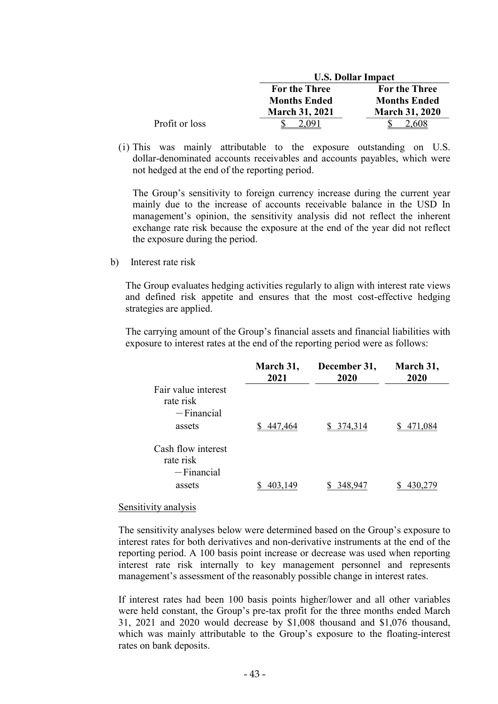|                |                       | <b>U.S. Dollar Impact</b> |  |  |
|----------------|-----------------------|---------------------------|--|--|
|                | <b>For the Three</b>  | For the Three             |  |  |
|                | <b>Months Ended</b>   | <b>Months Ended</b>       |  |  |
|                | <b>March 31, 2021</b> | <b>March 31, 2020</b>     |  |  |
| Profit or loss | , (191                | .608                      |  |  |

(i) This was mainly attributable to the exposure outstanding on U.S. dollar-denominated accounts receivables and accounts payables, which were not hedged at the end of the reporting period.

The Group's sensitivity to foreign currency increase during the current year mainly due to the increase of accounts receivable balance in the USD In management's opinion, the sensitivity analysis did not reflect the inherent exchange rate risk because the exposure at the end of the year did not reflect the exposure during the period.

b) Interest rate risk

The Group evaluates hedging activities regularly to align with interest rate views and defined risk appetite and ensures that the most cost-effective hedging strategies are applied.

The carrying amount of the Group's financial assets and financial liabilities with exposure to interest rates at the end of the reporting period were as follows:

|                                                   | March 31,<br>2021 | December 31,<br>2020 | March 31,<br>2020 |
|---------------------------------------------------|-------------------|----------------------|-------------------|
| Fair value interest<br>rate risk<br>$-$ Financial |                   |                      |                   |
| assets                                            | 447.464           | 374,314              | 471.084           |
| Cash flow interest<br>rate risk<br>$-Financial$   |                   |                      |                   |
| assets                                            | 403.149           | 348.947              |                   |

#### Sensitivity analysis

The sensitivity analyses below were determined based on the Group's exposure to interest rates for both derivatives and non-derivative instruments at the end of the reporting period. A 100 basis point increase or decrease was used when reporting interest rate risk internally to key management personnel and represents management's assessment of the reasonably possible change in interest rates.

If interest rates had been 100 basis points higher/lower and all other variables were held constant, the Group's pre-tax profit for the three months ended March 31, 2021 and 2020 would decrease by \$1,008 thousand and \$1,076 thousand, which was mainly attributable to the Group's exposure to the floating-interest rates on bank deposits.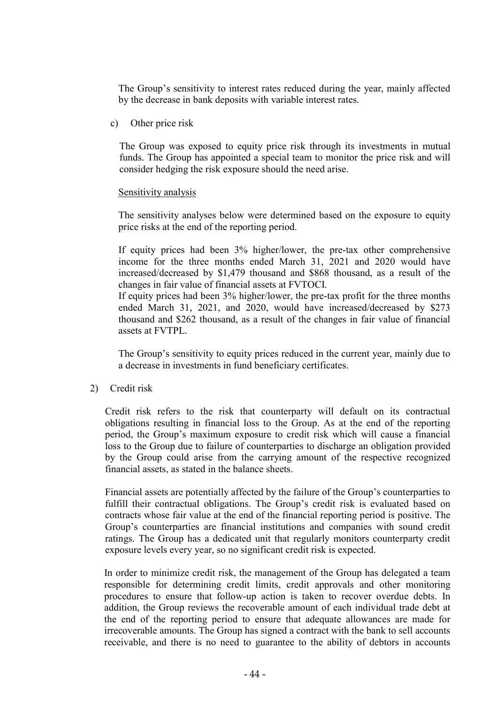The Group's sensitivity to interest rates reduced during the year, mainly affected by the decrease in bank deposits with variable interest rates.

c) Other price risk

The Group was exposed to equity price risk through its investments in mutual funds. The Group has appointed a special team to monitor the price risk and will consider hedging the risk exposure should the need arise.

#### Sensitivity analysis

The sensitivity analyses below were determined based on the exposure to equity price risks at the end of the reporting period.

If equity prices had been 3% higher/lower, the pre-tax other comprehensive income for the three months ended March 31, 2021 and 2020 would have increased/decreased by \$1,479 thousand and \$868 thousand, as a result of the changes in fair value of financial assets at FVTOCI.

If equity prices had been 3% higher/lower, the pre-tax profit for the three months ended March 31, 2021, and 2020, would have increased/decreased by \$273 thousand and \$262 thousand, as a result of the changes in fair value of financial assets at FVTPL.

The Group's sensitivity to equity prices reduced in the current year, mainly due to a decrease in investments in fund beneficiary certificates.

### 2) Credit risk

Credit risk refers to the risk that counterparty will default on its contractual obligations resulting in financial loss to the Group. As at the end of the reporting period, the Group's maximum exposure to credit risk which will cause a financial loss to the Group due to failure of counterparties to discharge an obligation provided by the Group could arise from the carrying amount of the respective recognized financial assets, as stated in the balance sheets.

Financial assets are potentially affected by the failure of the Group's counterparties to fulfill their contractual obligations. The Group's credit risk is evaluated based on contracts whose fair value at the end of the financial reporting period is positive. The Group's counterparties are financial institutions and companies with sound credit ratings. The Group has a dedicated unit that regularly monitors counterparty credit exposure levels every year, so no significant credit risk is expected.

In order to minimize credit risk, the management of the Group has delegated a team responsible for determining credit limits, credit approvals and other monitoring procedures to ensure that follow-up action is taken to recover overdue debts. In addition, the Group reviews the recoverable amount of each individual trade debt at the end of the reporting period to ensure that adequate allowances are made for irrecoverable amounts. The Group has signed a contract with the bank to sell accounts receivable, and there is no need to guarantee to the ability of debtors in accounts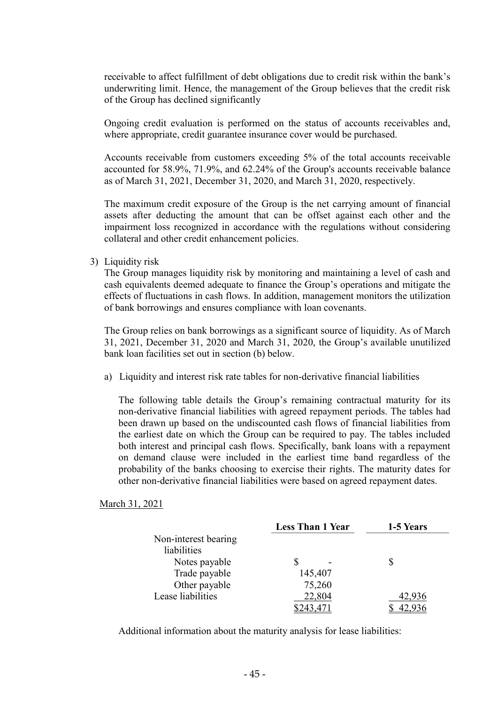receivable to affect fulfillment of debt obligations due to credit risk within the bank's underwriting limit. Hence, the management of the Group believes that the credit risk of the Group has declined significantly

Ongoing credit evaluation is performed on the status of accounts receivables and, where appropriate, credit guarantee insurance cover would be purchased.

Accounts receivable from customers exceeding 5% of the total accounts receivable accounted for 58.9%, 71.9%, and 62.24% of the Group's accounts receivable balance as of March 31, 2021, December 31, 2020, and March 31, 2020, respectively.

The maximum credit exposure of the Group is the net carrying amount of financial assets after deducting the amount that can be offset against each other and the impairment loss recognized in accordance with the regulations without considering collateral and other credit enhancement policies.

3) Liquidity risk

The Group manages liquidity risk by monitoring and maintaining a level of cash and cash equivalents deemed adequate to finance the Group's operations and mitigate the effects of fluctuations in cash flows. In addition, management monitors the utilization of bank borrowings and ensures compliance with loan covenants.

The Group relies on bank borrowings as a significant source of liquidity. As of March 31, 2021, December 31, 2020 and March 31, 2020, the Group's available unutilized bank loan facilities set out in section (b) below.

a) Liquidity and interest risk rate tables for non-derivative financial liabilities

The following table details the Group's remaining contractual maturity for its non-derivative financial liabilities with agreed repayment periods. The tables had been drawn up based on the undiscounted cash flows of financial liabilities from the earliest date on which the Group can be required to pay. The tables included both interest and principal cash flows. Specifically, bank loans with a repayment on demand clause were included in the earliest time band regardless of the probability of the banks choosing to exercise their rights. The maturity dates for other non-derivative financial liabilities were based on agreed repayment dates.

March 31, 2021

|                      | <b>Less Than 1 Year</b> | 1-5 Years |  |  |
|----------------------|-------------------------|-----------|--|--|
| Non-interest bearing |                         |           |  |  |
| liabilities          |                         |           |  |  |
| Notes payable        |                         |           |  |  |
| Trade payable        | 145,407                 |           |  |  |
| Other payable        | 75,260                  |           |  |  |
| Lease liabilities    | 22,804                  | 42,936    |  |  |
|                      |                         |           |  |  |

Additional information about the maturity analysis for lease liabilities: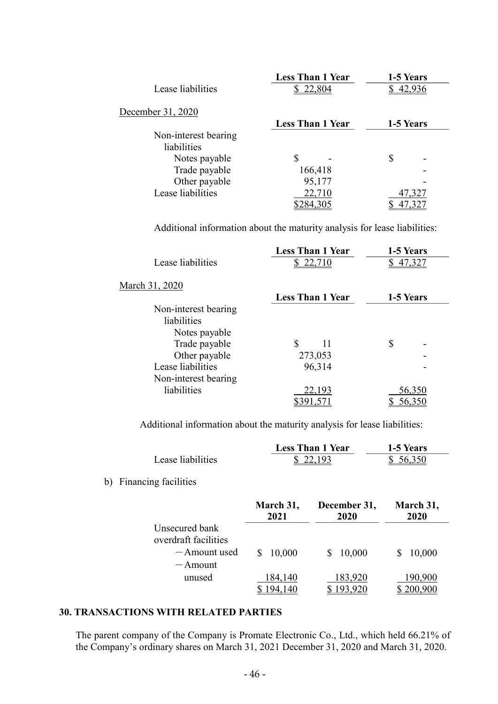|                      | <b>Less Than 1 Year</b> | 1-5 Years     |
|----------------------|-------------------------|---------------|
| Lease liabilities    | \$22,804                | 42,936        |
| December 31, 2020    |                         |               |
|                      | <b>Less Than 1 Year</b> | 1-5 Years     |
| Non-interest bearing |                         |               |
| liabilities          |                         |               |
| Notes payable        | S                       | \$            |
| Trade payable        | 166,418                 |               |
| Other payable        | 95,177                  |               |
| Lease liabilities    | 22,710                  | 47,327        |
|                      | \$284,305               | <u>47,327</u> |

Additional information about the maturity analysis for lease liabilities:

| <b>Less Than 1 Year</b> | 1-5 Years |
|-------------------------|-----------|
| \$22,710                | 47,327    |
|                         |           |
| <b>Less Than 1 Year</b> | 1-5 Years |
|                         |           |
|                         |           |
|                         |           |
| \$<br>11                | \$        |
| 273,053                 |           |
| 96,314                  |           |
|                         |           |
| 22,193                  | 56,350    |
|                         | 56,350    |
|                         |           |

Additional information about the maturity analysis for lease liabilities:

|                   | <b>Less Than 1 Year</b> | 1-5 Years |
|-------------------|-------------------------|-----------|
| Lease liabilities | \$22,193                | 56,350    |

b) Financing facilities

|                                        | March 31,<br>2021 | December 31,<br>2020 |         |
|----------------------------------------|-------------------|----------------------|---------|
| Unsecured bank<br>overdraft facilities |                   |                      |         |
| -Amount used<br>$-$ Amount             | 10,000            | 10,000               | 10,000  |
| unused                                 | 184,140           | 183,920              | 190,900 |

## 30. TRANSACTIONS WITH RELATED PARTIES

The parent company of the Company is Promate Electronic Co., Ltd., which held 66.21% of the Company's ordinary shares on March 31, 2021 December 31, 2020 and March 31, 2020.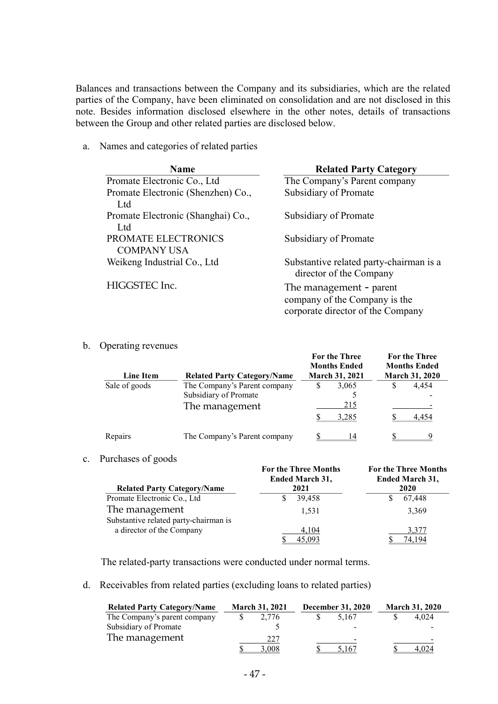Balances and transactions between the Company and its subsidiaries, which are the related parties of the Company, have been eliminated on consolidation and are not disclosed in this note. Besides information disclosed elsewhere in the other notes, details of transactions between the Group and other related parties are disclosed below.

a. Names and categories of related parties

| <b>Name</b>                               | <b>Related Party Category</b>                                                                 |
|-------------------------------------------|-----------------------------------------------------------------------------------------------|
| Promate Electronic Co., Ltd               | The Company's Parent company                                                                  |
| Promate Electronic (Shenzhen) Co.,        | Subsidiary of Promate                                                                         |
| Ltd                                       |                                                                                               |
| Promate Electronic (Shanghai) Co.,<br>Ltd | Subsidiary of Promate                                                                         |
| PROMATE ELECTRONICS<br><b>COMPANY USA</b> | Subsidiary of Promate                                                                         |
| Weikeng Industrial Co., Ltd               | Substantive related party-chairman is a<br>director of the Company                            |
| HIGGSTEC Inc.                             | The management - parent<br>company of the Company is the<br>corporate director of the Company |

b. Operating revenues

| <b>Line Item</b> | <b>Related Party Category/Name</b>                                      | For the Three<br><b>Months Ended</b><br><b>March 31, 2021</b> | <b>For the Three</b><br><b>Months Ended</b><br>March 31, 2020 |
|------------------|-------------------------------------------------------------------------|---------------------------------------------------------------|---------------------------------------------------------------|
| Sale of goods    | The Company's Parent company<br>Subsidiary of Promate<br>The management | 3,065<br>S<br>215<br>3,285                                    | 4.454<br>4.454                                                |
| Repairs          | The Company's Parent company                                            | 14                                                            |                                                               |

c. Purchases of goods

|                                       | <b>For the Three Months</b><br>Ended March 31, | <b>For the Three Months</b><br>Ended March 31, |  |  |
|---------------------------------------|------------------------------------------------|------------------------------------------------|--|--|
| <b>Related Party Category/Name</b>    | 2021                                           | 2020                                           |  |  |
| Promate Electronic Co., Ltd           | 39.458                                         | 67,448                                         |  |  |
| The management                        | 1.531                                          | 3,369                                          |  |  |
| Substantive related party-chairman is |                                                |                                                |  |  |
| a director of the Company             | 4,104                                          | 3,377                                          |  |  |
|                                       | 45,093                                         | 74.194                                         |  |  |

The related-party transactions were conducted under normal terms.

d. Receivables from related parties (excluding loans to related parties)

| <b>Related Party Category/Name</b> | <b>March 31, 2021</b> |       | <b>December 31, 2020</b> |                          | <b>March 31, 2020</b> |       |
|------------------------------------|-----------------------|-------|--------------------------|--------------------------|-----------------------|-------|
| The Company's parent company       |                       | 2.776 |                          | 5.167                    |                       | 4.024 |
| Subsidiary of Promate              |                       |       |                          | $\,$                     |                       |       |
| The management                     |                       | 227   |                          | $\overline{\phantom{0}}$ |                       |       |
|                                    |                       | 3.008 |                          | 5,167                    |                       | 4.024 |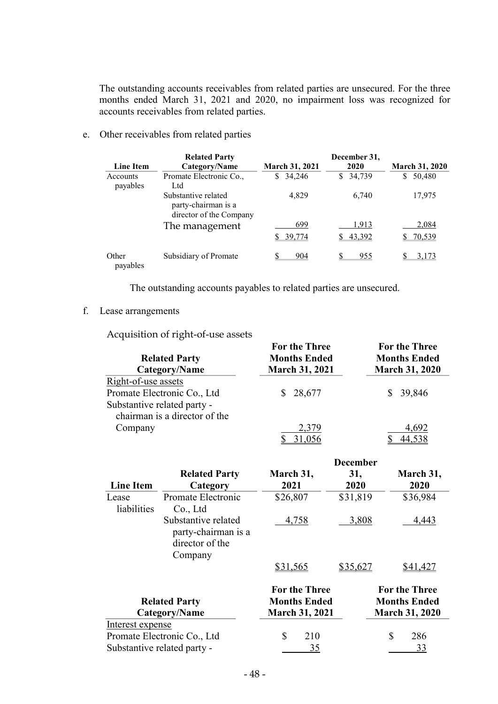The outstanding accounts receivables from related parties are unsecured. For the three months ended March 31, 2021 and 2020, no impairment loss was recognized for accounts receivables from related parties.

e. Other receivables from related parties

| <b>Line Item</b>     | <b>Related Party</b><br>Category/Name                                 | <b>March 31, 2021</b> | December 31,<br>2020 | <b>March 31, 2020</b> |
|----------------------|-----------------------------------------------------------------------|-----------------------|----------------------|-----------------------|
| Accounts<br>payables | Promate Electronic Co.,<br>Ltd                                        | 34,246<br>S.          | 34,739<br>S.         | 50,480<br>\$          |
|                      | Substantive related<br>party-chairman is a<br>director of the Company | 4.829                 | 6.740                | 17,975                |
|                      | The management                                                        | 699<br>39,774         | 1,913<br>43,392      | 2,084<br>70,539       |
| Other<br>payables    | Subsidiary of Promate                                                 | 904                   | 955                  | 3,173                 |

The outstanding accounts payables to related parties are unsecured.

## f. Lease arrangements

Acquisition of right-of-use assets

| <b>Related Party</b><br>Category/Name | <b>For the Three</b><br><b>Months Ended</b><br><b>March 31, 2021</b> | <b>For the Three</b><br><b>Months Ended</b><br><b>March 31, 2020</b> |  |  |
|---------------------------------------|----------------------------------------------------------------------|----------------------------------------------------------------------|--|--|
| Right-of-use assets                   |                                                                      |                                                                      |  |  |
| Promate Electronic Co., Ltd           | 28,677<br>S.                                                         | 39,846                                                               |  |  |
| Substantive related party -           |                                                                      |                                                                      |  |  |
| chairman is a director of the         |                                                                      |                                                                      |  |  |
| Company                               | 2,379                                                                | 4,692                                                                |  |  |
|                                       | 31,056                                                               | 44,538                                                               |  |  |

|                      |                                        |                       | December |                       |
|----------------------|----------------------------------------|-----------------------|----------|-----------------------|
|                      | <b>Related Party</b>                   | March 31,             | 31,      | March 31,             |
| <b>Line Item</b>     | Category                               | 2021                  | 2020     | 2020                  |
| Lease                | Promate Electronic                     | \$26,807              | \$31,819 | \$36,984              |
| liabilities          | Co., Ltd                               |                       |          |                       |
|                      | Substantive related                    | 4,758                 | 3,808    | 4,443                 |
|                      | party-chairman is a<br>director of the |                       |          |                       |
|                      | Company                                |                       |          |                       |
|                      |                                        | \$31,565              | \$35,627 | \$41,427              |
|                      |                                        | <b>For the Three</b>  |          | <b>For the Three</b>  |
| <b>Related Party</b> |                                        | <b>Months Ended</b>   |          | <b>Months Ended</b>   |
|                      | Category/Name                          | <b>March 31, 2021</b> |          | <b>March 31, 2020</b> |
| Interest expense     |                                        |                       |          |                       |
|                      | Promate Electronic Co., Ltd            | \$<br>210             |          | \$<br>286             |
|                      | Substantive related party -            | 35                    |          | 33                    |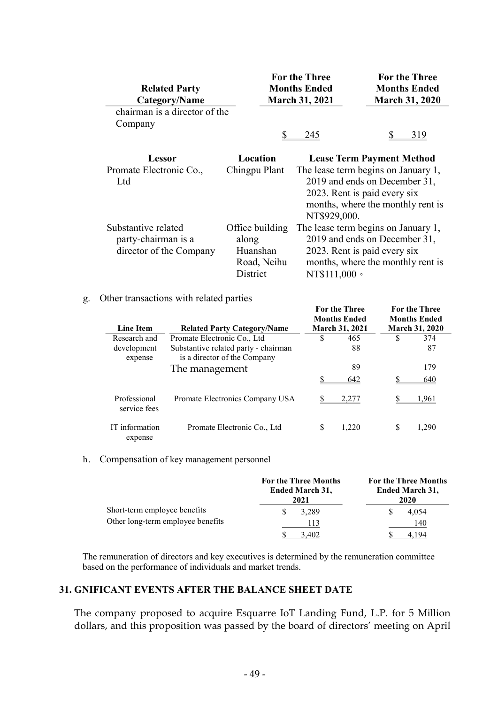| <b>Related Party</b><br>Category/Name |                 | <b>For the Three</b><br><b>Months Ended</b><br><b>March 31, 2021</b> | <b>For the Three</b><br><b>Months Ended</b><br><b>March 31, 2020</b> |  |  |
|---------------------------------------|-----------------|----------------------------------------------------------------------|----------------------------------------------------------------------|--|--|
| chairman is a director of the         |                 |                                                                      |                                                                      |  |  |
| Company                               |                 |                                                                      |                                                                      |  |  |
|                                       |                 | 245                                                                  | 319                                                                  |  |  |
| Lessor                                | Location        |                                                                      | <b>Lease Term Payment Method</b>                                     |  |  |
| Promate Electronic Co.,               | Chingpu Plant   |                                                                      | The lease term begins on January 1,                                  |  |  |
| Ltd                                   |                 |                                                                      | 2019 and ends on December 31,                                        |  |  |
|                                       |                 | 2023. Rent is paid every six                                         |                                                                      |  |  |
|                                       |                 |                                                                      | months, where the monthly rent is                                    |  |  |
|                                       |                 | NT\$929,000.                                                         |                                                                      |  |  |
| Substantive related                   | Office building |                                                                      | The lease term begins on January 1,                                  |  |  |
| party-chairman is a                   | along           |                                                                      | 2019 and ends on December 31,                                        |  |  |
| director of the Company               | Huanshan        | 2023. Rent is paid every six                                         |                                                                      |  |  |

Road, Neihu District

months, where the monthly rent is

For the Three

NT\$111,000。

For the Three

#### g. Other transactions with related parties

| <b>Line Item</b>             | <b>Related Party Category/Name</b>                                   |   | <b>Months Ended</b><br><b>March 31, 2021</b> |   | <b>Months Ended</b><br><b>March 31, 2020</b> |  |
|------------------------------|----------------------------------------------------------------------|---|----------------------------------------------|---|----------------------------------------------|--|
| Research and                 | Promate Electronic Co., Ltd                                          | S | 465                                          | S | 374                                          |  |
| development<br>expense       | Substantive related party - chairman<br>is a director of the Company |   | 88                                           |   | 87                                           |  |
|                              | The management                                                       |   | 89<br>642                                    |   | 179<br>640                                   |  |
| Professional<br>service fees | Promate Electronics Company USA                                      |   | 2,277                                        |   | 1,961                                        |  |
| IT information<br>expense    | Promate Electronic Co., Ltd.                                         |   | .220                                         |   | 1.290                                        |  |

#### h. Compensation of key management personnel

|                                   | <b>For the Three Months</b><br><b>Ended March 31,</b><br>2021 | <b>For the Three Months</b><br><b>Ended March 31,</b><br>2020 |  |  |
|-----------------------------------|---------------------------------------------------------------|---------------------------------------------------------------|--|--|
| Short-term employee benefits      | 3,289                                                         | 4.054                                                         |  |  |
| Other long-term employee benefits | 13                                                            | 140                                                           |  |  |
|                                   | 3.402                                                         |                                                               |  |  |

The remuneration of directors and key executives is determined by the remuneration committee based on the performance of individuals and market trends.

### 31. GNIFICANT EVENTS AFTER THE BALANCE SHEET DATE

The company proposed to acquire Esquarre IoT Landing Fund, L.P. for 5 Million dollars, and this proposition was passed by the board of directors' meeting on April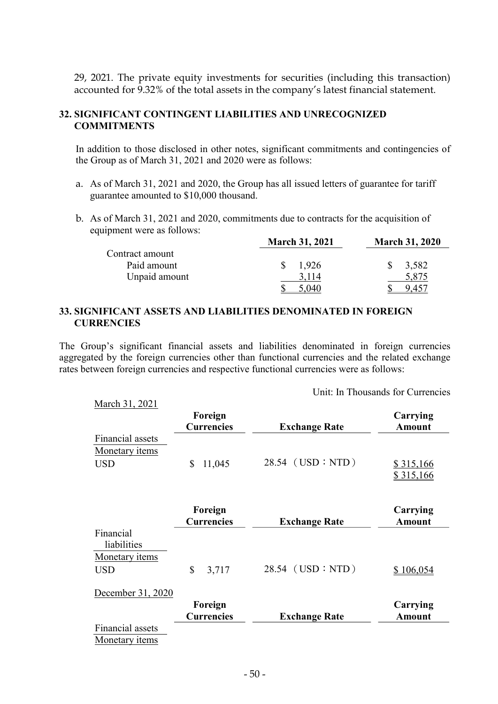29, 2021. The private equity investments for securities (including this transaction) accounted for 9.32% of the total assets in the company's latest financial statement.

## 32. SIGNIFICANT CONTINGENT LIABILITIES AND UNRECOGNIZED **COMMITMENTS**

In addition to those disclosed in other notes, significant commitments and contingencies of the Group as of March 31, 2021 and 2020 were as follows:

- a. As of March 31, 2021 and 2020, the Group has all issued letters of guarantee for tariff guarantee amounted to \$10,000 thousand.
- b. As of March 31, 2021 and 2020, commitments due to contracts for the acquisition of equipment were as follows:

|                 | <b>March 31, 2021</b> | <b>March 31, 2020</b> |  |  |
|-----------------|-----------------------|-----------------------|--|--|
| Contract amount |                       |                       |  |  |
| Paid amount     | 1.926                 | 3,582                 |  |  |
| Unpaid amount   | 3,114                 | 5,875                 |  |  |
|                 |                       |                       |  |  |

### 33. SIGNIFICANT ASSETS AND LIABILITIES DENOMINATED IN FOREIGN **CURRENCIES**

March 31, 2021

The Group's significant financial assets and liabilities denominated in foreign currencies aggregated by the foreign currencies other than functional currencies and the related exchange rates between foreign currencies and respective functional currencies were as follows:

Unit: In Thousands for Currencies

|                                                    | Foreign<br><b>Currencies</b> | <b>Exchange Rate</b> | Carrying<br><b>Amount</b> |
|----------------------------------------------------|------------------------------|----------------------|---------------------------|
| Financial assets                                   |                              |                      |                           |
| Monetary <i>items</i><br><b>USD</b>                | \$<br>11,045                 | $28.54$ (USD : NTD)  | \$315,166<br>\$315,166    |
|                                                    | Foreign<br><b>Currencies</b> | <b>Exchange Rate</b> | Carrying<br><b>Amount</b> |
| Financial                                          |                              |                      |                           |
| liabilities<br>Monetary <i>items</i><br><b>USD</b> | \$<br>3,717                  | 28.54 (USD : NTD)    | \$106,054                 |
| December 31, 2020                                  | Foreign                      |                      | Carrying                  |
|                                                    | <b>Currencies</b>            | <b>Exchange Rate</b> | <b>Amount</b>             |
| Financial assets<br>Monetary <i>items</i>          |                              |                      |                           |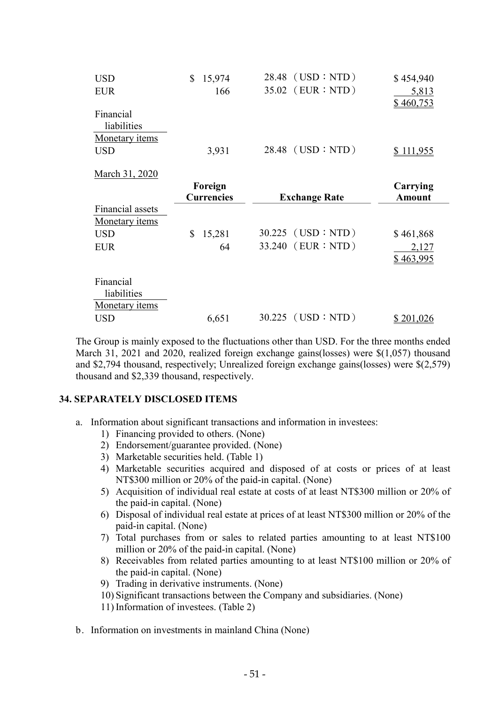| <b>USD</b><br><b>EUR</b>                          | 15,974<br>166 | 28.48 (USD : NTD)<br>35.02 (EUR : NTD) | \$454,940<br>5,813<br>\$460,753 |
|---------------------------------------------------|---------------|----------------------------------------|---------------------------------|
| Financial<br>liabilities<br>Monetary <i>items</i> |               |                                        |                                 |
| <b>USD</b>                                        | 3,931         | $28.48$ (USD : NTD)                    | \$111,955                       |
| March 31, 2020                                    |               |                                        |                                 |

|                          | Foreign<br><b>Currencies</b> | <b>Exchange Rate</b> | Carrying<br><b>Amount</b> |
|--------------------------|------------------------------|----------------------|---------------------------|
| Financial assets         |                              |                      |                           |
| Monetary <i>items</i>    |                              |                      |                           |
| <b>USD</b>               | 15,281                       | $30.225$ (USD : NTD) | \$461,868                 |
| <b>EUR</b>               | 64                           | 33.240 (EUR : NTD)   | 2,127<br>\$463,995        |
| Financial<br>liabilities |                              |                      |                           |
| Monetary <i>items</i>    |                              |                      |                           |
| <b>USD</b>               | 6,651                        | $30.225$ (USD : NTD) | \$201,026                 |

The Group is mainly exposed to the fluctuations other than USD. For the three months ended March 31, 2021 and 2020, realized foreign exchange gains(losses) were \$(1,057) thousand and \$2,794 thousand, respectively; Unrealized foreign exchange gains(losses) were \$(2,579) thousand and \$2,339 thousand, respectively.

### 34. SEPARATELY DISCLOSED ITEMS

- a. Information about significant transactions and information in investees:
	- 1) Financing provided to others. (None)
	- 2) Endorsement/guarantee provided. (None)
	- 3) Marketable securities held. (Table 1)
	- 4) Marketable securities acquired and disposed of at costs or prices of at least NT\$300 million or 20% of the paid-in capital. (None)
	- 5) Acquisition of individual real estate at costs of at least NT\$300 million or 20% of the paid-in capital. (None)
	- 6) Disposal of individual real estate at prices of at least NT\$300 million or 20% of the paid-in capital. (None)
	- 7) Total purchases from or sales to related parties amounting to at least NT\$100 million or 20% of the paid-in capital. (None)
	- 8) Receivables from related parties amounting to at least NT\$100 million or 20% of the paid-in capital. (None)
	- 9) Trading in derivative instruments. (None)
	- 10) Significant transactions between the Company and subsidiaries. (None)
	- 11) Information of investees. (Table 2)
- b. Information on investments in mainland China (None)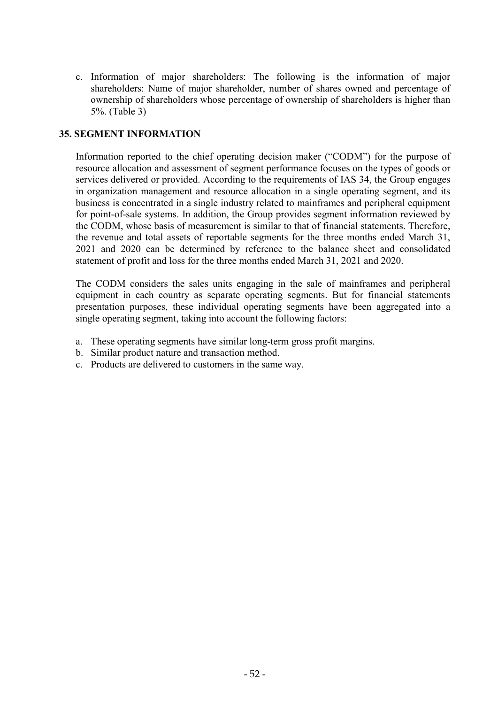c. Information of major shareholders: The following is the information of major shareholders: Name of major shareholder, number of shares owned and percentage of ownership of shareholders whose percentage of ownership of shareholders is higher than 5%. (Table 3)

## 35. SEGMENT INFORMATION

Information reported to the chief operating decision maker ("CODM") for the purpose of resource allocation and assessment of segment performance focuses on the types of goods or services delivered or provided. According to the requirements of IAS 34, the Group engages in organization management and resource allocation in a single operating segment, and its business is concentrated in a single industry related to mainframes and peripheral equipment for point-of-sale systems. In addition, the Group provides segment information reviewed by the CODM, whose basis of measurement is similar to that of financial statements. Therefore, the revenue and total assets of reportable segments for the three months ended March 31, 2021 and 2020 can be determined by reference to the balance sheet and consolidated statement of profit and loss for the three months ended March 31, 2021 and 2020.

The CODM considers the sales units engaging in the sale of mainframes and peripheral equipment in each country as separate operating segments. But for financial statements presentation purposes, these individual operating segments have been aggregated into a single operating segment, taking into account the following factors:

- a. These operating segments have similar long-term gross profit margins.
- b. Similar product nature and transaction method.
- c. Products are delivered to customers in the same way.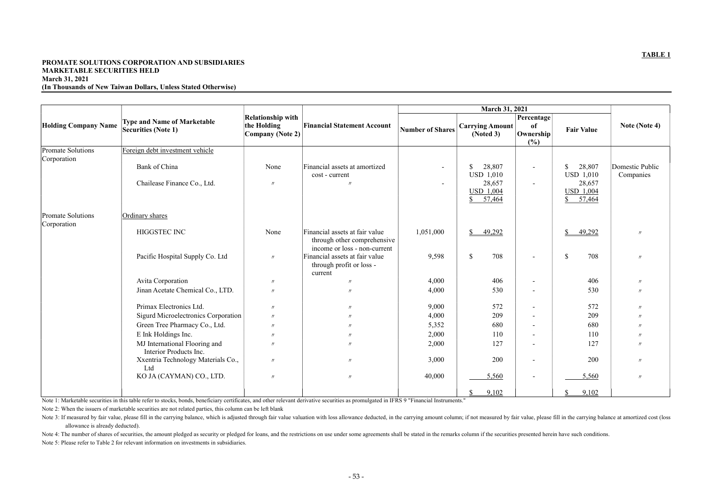## TABLE 1

### PROMATE SOLUTIONS CORPORATION AND SUBSIDIARIES MARKETABLE SECURITIES HELD March 31, 2021 (In Thousands of New Taiwan Dollars, Unless Stated Otherwise)

|                                  | <b>Type and Name of Marketable</b>                      | <b>Relationship with</b>                                              |                                                                                               |                         | <b>March 31, 2021</b>                                 | Percentage               |                                      |                              |
|----------------------------------|---------------------------------------------------------|-----------------------------------------------------------------------|-----------------------------------------------------------------------------------------------|-------------------------|-------------------------------------------------------|--------------------------|--------------------------------------|------------------------------|
| <b>Holding Company Name</b>      | <b>Securities (Note 1)</b>                              | the Holding<br><b>Financial Statement Account</b><br>Company (Note 2) |                                                                                               | <b>Number of Shares</b> | <b>Carrying Amount</b><br>(Noted 3)                   | of<br>Ownership<br>(%)   | <b>Fair Value</b>                    | Note (Note 4)                |
| Promate Solutions<br>Corporation | Foreign debt investment vehicle                         |                                                                       |                                                                                               |                         |                                                       |                          |                                      |                              |
|                                  | Bank of China                                           | None                                                                  | Financial assets at amortized<br>cost - current                                               |                         | $\mathbb{S}$<br>28,807<br><b>USD 1,010</b>            | $\sim$                   | 28,807<br>\$<br><b>USD 1,010</b>     | Domestic Public<br>Companies |
|                                  | Chailease Finance Co., Ltd.                             | $\prime\prime$                                                        | $^{\prime\prime}$                                                                             |                         | 28,657<br><b>USD 1,004</b><br>57,464<br>$\mathcal{S}$ | $\sim$                   | 28,657<br><b>USD 1,004</b><br>57,464 |                              |
| Promate Solutions<br>Corporation | Ordinary shares                                         |                                                                       |                                                                                               |                         |                                                       |                          |                                      |                              |
|                                  | HIGGSTEC INC                                            | None                                                                  | Financial assets at fair value<br>through other comprehensive<br>income or loss - non-current | 1,051,000               | $\mathbb{S}$<br>49,292                                |                          | 49,292<br>\$                         | $^{\prime\prime}$            |
|                                  | Pacific Hospital Supply Co. Ltd                         | $\prime$                                                              | Financial assets at fair value<br>through profit or loss -<br>current                         | 9,598                   | $\mathbb{S}$<br>708                                   | $\overline{\phantom{a}}$ | $\mathcal{S}$<br>708                 | $^{\prime\prime}$            |
|                                  | Avita Corporation                                       | $^{\prime\prime}$                                                     | $\prime\prime$                                                                                | 4,000                   | 406                                                   | $\overline{\phantom{a}}$ | 406                                  |                              |
|                                  | Jinan Acetate Chemical Co., LTD.                        | $\prime\prime$                                                        | $\prime$                                                                                      | 4,000                   | 530                                                   | $\blacksquare$           | 530                                  | $^{\prime\prime}$            |
|                                  | Primax Electronics Ltd.                                 | $^{\prime\prime}$                                                     | $\prime\prime$                                                                                | 9,000                   | 572                                                   | $\overline{\phantom{a}}$ | 572                                  |                              |
|                                  | Sigurd Microelectronics Corporation                     | $^{\prime\prime}$                                                     |                                                                                               | 4,000                   | 209                                                   | $\overline{\phantom{a}}$ | 209                                  |                              |
|                                  | Green Tree Pharmacy Co., Ltd.                           | $^{\prime\prime}$                                                     |                                                                                               | 5,352                   | 680                                                   | $\overline{\phantom{a}}$ | 680                                  |                              |
|                                  | E Ink Holdings Inc.                                     | $\overline{U}$                                                        | $^{\prime\prime}$                                                                             | 2,000                   | 110                                                   | $\overline{\phantom{a}}$ | 110                                  |                              |
|                                  | MJ International Flooring and<br>Interior Products Inc. | $^{\prime\prime}$                                                     |                                                                                               | 2,000                   | 127                                                   | $\overline{\phantom{a}}$ | 127                                  |                              |
|                                  | Xxentria Technology Materials Co.,<br>Ltd               | $\prime$                                                              | $\prime$                                                                                      | 3,000                   | 200                                                   | $\overline{\phantom{a}}$ | 200                                  | $\prime$                     |
|                                  | KO JA (CAYMAN) CO., LTD.                                | $\prime\prime$                                                        | $\prime\prime$                                                                                | 40,000                  | 5,560                                                 | $\overline{\phantom{a}}$ | 5,560                                | $^{\prime\prime}$            |
|                                  |                                                         |                                                                       |                                                                                               |                         | 9,102<br>$\mathcal{S}$                                |                          | 9,102                                |                              |

Note 1: Marketable securities in this table refer to stocks, bonds, beneficiary certificates, and other relevant derivative securities as promulgated in IFRS 9 "Financial Instruments."

Note 2: When the issuers of marketable securities are not related parties, this column can be left blank

Note 3: If measured by fair value, please fill in the carrying balance, which is adjusted through fair value valuation with loss allowance deducted, in the carrying amount column; if not measured by fair value, please fill allowance is already deducted). Note 4: The number of shares of securities, the amount pledged as security or pledged for loans, and the restrictions on use under some agreements shall be stated in the remarks column if the securities presented herein ha

Note 5: Please refer to Table 2 for relevant information on investments in subsidiaries.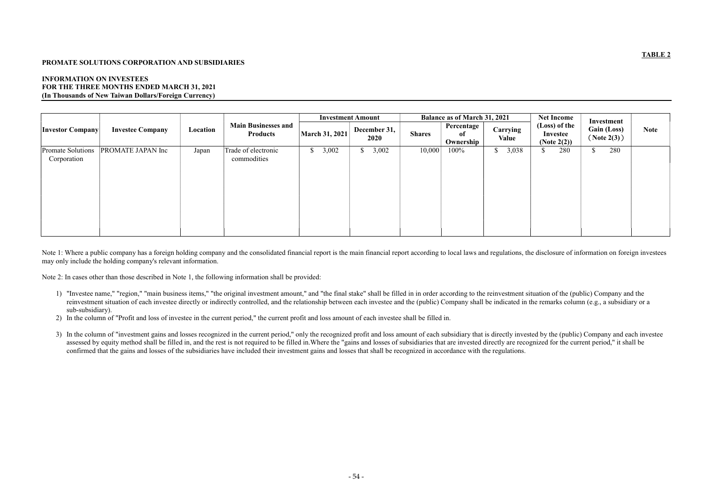## TABLE 2

### PROMATE SOLUTIONS CORPORATION AND SUBSIDIARIES

### INFORMATION ON INVESTEES FOR THE THREE MONTHS ENDED MARCH 31, 2021 (In Thousands of New Taiwan Dollars/Foreign Currency)

|                                                       |          |                                               | <b>Investment Amount</b> |                        | <b>Balance as of March 31, 2021</b> |                               |                       | <b>Net Income</b>                           | Investment                       |             |
|-------------------------------------------------------|----------|-----------------------------------------------|--------------------------|------------------------|-------------------------------------|-------------------------------|-----------------------|---------------------------------------------|----------------------------------|-------------|
| <b>Investee Company</b><br><b>Investor Company</b>    | Location | <b>Main Businesses and</b><br><b>Products</b> | March 31, 2021           | December 31,<br>2020   | <b>Shares</b>                       | Percentage<br>of<br>Ownership | Carrying<br>Value     | (Loss) of the<br>Investee<br>(Note $2(2)$ ) | <b>Gain (Loss)</b><br>(Note2(3)) | <b>Note</b> |
| Promate Solutions<br>PROMATE JAPAN Inc<br>Corporation | Japan    | Trade of electronic<br>commodities            | 3,002<br>$\mathbb{S}$    | 3,002<br>$\mathcal{P}$ | 10,000                              | 100%                          | $\mathbb{S}$<br>3,038 | 280<br>$\mathbf{D}$                         | 280<br>- D                       |             |

Note 1: Where a public company has a foreign holding company and the consolidated financial report is the main financial report according to local laws and regulations, the disclosure of information on foreign investees may only include the holding company's relevant information.

Note 2: In cases other than those described in Note 1, the following information shall be provided:

- 1) "Investee name," "region," "main business items," "the original investment amount," and "the final stake" shall be filled in in order according to the reinvestment situation of the (public) Company and the reinvestment situation of each investee directly or indirectly controlled, and the relationship between each investee and the (public) Company shall be indicated in the remarks column (e.g., a subsidiary or a sub-subsidiary).
- 2) In the column of "Profit and loss of investee in the current period," the current profit and loss amount of each investee shall be filled in.
- 3) In the column of "investment gains and losses recognized in the current period," only the recognized profit and loss amount of each subsidiary that is directly invested by the (public) Company and each investee assessed by equity method shall be filled in, and the rest is not required to be filled in. Where the "gains and losses of subsidiaries that are invested directly are recognized for the current period," it shall be confirmed that the gains and losses of the subsidiaries have included their investment gains and losses that shall be recognized in accordance with the regulations.